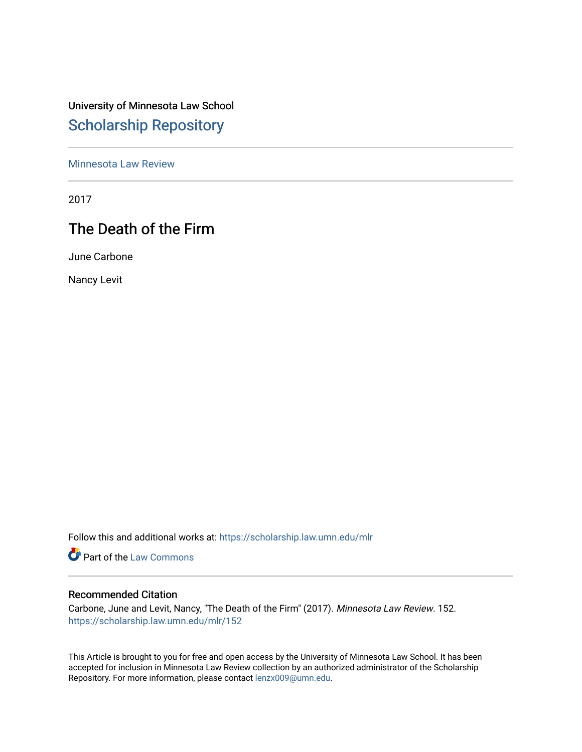# University of Minnesota Law School [Scholarship Repository](https://scholarship.law.umn.edu/)

[Minnesota Law Review](https://scholarship.law.umn.edu/mlr) 

2017

# The Death of the Firm

June Carbone

Nancy Levit

Follow this and additional works at: [https://scholarship.law.umn.edu/mlr](https://scholarship.law.umn.edu/mlr?utm_source=scholarship.law.umn.edu%2Fmlr%2F152&utm_medium=PDF&utm_campaign=PDFCoverPages)

**Part of the [Law Commons](http://network.bepress.com/hgg/discipline/578?utm_source=scholarship.law.umn.edu%2Fmlr%2F152&utm_medium=PDF&utm_campaign=PDFCoverPages)** 

## Recommended Citation

Carbone, June and Levit, Nancy, "The Death of the Firm" (2017). Minnesota Law Review. 152. [https://scholarship.law.umn.edu/mlr/152](https://scholarship.law.umn.edu/mlr/152?utm_source=scholarship.law.umn.edu%2Fmlr%2F152&utm_medium=PDF&utm_campaign=PDFCoverPages) 

This Article is brought to you for free and open access by the University of Minnesota Law School. It has been accepted for inclusion in Minnesota Law Review collection by an authorized administrator of the Scholarship Repository. For more information, please contact [lenzx009@umn.edu.](mailto:lenzx009@umn.edu)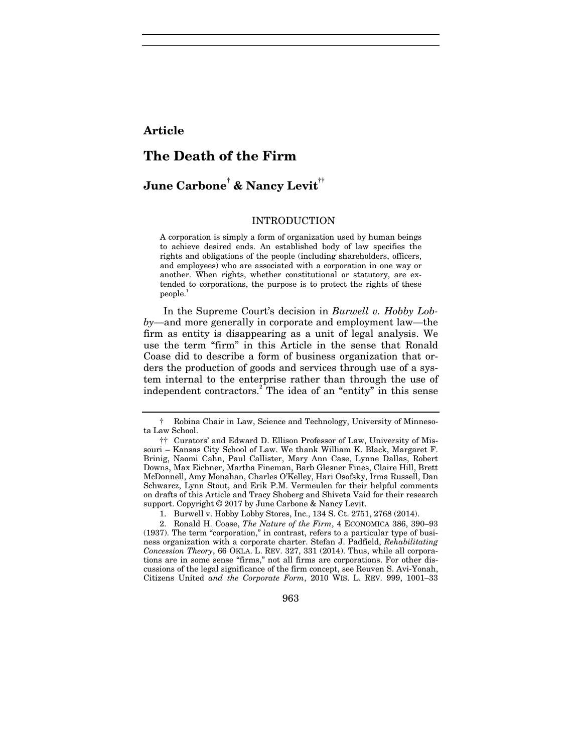## **Article**

# **The Death of the Firm**

# **June Carbone† & Nancy Levit††**

#### INTRODUCTION

A corporation is simply a form of organization used by human beings to achieve desired ends. An established body of law specifies the rights and obligations of the people (including shareholders, officers, and employees) who are associated with a corporation in one way or another. When rights, whether constitutional or statutory, are extended to corporations, the purpose is to protect the rights of these people.<sup>1</sup>

In the Supreme Court's decision in *Burwell v. Hobby Lobby*—and more generally in corporate and employment law—the firm as entity is disappearing as a unit of legal analysis. We use the term "firm" in this Article in the sense that Ronald Coase did to describe a form of business organization that orders the production of goods and services through use of a system internal to the enterprise rather than through the use of independent contractors.<sup>2</sup> The idea of an "entity" in this sense

963

<sup>†</sup> Robina Chair in Law, Science and Technology, University of Minnesota Law School.

<sup>††</sup> Curators' and Edward D. Ellison Professor of Law, University of Missouri – Kansas City School of Law. We thank William K. Black, Margaret F. Brinig, Naomi Cahn, Paul Callister, Mary Ann Case, Lynne Dallas, Robert Downs, Max Eichner, Martha Fineman, Barb Glesner Fines, Claire Hill, Brett McDonnell, Amy Monahan, Charles O'Kelley, Hari Osofsky, Irma Russell, Dan Schwarcz, Lynn Stout, and Erik P.M. Vermeulen for their helpful comments on drafts of this Article and Tracy Shoberg and Shiveta Vaid for their research support. Copyright © 2017 by June Carbone & Nancy Levit.

 <sup>1.</sup> Burwell v. Hobby Lobby Stores, Inc., 134 S. Ct. 2751, 2768 (2014).

 <sup>2.</sup> Ronald H. Coase, *The Nature of the Firm*, 4 ECONOMICA 386, 390–93 (1937). The term "corporation," in contrast, refers to a particular type of business organization with a corporate charter. Stefan J. Padfield, *Rehabilitating Concession Theory*, 66 OKLA. L. REV. 327, 331 (2014). Thus, while all corporations are in some sense "firms," not all firms are corporations. For other discussions of the legal significance of the firm concept, see Reuven S. Avi-Yonah, Citizens United *and the Corporate Form*, 2010 WIS. L. REV. 999, 1001–33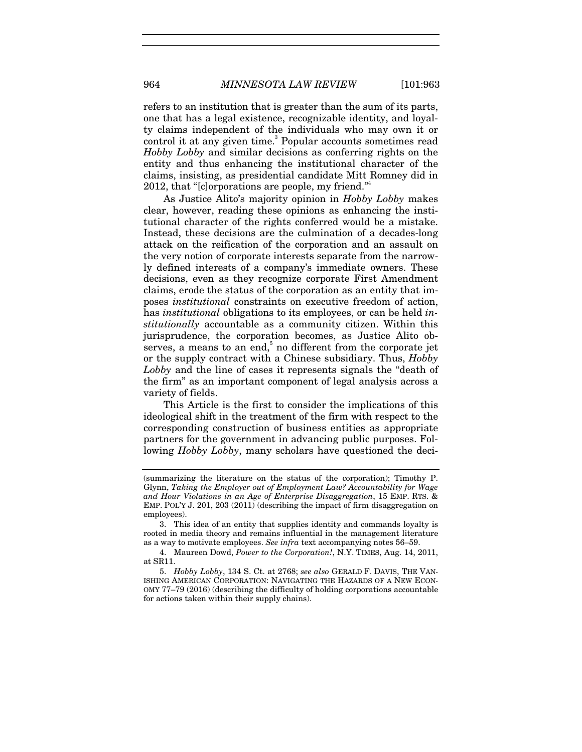refers to an institution that is greater than the sum of its parts, one that has a legal existence, recognizable identity, and loyalty claims independent of the individuals who may own it or control it at any given time.<sup>3</sup> Popular accounts sometimes read *Hobby Lobby* and similar decisions as conferring rights on the entity and thus enhancing the institutional character of the claims, insisting, as presidential candidate Mitt Romney did in 2012, that "[c]orporations are people, my friend."<sup>4</sup>

As Justice Alito's majority opinion in *Hobby Lobby* makes clear, however, reading these opinions as enhancing the institutional character of the rights conferred would be a mistake. Instead, these decisions are the culmination of a decades-long attack on the reification of the corporation and an assault on the very notion of corporate interests separate from the narrowly defined interests of a company's immediate owners. These decisions, even as they recognize corporate First Amendment claims, erode the status of the corporation as an entity that imposes *institutional* constraints on executive freedom of action, has *institutional* obligations to its employees, or can be held *institutionally* accountable as a community citizen. Within this jurisprudence, the corporation becomes, as Justice Alito observes, a means to an end, $5$  no different from the corporate jet or the supply contract with a Chinese subsidiary. Thus, *Hobby Lobby* and the line of cases it represents signals the "death of the firm" as an important component of legal analysis across a variety of fields.

This Article is the first to consider the implications of this ideological shift in the treatment of the firm with respect to the corresponding construction of business entities as appropriate partners for the government in advancing public purposes. Following *Hobby Lobby*, many scholars have questioned the deci-

<sup>(</sup>summarizing the literature on the status of the corporation); Timothy P. Glynn, *Taking the Employer out of Employment Law? Accountability for Wage and Hour Violations in an Age of Enterprise Disaggregation*, 15 EMP. RTS. & EMP. POL'Y J. 201, 203 (2011) (describing the impact of firm disaggregation on employees).

 <sup>3.</sup> This idea of an entity that supplies identity and commands loyalty is rooted in media theory and remains influential in the management literature as a way to motivate employees. *See infra* text accompanying notes 56–59.

 <sup>4.</sup> Maureen Dowd, *Power to the Corporation!*, N.Y. TIMES, Aug. 14, 2011, at SR11.

<sup>5.</sup> *Hobby Lobby*, 134 S. Ct. at 2768; *see also* GERALD F. DAVIS, THE VAN-ISHING AMERICAN CORPORATION: NAVIGATING THE HAZARDS OF A NEW ECON-OMY 77–79 (2016) (describing the difficulty of holding corporations accountable for actions taken within their supply chains).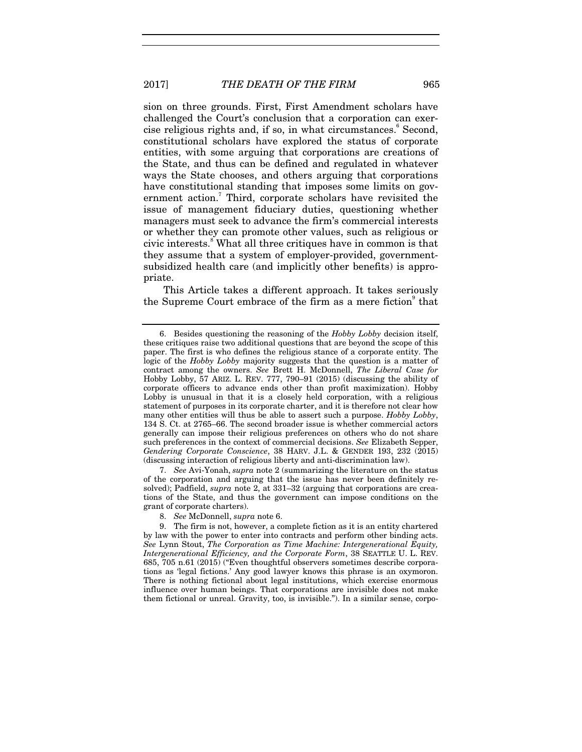sion on three grounds. First, First Amendment scholars have challenged the Court's conclusion that a corporation can exercise religious rights and, if so, in what circumstances.<sup>6</sup> Second, constitutional scholars have explored the status of corporate entities, with some arguing that corporations are creations of the State, and thus can be defined and regulated in whatever ways the State chooses, and others arguing that corporations have constitutional standing that imposes some limits on government action.<sup>7</sup> Third, corporate scholars have revisited the issue of management fiduciary duties, questioning whether managers must seek to advance the firm's commercial interests or whether they can promote other values, such as religious or civic interests.<sup>8</sup> What all three critiques have in common is that they assume that a system of employer-provided, governmentsubsidized health care (and implicitly other benefits) is appropriate.

This Article takes a different approach. It takes seriously the Supreme Court embrace of the firm as a mere fiction<sup>9</sup> that

7. *See* Avi-Yonah, *supra* note 2 (summarizing the literature on the status of the corporation and arguing that the issue has never been definitely resolved); Padfield, *supra* note 2, at 331–32 (arguing that corporations are creations of the State, and thus the government can impose conditions on the grant of corporate charters).

 <sup>6.</sup> Besides questioning the reasoning of the *Hobby Lobby* decision itself, these critiques raise two additional questions that are beyond the scope of this paper. The first is who defines the religious stance of a corporate entity. The logic of the *Hobby Lobby* majority suggests that the question is a matter of contract among the owners. *See* Brett H. McDonnell, *The Liberal Case for*  Hobby Lobby, 57 ARIZ. L. REV. 777, 790–91 (2015) (discussing the ability of corporate officers to advance ends other than profit maximization). Hobby Lobby is unusual in that it is a closely held corporation, with a religious statement of purposes in its corporate charter, and it is therefore not clear how many other entities will thus be able to assert such a purpose. *Hobby Lobby*, 134 S. Ct. at 2765–66. The second broader issue is whether commercial actors generally can impose their religious preferences on others who do not share such preferences in the context of commercial decisions. *See* Elizabeth Sepper, *Gendering Corporate Conscience*, 38 HARV. J.L. & GENDER 193, 232 (2015) (discussing interaction of religious liberty and anti-discrimination law).

<sup>8.</sup> *See* McDonnell, *supra* note 6.

 <sup>9.</sup> The firm is not, however, a complete fiction as it is an entity chartered by law with the power to enter into contracts and perform other binding acts. *See* Lynn Stout, *The Corporation as Time Machine: Intergenerational Equity, Intergenerational Efficiency, and the Corporate Form*, 38 SEATTLE U. L. REV. 685, 705 n.61 (2015) ("Even thoughtful observers sometimes describe corporations as 'legal fictions.' Any good lawyer knows this phrase is an oxymoron. There is nothing fictional about legal institutions, which exercise enormous influence over human beings. That corporations are invisible does not make them fictional or unreal. Gravity, too, is invisible."). In a similar sense, corpo-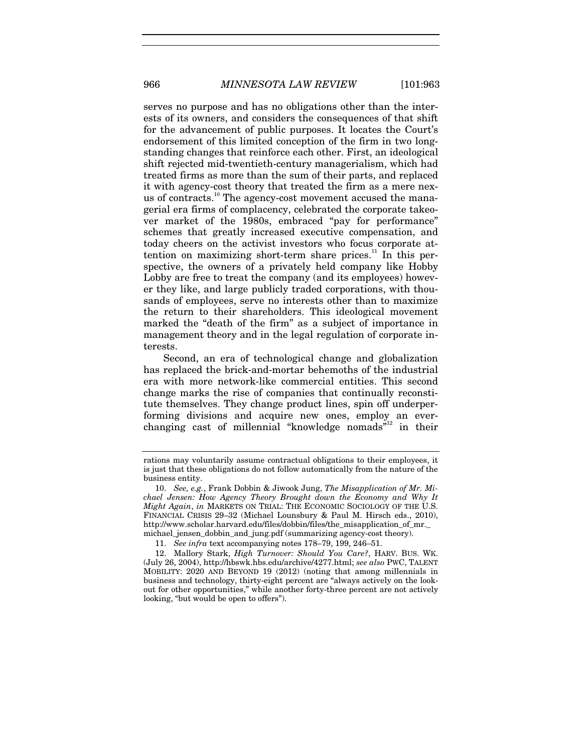serves no purpose and has no obligations other than the interests of its owners, and considers the consequences of that shift for the advancement of public purposes. It locates the Court's endorsement of this limited conception of the firm in two longstanding changes that reinforce each other. First, an ideological shift rejected mid-twentieth-century managerialism, which had treated firms as more than the sum of their parts, and replaced it with agency-cost theory that treated the firm as a mere nexus of contracts.<sup>10</sup> The agency-cost movement accused the managerial era firms of complacency, celebrated the corporate takeover market of the 1980s, embraced "pay for performance" schemes that greatly increased executive compensation, and today cheers on the activist investors who focus corporate attention on maximizing short-term share prices. $11$  In this perspective, the owners of a privately held company like Hobby Lobby are free to treat the company (and its employees) however they like, and large publicly traded corporations, with thousands of employees, serve no interests other than to maximize the return to their shareholders. This ideological movement marked the "death of the firm" as a subject of importance in management theory and in the legal regulation of corporate interests.

Second, an era of technological change and globalization has replaced the brick-and-mortar behemoths of the industrial era with more network-like commercial entities. This second change marks the rise of companies that continually reconstitute themselves. They change product lines, spin off underperforming divisions and acquire new ones, employ an everchanging cast of millennial "knowledge nomads"<sup>12</sup> in their

rations may voluntarily assume contractual obligations to their employees, it is just that these obligations do not follow automatically from the nature of the business entity.

<sup>10.</sup> *See, e.g.*, Frank Dobbin & Jiwook Jung, *The Misapplication of Mr. Michael Jensen: How Agency Theory Brought down the Economy and Why It Might Again*, *in* MARKETS ON TRIAL: THE ECONOMIC SOCIOLOGY OF THE U.S. FINANCIAL CRISIS 29–32 (Michael Lounsbury & Paul M. Hirsch eds., 2010), http://www.scholar.harvard.edu/files/dobbin/files/the\_misapplication\_of\_mr.\_ michael\_jensen\_dobbin\_and\_jung.pdf (summarizing agency-cost theory).

<sup>11.</sup> *See infra* text accompanying notes 178–79, 199, 246–51.

 <sup>12.</sup> Mallory Stark, *High Turnover: Should You Care?*, HARV. BUS. WK. (July 26, 2004), http://hbswk.hbs.edu/archive/4277.html; *see also* PWC, TALENT MOBILITY: 2020 AND BEYOND 19 (2012) (noting that among millennials in business and technology, thirty-eight percent are "always actively on the lookout for other opportunities," while another forty-three percent are not actively looking, "but would be open to offers").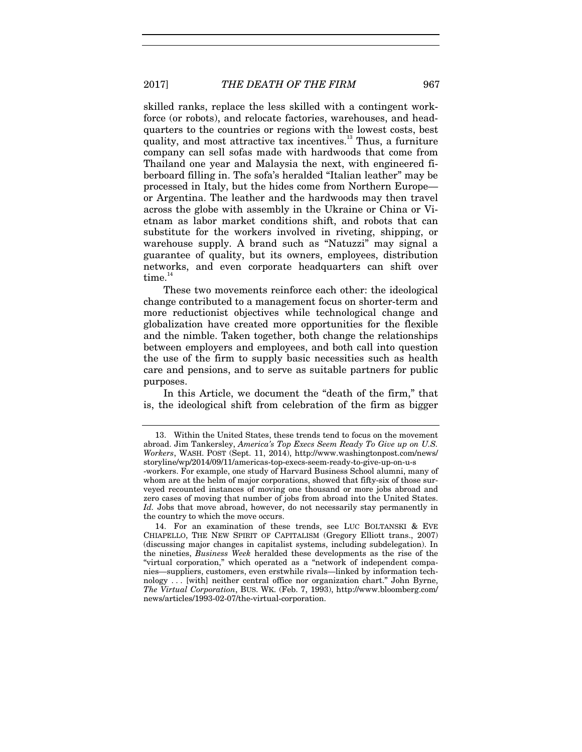skilled ranks, replace the less skilled with a contingent workforce (or robots), and relocate factories, warehouses, and headquarters to the countries or regions with the lowest costs, best quality, and most attractive tax incentives.<sup>13</sup> Thus, a furniture company can sell sofas made with hardwoods that come from Thailand one year and Malaysia the next, with engineered fiberboard filling in. The sofa's heralded "Italian leather" may be processed in Italy, but the hides come from Northern Europe or Argentina. The leather and the hardwoods may then travel across the globe with assembly in the Ukraine or China or Vietnam as labor market conditions shift, and robots that can substitute for the workers involved in riveting, shipping, or warehouse supply. A brand such as "Natuzzi" may signal a guarantee of quality, but its owners, employees, distribution networks, and even corporate headquarters can shift over  $time.<sup>14</sup>$ 

These two movements reinforce each other: the ideological change contributed to a management focus on shorter-term and more reductionist objectives while technological change and globalization have created more opportunities for the flexible and the nimble. Taken together, both change the relationships between employers and employees, and both call into question the use of the firm to supply basic necessities such as health care and pensions, and to serve as suitable partners for public purposes.

In this Article, we document the "death of the firm," that is, the ideological shift from celebration of the firm as bigger

 <sup>13.</sup> Within the United States, these trends tend to focus on the movement abroad. Jim Tankersley, *America's Top Execs Seem Ready To Give up on U.S. Workers*, WASH. POST (Sept. 11, 2014), http://www.washingtonpost.com/news/ storyline/wp/2014/09/11/americas-top-execs-seem-ready-to-give-up-on-u-s -workers. For example, one study of Harvard Business School alumni, many of

whom are at the helm of major corporations, showed that fifty-six of those surveyed recounted instances of moving one thousand or more jobs abroad and zero cases of moving that number of jobs from abroad into the United States. *Id.* Jobs that move abroad, however, do not necessarily stay permanently in the country to which the move occurs.

 <sup>14.</sup> For an examination of these trends, see LUC BOLTANSKI & EVE CHIAPELLO, THE NEW SPIRIT OF CAPITALISM (Gregory Elliott trans., 2007) (discussing major changes in capitalist systems, including subdelegation). In the nineties, *Business Week* heralded these developments as the rise of the "virtual corporation," which operated as a "network of independent companies—suppliers, customers, even erstwhile rivals—linked by information technology . . . [with] neither central office nor organization chart." John Byrne, *The Virtual Corporation*, BUS. WK. (Feb. 7, 1993), http://www.bloomberg.com/ news/articles/1993-02-07/the-virtual-corporation.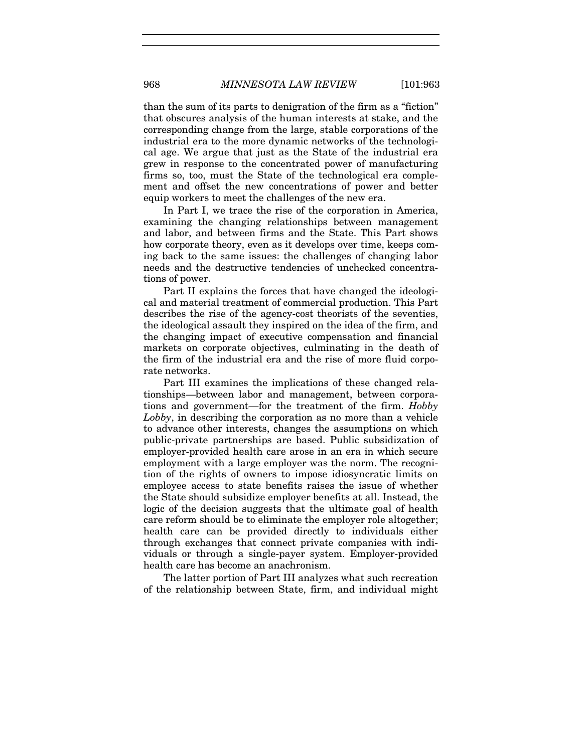than the sum of its parts to denigration of the firm as a "fiction" that obscures analysis of the human interests at stake, and the corresponding change from the large, stable corporations of the industrial era to the more dynamic networks of the technological age. We argue that just as the State of the industrial era grew in response to the concentrated power of manufacturing firms so, too, must the State of the technological era complement and offset the new concentrations of power and better equip workers to meet the challenges of the new era.

In Part I, we trace the rise of the corporation in America. examining the changing relationships between management and labor, and between firms and the State. This Part shows how corporate theory, even as it develops over time, keeps coming back to the same issues: the challenges of changing labor needs and the destructive tendencies of unchecked concentrations of power.

Part II explains the forces that have changed the ideological and material treatment of commercial production. This Part describes the rise of the agency-cost theorists of the seventies, the ideological assault they inspired on the idea of the firm, and the changing impact of executive compensation and financial markets on corporate objectives, culminating in the death of the firm of the industrial era and the rise of more fluid corporate networks.

Part III examines the implications of these changed relationships—between labor and management, between corporations and government—for the treatment of the firm. *Hobby Lobby*, in describing the corporation as no more than a vehicle to advance other interests, changes the assumptions on which public-private partnerships are based. Public subsidization of employer-provided health care arose in an era in which secure employment with a large employer was the norm. The recognition of the rights of owners to impose idiosyncratic limits on employee access to state benefits raises the issue of whether the State should subsidize employer benefits at all. Instead, the logic of the decision suggests that the ultimate goal of health care reform should be to eliminate the employer role altogether; health care can be provided directly to individuals either through exchanges that connect private companies with individuals or through a single-payer system. Employer-provided health care has become an anachronism.

The latter portion of Part III analyzes what such recreation of the relationship between State, firm, and individual might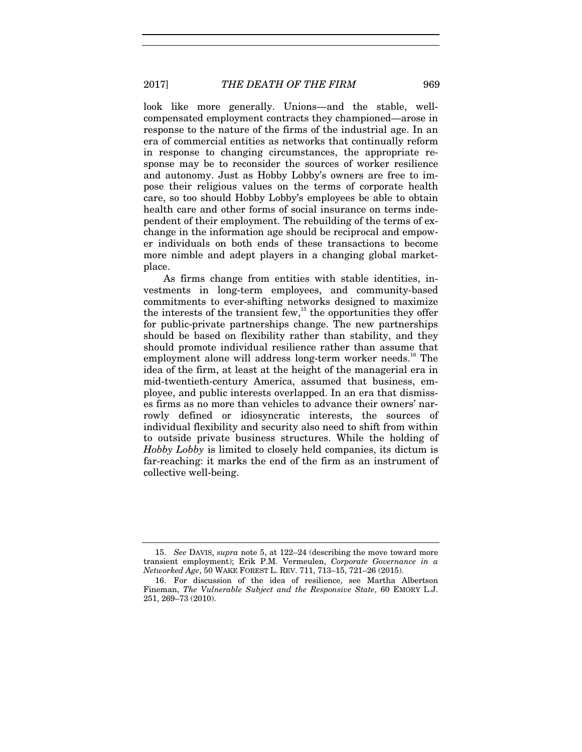look like more generally. Unions—and the stable, wellcompensated employment contracts they championed—arose in response to the nature of the firms of the industrial age. In an era of commercial entities as networks that continually reform in response to changing circumstances, the appropriate response may be to reconsider the sources of worker resilience and autonomy. Just as Hobby Lobby's owners are free to impose their religious values on the terms of corporate health care, so too should Hobby Lobby's employees be able to obtain health care and other forms of social insurance on terms independent of their employment. The rebuilding of the terms of exchange in the information age should be reciprocal and empower individuals on both ends of these transactions to become more nimble and adept players in a changing global marketplace.

As firms change from entities with stable identities, investments in long-term employees, and community-based commitments to ever-shifting networks designed to maximize the interests of the transient few, $^{15}$  the opportunities they offer for public-private partnerships change. The new partnerships should be based on flexibility rather than stability, and they should promote individual resilience rather than assume that employment alone will address long-term worker needs.<sup>16</sup> The idea of the firm, at least at the height of the managerial era in mid-twentieth-century America, assumed that business, employee, and public interests overlapped. In an era that dismisses firms as no more than vehicles to advance their owners' narrowly defined or idiosyncratic interests, the sources of individual flexibility and security also need to shift from within to outside private business structures. While the holding of *Hobby Lobby* is limited to closely held companies, its dictum is far-reaching: it marks the end of the firm as an instrument of collective well-being.

<sup>15.</sup> *See* DAVIS, *supra* note 5, at 122–24 (describing the move toward more transient employment); Erik P.M. Vermeulen, *Corporate Governance in a Networked Age*, 50 WAKE FOREST L. REV. 711, 713–15, 721–26 (2015).

 <sup>16.</sup> For discussion of the idea of resilience, see Martha Albertson Fineman, *The Vulnerable Subject and the Responsive State*, 60 EMORY L.J. 251, 269–73 (2010).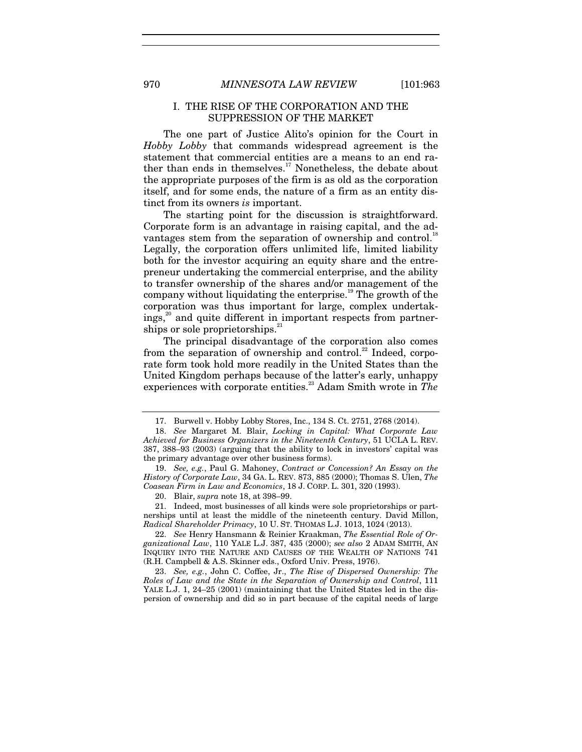970 *MINNESOTA LAW REVIEW* [101:963

#### I. THE RISE OF THE CORPORATION AND THE SUPPRESSION OF THE MARKET

The one part of Justice Alito's opinion for the Court in *Hobby Lobby* that commands widespread agreement is the statement that commercial entities are a means to an end rather than ends in themselves. $17$  Nonetheless, the debate about the appropriate purposes of the firm is as old as the corporation itself, and for some ends, the nature of a firm as an entity distinct from its owners *is* important.

The starting point for the discussion is straightforward. Corporate form is an advantage in raising capital, and the advantages stem from the separation of ownership and control.<sup>18</sup> Legally, the corporation offers unlimited life, limited liability both for the investor acquiring an equity share and the entrepreneur undertaking the commercial enterprise, and the ability to transfer ownership of the shares and/or management of the company without liquidating the enterprise.<sup>19</sup> The growth of the corporation was thus important for large, complex undertak $i$ ngs, $\alpha$ <sup>20</sup> and quite different in important respects from partnerships or sole proprietorships. $21$ 

The principal disadvantage of the corporation also comes from the separation of ownership and control.<sup>22</sup> Indeed, corporate form took hold more readily in the United States than the United Kingdom perhaps because of the latter's early, unhappy experiences with corporate entities.<sup>23</sup> Adam Smith wrote in *The* 

20. Blair, *supra* note 18, at 398–99.

 21. Indeed, most businesses of all kinds were sole proprietorships or partnerships until at least the middle of the nineteenth century. David Millon, *Radical Shareholder Primacy*, 10 U. ST. THOMAS L.J. 1013, 1024 (2013).

22. *See* Henry Hansmann & Reinier Kraakman, *The Essential Role of Organizational Law*, 110 YALE L.J. 387, 435 (2000); *see also* 2 ADAM SMITH, AN INQUIRY INTO THE NATURE AND CAUSES OF THE WEALTH OF NATIONS 741 (R.H. Campbell & A.S. Skinner eds., Oxford Univ. Press, 1976).

23. *See, e.g.*, John C. Coffee, Jr., *The Rise of Dispersed Ownership: The Roles of Law and the State in the Separation of Ownership and Control*, 111 YALE L.J. 1, 24–25 (2001) (maintaining that the United States led in the dispersion of ownership and did so in part because of the capital needs of large

 <sup>17.</sup> Burwell v. Hobby Lobby Stores, Inc., 134 S. Ct. 2751, 2768 (2014).

<sup>18.</sup> *See* Margaret M. Blair, *Locking in Capital: What Corporate Law Achieved for Business Organizers in the Nineteenth Century*, 51 UCLA L. REV. 387, 388–93 (2003) (arguing that the ability to lock in investors' capital was the primary advantage over other business forms).

<sup>19.</sup> *See, e.g.*, Paul G. Mahoney, *Contract or Concession? An Essay on the History of Corporate Law*, 34 GA. L. REV. 873, 885 (2000); Thomas S. Ulen, *The Coasean Firm in Law and Economics*, 18 J. CORP. L. 301, 320 (1993).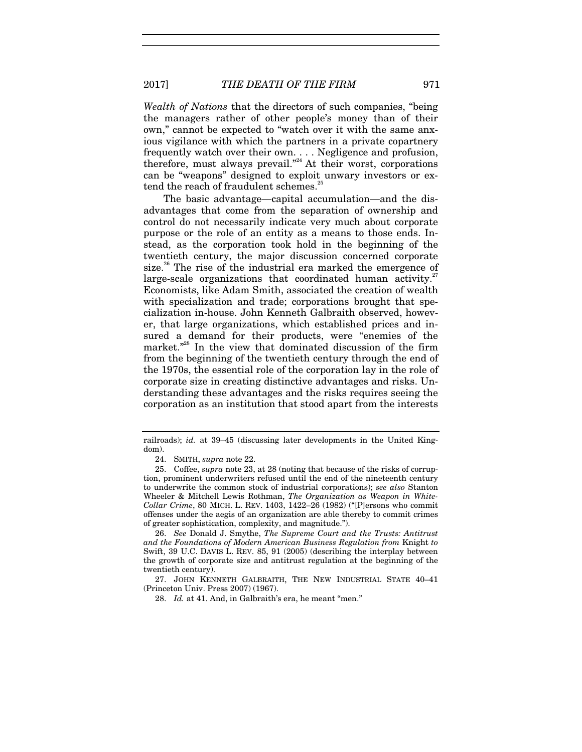2017] *THE DEATH OF THE FIRM* 971

*Wealth of Nations* that the directors of such companies, "being the managers rather of other people's money than of their own," cannot be expected to "watch over it with the same anxious vigilance with which the partners in a private copartnery frequently watch over their own. . . . Negligence and profusion, therefore, must always prevail."<sup>24</sup> At their worst, corporations can be "weapons" designed to exploit unwary investors or extend the reach of fraudulent schemes.<sup>2</sup>

The basic advantage—capital accumulation—and the disadvantages that come from the separation of ownership and control do not necessarily indicate very much about corporate purpose or the role of an entity as a means to those ends. Instead, as the corporation took hold in the beginning of the twentieth century, the major discussion concerned corporate size.<sup>26</sup> The rise of the industrial era marked the emergence of large-scale organizations that coordinated human activity.<sup>27</sup> Economists, like Adam Smith, associated the creation of wealth with specialization and trade; corporations brought that specialization in-house. John Kenneth Galbraith observed, however, that large organizations, which established prices and insured a demand for their products, were "enemies of the market."<sup>28</sup> In the view that dominated discussion of the firm from the beginning of the twentieth century through the end of the 1970s, the essential role of the corporation lay in the role of corporate size in creating distinctive advantages and risks. Understanding these advantages and the risks requires seeing the corporation as an institution that stood apart from the interests

railroads); *id.* at 39–45 (discussing later developments in the United Kingdom).

 <sup>24.</sup> SMITH, *supra* note 22.

 <sup>25.</sup> Coffee, *supra* note 23, at 28 (noting that because of the risks of corruption, prominent underwriters refused until the end of the nineteenth century to underwrite the common stock of industrial corporations); *see also* Stanton Wheeler & Mitchell Lewis Rothman, *The Organization as Weapon in White-Collar Crime*, 80 MICH. L. REV. 1403, 1422–26 (1982) ("[P]ersons who commit offenses under the aegis of an organization are able thereby to commit crimes of greater sophistication, complexity, and magnitude.").

<sup>26.</sup> *See* Donald J. Smythe, *The Supreme Court and the Trusts: Antitrust and the Foundations of Modern American Business Regulation from* Knight *to*  Swift, 39 U.C. DAVIS L. REV. 85, 91 (2005) (describing the interplay between the growth of corporate size and antitrust regulation at the beginning of the twentieth century).

 <sup>27.</sup> JOHN KENNETH GALBRAITH, THE NEW INDUSTRIAL STATE 40–41 (Princeton Univ. Press 2007) (1967).

<sup>28.</sup> *Id.* at 41. And, in Galbraith's era, he meant "men."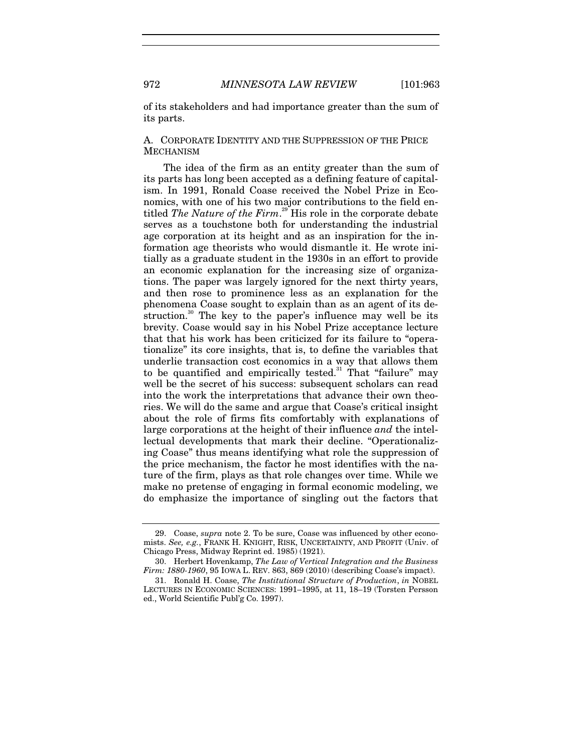of its stakeholders and had importance greater than the sum of its parts.

### A. CORPORATE IDENTITY AND THE SUPPRESSION OF THE PRICE **MECHANISM**

The idea of the firm as an entity greater than the sum of its parts has long been accepted as a defining feature of capitalism. In 1991, Ronald Coase received the Nobel Prize in Economics, with one of his two major contributions to the field entitled *The Nature of the Firm*. 29 His role in the corporate debate serves as a touchstone both for understanding the industrial age corporation at its height and as an inspiration for the information age theorists who would dismantle it. He wrote initially as a graduate student in the 1930s in an effort to provide an economic explanation for the increasing size of organizations. The paper was largely ignored for the next thirty years, and then rose to prominence less as an explanation for the phenomena Coase sought to explain than as an agent of its destruction.<sup>30</sup> The key to the paper's influence may well be its brevity. Coase would say in his Nobel Prize acceptance lecture that that his work has been criticized for its failure to "operationalize" its core insights, that is, to define the variables that underlie transaction cost economics in a way that allows them to be quantified and empirically tested.<sup>31</sup> That "failure" may well be the secret of his success: subsequent scholars can read into the work the interpretations that advance their own theories. We will do the same and argue that Coase's critical insight about the role of firms fits comfortably with explanations of large corporations at the height of their influence *and* the intellectual developments that mark their decline. "Operationalizing Coase" thus means identifying what role the suppression of the price mechanism, the factor he most identifies with the nature of the firm, plays as that role changes over time. While we make no pretense of engaging in formal economic modeling, we do emphasize the importance of singling out the factors that

 <sup>29.</sup> Coase, *supra* note 2. To be sure, Coase was influenced by other economists. *See, e.g.*, FRANK H. KNIGHT, RISK, UNCERTAINTY, AND PROFIT (Univ. of Chicago Press, Midway Reprint ed. 1985) (1921).

 <sup>30.</sup> Herbert Hovenkamp, *The Law of Vertical Integration and the Business Firm: 1880-1960*, 95 IOWA L. REV. 863, 869 (2010) (describing Coase's impact).

 <sup>31.</sup> Ronald H. Coase, *The Institutional Structure of Production*, *in* NOBEL LECTURES IN ECONOMIC SCIENCES: 1991–1995, at 11, 18–19 (Torsten Persson ed., World Scientific Publ'g Co. 1997).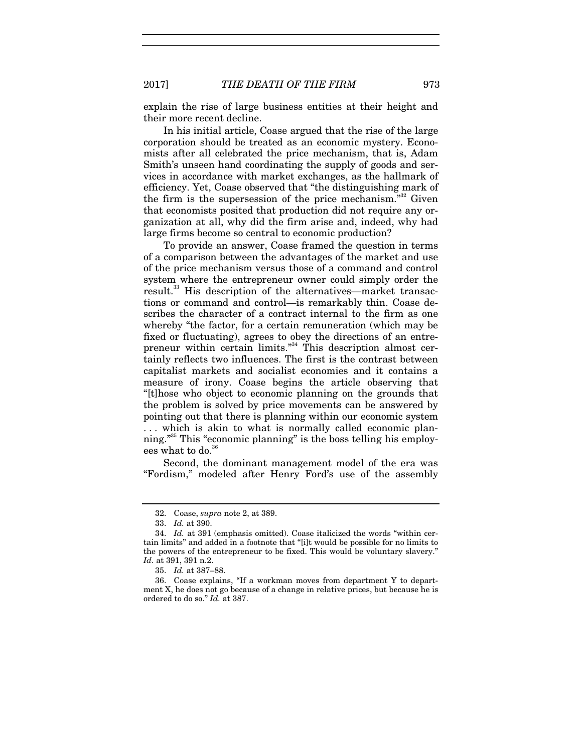explain the rise of large business entities at their height and their more recent decline.

In his initial article, Coase argued that the rise of the large corporation should be treated as an economic mystery. Economists after all celebrated the price mechanism, that is, Adam Smith's unseen hand coordinating the supply of goods and services in accordance with market exchanges, as the hallmark of efficiency. Yet, Coase observed that "the distinguishing mark of the firm is the supersession of the price mechanism. $32^2$  Given that economists posited that production did not require any organization at all, why did the firm arise and, indeed, why had large firms become so central to economic production?

To provide an answer, Coase framed the question in terms of a comparison between the advantages of the market and use of the price mechanism versus those of a command and control system where the entrepreneur owner could simply order the result.<sup>33</sup> His description of the alternatives—market transactions or command and control—is remarkably thin. Coase describes the character of a contract internal to the firm as one whereby "the factor, for a certain remuneration (which may be fixed or fluctuating), agrees to obey the directions of an entrepreneur within certain limits."<sup>34</sup> This description almost certainly reflects two influences. The first is the contrast between capitalist markets and socialist economies and it contains a measure of irony. Coase begins the article observing that "[t]hose who object to economic planning on the grounds that the problem is solved by price movements can be answered by pointing out that there is planning within our economic system . . . which is akin to what is normally called economic planning."35 This "economic planning" is the boss telling his employees what to do.<sup>36</sup>

Second, the dominant management model of the era was "Fordism," modeled after Henry Ford's use of the assembly

<sup>32.</sup> Coase, *supra* note 2, at 389.

<sup>33.</sup> *Id.* at 390.

<sup>34.</sup> *Id.* at 391 (emphasis omitted). Coase italicized the words "within certain limits" and added in a footnote that "[i]t would be possible for no limits to the powers of the entrepreneur to be fixed. This would be voluntary slavery." *Id.* at 391, 391 n.2.

<sup>35.</sup> *Id.* at 387–88.

 <sup>36.</sup> Coase explains, "If a workman moves from department Y to department X, he does not go because of a change in relative prices, but because he is ordered to do so." *Id.* at 387.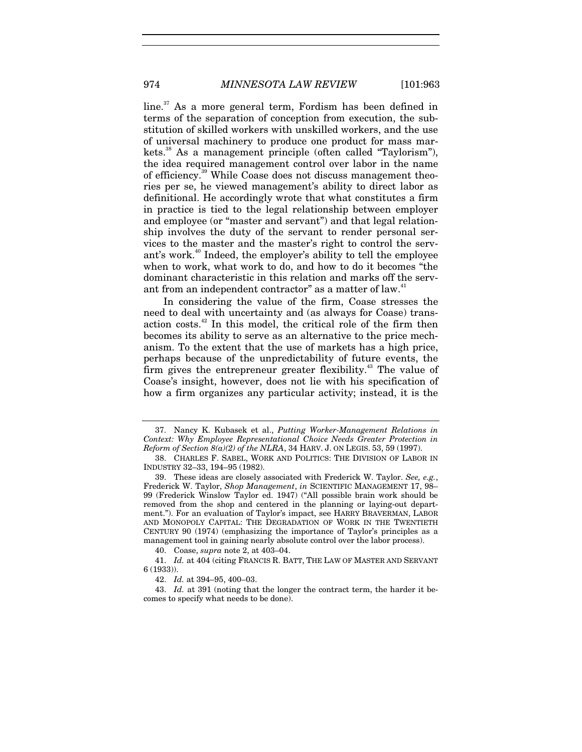line.<sup>37</sup> As a more general term, Fordism has been defined in terms of the separation of conception from execution, the substitution of skilled workers with unskilled workers, and the use of universal machinery to produce one product for mass markets.<sup>38</sup> As a management principle (often called "Taylorism"), the idea required management control over labor in the name of efficiency.<sup>39</sup> While Coase does not discuss management theories per se, he viewed management's ability to direct labor as definitional. He accordingly wrote that what constitutes a firm in practice is tied to the legal relationship between employer and employee (or "master and servant") and that legal relationship involves the duty of the servant to render personal services to the master and the master's right to control the serv-

ant's work.<sup>40</sup> Indeed, the employer's ability to tell the employee when to work, what work to do, and how to do it becomes "the dominant characteristic in this relation and marks off the servant from an independent contractor" as a matter of law.<sup>4</sup>

In considering the value of the firm, Coase stresses the need to deal with uncertainty and (as always for Coase) transaction costs.<sup>42</sup> In this model, the critical role of the firm then becomes its ability to serve as an alternative to the price mechanism. To the extent that the use of markets has a high price, perhaps because of the unpredictability of future events, the firm gives the entrepreneur greater flexibility.<sup>43</sup> The value of Coase's insight, however, does not lie with his specification of how a firm organizes any particular activity; instead, it is the

40. Coase, *supra* note 2, at 403–04.

41. *Id.* at 404 (citing FRANCIS R. BATT, THE LAW OF MASTER AND SERVANT 6 (1933)).

43. *Id.* at 391 (noting that the longer the contract term, the harder it becomes to specify what needs to be done).

 <sup>37.</sup> Nancy K. Kubasek et al., *Putting Worker-Management Relations in Context: Why Employee Representational Choice Needs Greater Protection in Reform of Section*  $8(a)(2)$  *of the NLRA*, 34 HARV. J. ON LEGIS. 53, 59 (1997).

 <sup>38.</sup> CHARLES F. SABEL, WORK AND POLITICS: THE DIVISION OF LABOR IN INDUSTRY 32–33, 194–95 (1982).

 <sup>39.</sup> These ideas are closely associated with Frederick W. Taylor. *See, e.g.*, Frederick W. Taylor, *Shop Management*, *in* SCIENTIFIC MANAGEMENT 17, 98– 99 (Frederick Winslow Taylor ed. 1947) ("All possible brain work should be removed from the shop and centered in the planning or laying-out department."). For an evaluation of Taylor's impact, see HARRY BRAVERMAN, LABOR AND MONOPOLY CAPITAL: THE DEGRADATION OF WORK IN THE TWENTIETH CENTURY 90 (1974) (emphasizing the importance of Taylor's principles as a management tool in gaining nearly absolute control over the labor process).

<sup>42.</sup> *Id.* at 394–95, 400–03.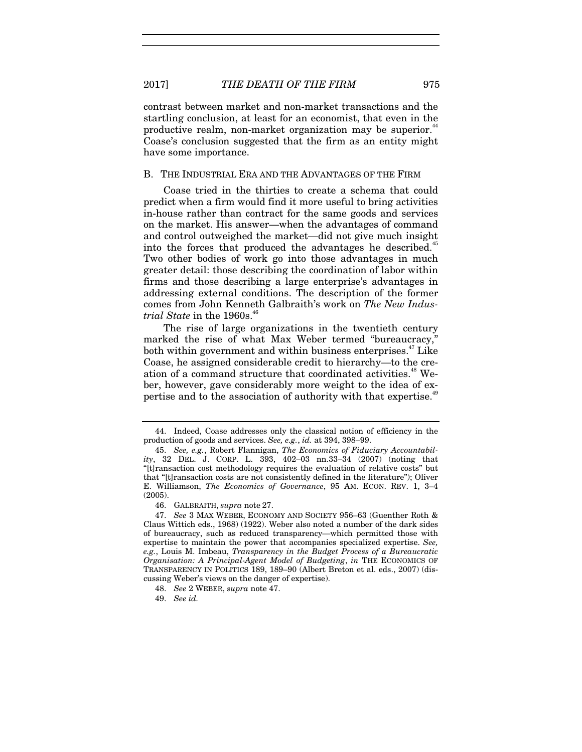contrast between market and non-market transactions and the startling conclusion, at least for an economist, that even in the productive realm, non-market organization may be superior.<sup>44</sup> Coase's conclusion suggested that the firm as an entity might have some importance.

#### B. THE INDUSTRIAL ERA AND THE ADVANTAGES OF THE FIRM

Coase tried in the thirties to create a schema that could predict when a firm would find it more useful to bring activities in-house rather than contract for the same goods and services on the market. His answer—when the advantages of command and control outweighed the market—did not give much insight into the forces that produced the advantages he described.<sup>45</sup> Two other bodies of work go into those advantages in much greater detail: those describing the coordination of labor within firms and those describing a large enterprise's advantages in addressing external conditions. The description of the former comes from John Kenneth Galbraith's work on *The New Industrial State* in the 1960s.<sup>46</sup>

The rise of large organizations in the twentieth century marked the rise of what Max Weber termed "bureaucracy," both within government and within business enterprises. $47$  Like Coase, he assigned considerable credit to hierarchy—to the creation of a command structure that coordinated activities.<sup>48</sup> Weber, however, gave considerably more weight to the idea of expertise and to the association of authority with that expertise.<sup>49</sup>

 <sup>44.</sup> Indeed, Coase addresses only the classical notion of efficiency in the production of goods and services. *See, e.g.*, *id.* at 394, 398–99.

<sup>45.</sup> *See, e.g.*, Robert Flannigan, *The Economics of Fiduciary Accountability*, 32 DEL. J. CORP. L. 393, 402–03 nn.33–34 (2007) (noting that "[t]ransaction cost methodology requires the evaluation of relative costs" but that "[t]ransaction costs are not consistently defined in the literature"); Oliver E. Williamson, *The Economics of Governance*, 95 AM. ECON. REV. 1, 3–4 (2005).

 <sup>46.</sup> GALBRAITH, *supra* note 27.

<sup>47.</sup> *See* 3 MAX WEBER, ECONOMY AND SOCIETY 956–63 (Guenther Roth & Claus Wittich eds., 1968) (1922). Weber also noted a number of the dark sides of bureaucracy, such as reduced transparency—which permitted those with expertise to maintain the power that accompanies specialized expertise. *See, e.g.*, Louis M. Imbeau, *Transparency in the Budget Process of a Bureaucratic Organisation: A Principal-Agent Model of Budgeting*, *in* THE ECONOMICS OF TRANSPARENCY IN POLITICS 189, 189–90 (Albert Breton et al. eds., 2007) (discussing Weber's views on the danger of expertise).

<sup>48.</sup> *See* 2 WEBER, *supra* note 47.

<sup>49.</sup> *See id.*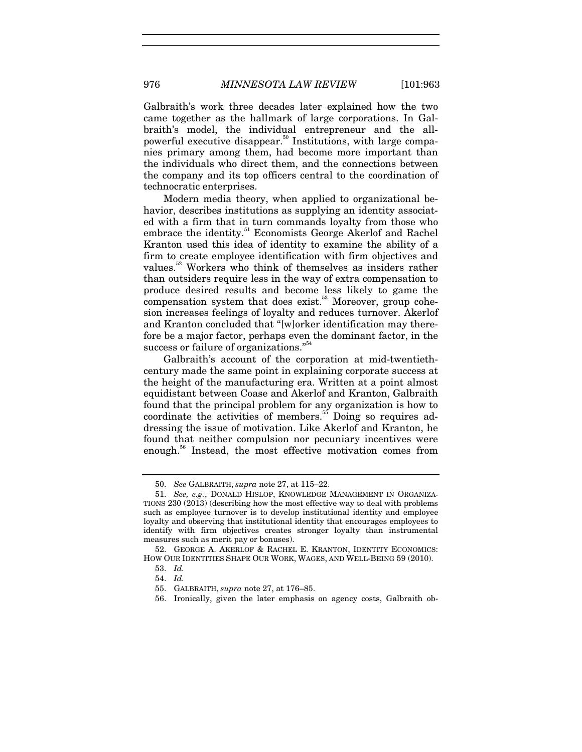Galbraith's work three decades later explained how the two came together as the hallmark of large corporations. In Galbraith's model, the individual entrepreneur and the allpowerful executive disappear.<sup>50</sup> Institutions, with large companies primary among them, had become more important than the individuals who direct them, and the connections between the company and its top officers central to the coordination of technocratic enterprises.

Modern media theory, when applied to organizational behavior, describes institutions as supplying an identity associated with a firm that in turn commands loyalty from those who embrace the identity.<sup>51</sup> Economists George Akerlof and Rachel Kranton used this idea of identity to examine the ability of a firm to create employee identification with firm objectives and values.52 Workers who think of themselves as insiders rather than outsiders require less in the way of extra compensation to produce desired results and become less likely to game the compensation system that does  $exist.^{53}$  Moreover, group cohesion increases feelings of loyalty and reduces turnover. Akerlof and Kranton concluded that "[w]orker identification may therefore be a major factor, perhaps even the dominant factor, in the success or failure of organizations."<sup>54</sup>

Galbraith's account of the corporation at mid-twentiethcentury made the same point in explaining corporate success at the height of the manufacturing era. Written at a point almost equidistant between Coase and Akerlof and Kranton, Galbraith found that the principal problem for any organization is how to coordinate the activities of members.<sup>55</sup> Doing so requires addressing the issue of motivation. Like Akerlof and Kranton, he found that neither compulsion nor pecuniary incentives were enough.56 Instead, the most effective motivation comes from

56. Ironically, given the later emphasis on agency costs, Galbraith ob-

<sup>50.</sup> *See* GALBRAITH, *supra* note 27, at 115–22.

<sup>51.</sup> *See, e.g.*, DONALD HISLOP, KNOWLEDGE MANAGEMENT IN ORGANIZA-TIONS 230 (2013) (describing how the most effective way to deal with problems such as employee turnover is to develop institutional identity and employee loyalty and observing that institutional identity that encourages employees to identify with firm objectives creates stronger loyalty than instrumental measures such as merit pay or bonuses).

 <sup>52.</sup> GEORGE A. AKERLOF & RACHEL E. KRANTON, IDENTITY ECONOMICS: HOW OUR IDENTITIES SHAPE OUR WORK, WAGES, AND WELL-BEING 59 (2010).

<sup>53.</sup> *Id.*

<sup>54.</sup> *Id.*

 <sup>55.</sup> GALBRAITH, *supra* note 27, at 176–85.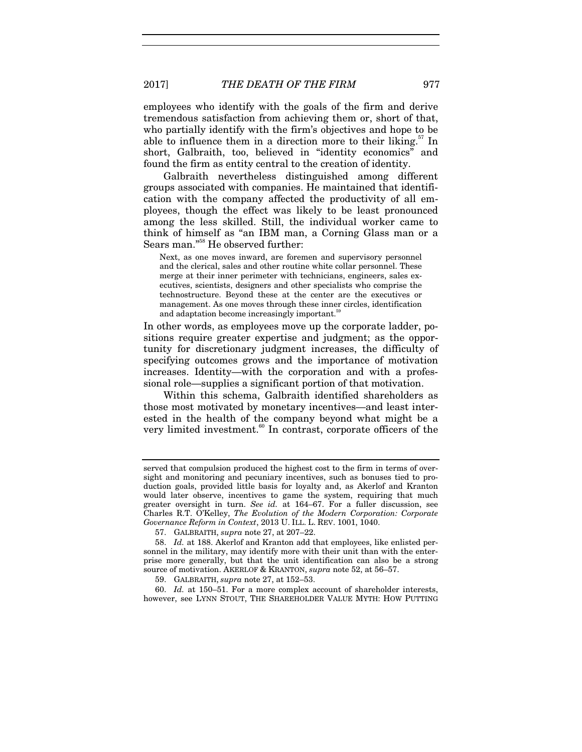2017] *THE DEATH OF THE FIRM* 977

employees who identify with the goals of the firm and derive tremendous satisfaction from achieving them or, short of that, who partially identify with the firm's objectives and hope to be able to influence them in a direction more to their liking.<sup>57</sup> In short, Galbraith, too, believed in "identity economics" and found the firm as entity central to the creation of identity.

Galbraith nevertheless distinguished among different groups associated with companies. He maintained that identification with the company affected the productivity of all employees, though the effect was likely to be least pronounced among the less skilled. Still, the individual worker came to think of himself as "an IBM man, a Corning Glass man or a Sears man."58 He observed further:

Next, as one moves inward, are foremen and supervisory personnel and the clerical, sales and other routine white collar personnel. These merge at their inner perimeter with technicians, engineers, sales executives, scientists, designers and other specialists who comprise the technostructure. Beyond these at the center are the executives or management. As one moves through these inner circles, identification and adaptation become increasingly important.<sup>59</sup>

In other words, as employees move up the corporate ladder, positions require greater expertise and judgment; as the opportunity for discretionary judgment increases, the difficulty of specifying outcomes grows and the importance of motivation increases. Identity—with the corporation and with a professional role—supplies a significant portion of that motivation.

Within this schema, Galbraith identified shareholders as those most motivated by monetary incentives—and least interested in the health of the company beyond what might be a very limited investment. $60$  In contrast, corporate officers of the

60. *Id.* at 150–51. For a more complex account of shareholder interests, however, see LYNN STOUT, THE SHAREHOLDER VALUE MYTH: HOW PUTTING

served that compulsion produced the highest cost to the firm in terms of oversight and monitoring and pecuniary incentives, such as bonuses tied to production goals, provided little basis for loyalty and, as Akerlof and Kranton would later observe, incentives to game the system, requiring that much greater oversight in turn. *See id.* at 164–67. For a fuller discussion, see Charles R.T. O'Kelley, *The Evolution of the Modern Corporation: Corporate Governance Reform in Context*, 2013 U. ILL. L. REV. 1001, 1040.

 <sup>57.</sup> GALBRAITH, *supra* note 27, at 207–22.

<sup>58.</sup> *Id.* at 188. Akerlof and Kranton add that employees, like enlisted personnel in the military, may identify more with their unit than with the enterprise more generally, but that the unit identification can also be a strong source of motivation. AKERLOF & KRANTON, *supra* note 52, at 56–57.

 <sup>59.</sup> GALBRAITH, *supra* note 27, at 152–53.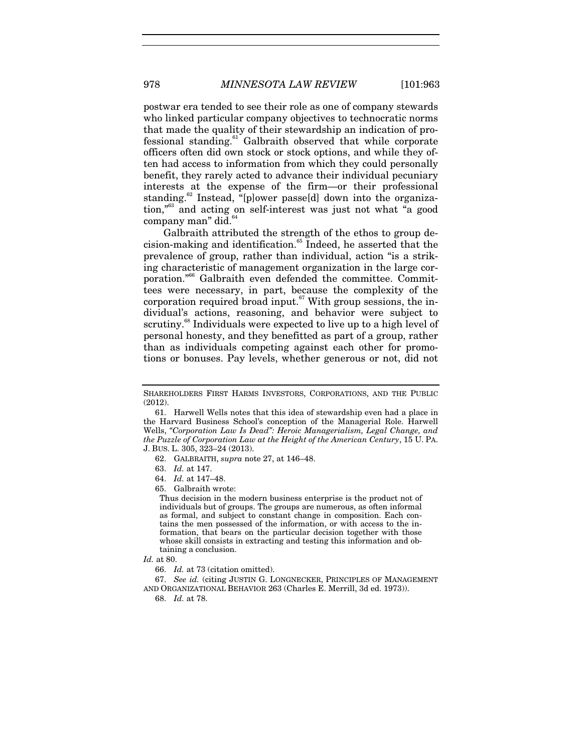postwar era tended to see their role as one of company stewards who linked particular company objectives to technocratic norms that made the quality of their stewardship an indication of professional standing.<sup>61</sup> Galbraith observed that while corporate officers often did own stock or stock options, and while they often had access to information from which they could personally benefit, they rarely acted to advance their individual pecuniary interests at the expense of the firm—or their professional standing.<sup>62</sup> Instead, "[p]ower passe[d] down into the organization,"63 and acting on self-interest was just not what "a good company man" did.<sup>6</sup>

Galbraith attributed the strength of the ethos to group decision-making and identification.<sup>65</sup> Indeed, he asserted that the prevalence of group, rather than individual, action "is a striking characteristic of management organization in the large corporation."<sup>66</sup> Galbraith even defended the committee. Committees were necessary, in part, because the complexity of the corporation required broad input. $67$  With group sessions, the individual's actions, reasoning, and behavior were subject to scrutiny.<sup>68</sup> Individuals were expected to live up to a high level of personal honesty, and they benefitted as part of a group, rather than as individuals competing against each other for promotions or bonuses. Pay levels, whether generous or not, did not

SHAREHOLDERS FIRST HARMS INVESTORS, CORPORATIONS, AND THE PUBLIC (2012).

 <sup>61.</sup> Harwell Wells notes that this idea of stewardship even had a place in the Harvard Business School's conception of the Managerial Role. Harwell Wells, *"Corporation Law Is Dead": Heroic Managerialism, Legal Change, and the Puzzle of Corporation Law at the Height of the American Century*, 15 U. PA. J. BUS. L. 305, 323–24 (2013).

 <sup>62.</sup> GALBRAITH, *supra* note 27, at 146–48.

<sup>63.</sup> *Id.* at 147.

<sup>64.</sup> *Id.* at 147–48.

 <sup>65.</sup> Galbraith wrote:

Thus decision in the modern business enterprise is the product not of individuals but of groups. The groups are numerous, as often informal as formal, and subject to constant change in composition. Each contains the men possessed of the information, or with access to the information, that bears on the particular decision together with those whose skill consists in extracting and testing this information and obtaining a conclusion.

*Id.* at 80.

<sup>66.</sup> *Id.* at 73 (citation omitted).

<sup>67.</sup> *See id.* (citing JUSTIN G. LONGNECKER, PRINCIPLES OF MANAGEMENT AND ORGANIZATIONAL BEHAVIOR 263 (Charles E. Merrill, 3d ed. 1973)).

<sup>68.</sup> *Id.* at 78.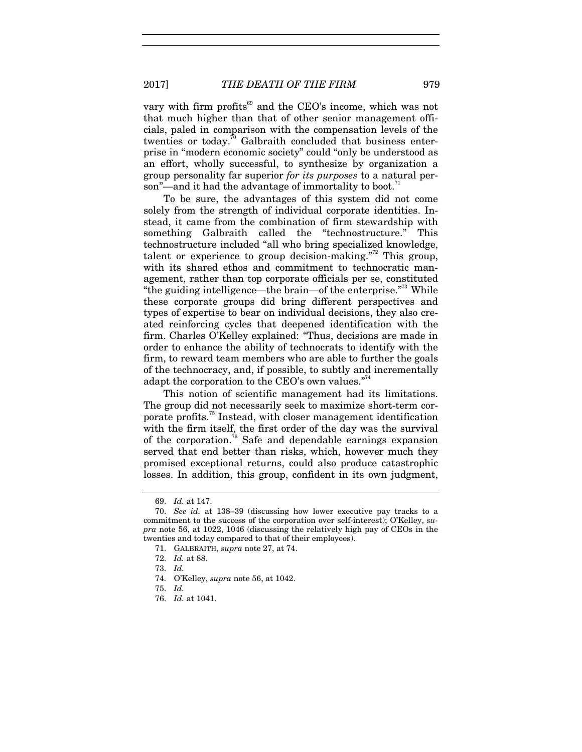2017] *THE DEATH OF THE FIRM* 979

vary with firm profits<sup>69</sup> and the CEO's income, which was not that much higher than that of other senior management officials, paled in comparison with the compensation levels of the twenties or today.<sup>70</sup> Galbraith concluded that business enterprise in "modern economic society" could "only be understood as an effort, wholly successful, to synthesize by organization a group personality far superior *for its purposes* to a natural person"—and it had the advantage of immortality to boot.<sup>7</sup>

To be sure, the advantages of this system did not come solely from the strength of individual corporate identities. Instead, it came from the combination of firm stewardship with something Galbraith called the "technostructure." This technostructure included "all who bring specialized knowledge, talent or experience to group decision-making. $172$  This group, with its shared ethos and commitment to technocratic management, rather than top corporate officials per se, constituted "the guiding intelligence—the brain—of the enterprise."73 While these corporate groups did bring different perspectives and types of expertise to bear on individual decisions, they also created reinforcing cycles that deepened identification with the firm. Charles O'Kelley explained: "Thus, decisions are made in order to enhance the ability of technocrats to identify with the firm, to reward team members who are able to further the goals of the technocracy, and, if possible, to subtly and incrementally adapt the corporation to the CEO's own values."<sup>74</sup>

This notion of scientific management had its limitations. The group did not necessarily seek to maximize short-term corporate profits.75 Instead, with closer management identification with the firm itself, the first order of the day was the survival of the corporation.<sup>76</sup> Safe and dependable earnings expansion served that end better than risks, which, however much they promised exceptional returns, could also produce catastrophic losses. In addition, this group, confident in its own judgment,

<sup>69.</sup> *Id.* at 147.

<sup>70.</sup> *See id.* at 138–39 (discussing how lower executive pay tracks to a commitment to the success of the corporation over self-interest); O'Kelley, *supra* note 56, at 1022, 1046 (discussing the relatively high pay of CEOs in the twenties and today compared to that of their employees).

 <sup>71.</sup> GALBRAITH, *supra* note 27, at 74.

<sup>72.</sup> *Id.* at 88.

<sup>73.</sup> *Id.*

 <sup>74.</sup> O'Kelley, *supra* note 56, at 1042.

<sup>75.</sup> *Id.*

<sup>76.</sup> *Id.* at 1041.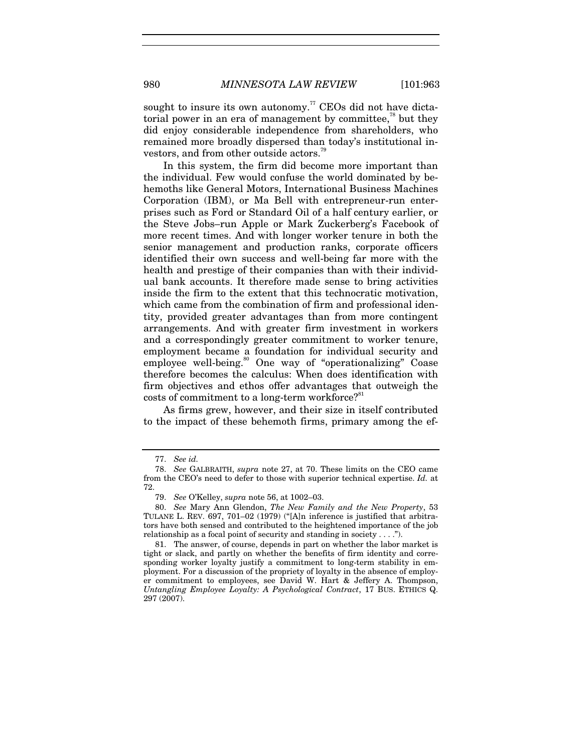sought to insure its own autonomy.<sup>77</sup> CEOs did not have dictatorial power in an era of management by committee, $^{78}$  but they did enjoy considerable independence from shareholders, who remained more broadly dispersed than today's institutional investors, and from other outside actors.<sup>79</sup>

In this system, the firm did become more important than the individual. Few would confuse the world dominated by behemoths like General Motors, International Business Machines Corporation (IBM), or Ma Bell with entrepreneur-run enterprises such as Ford or Standard Oil of a half century earlier, or the Steve Jobs–run Apple or Mark Zuckerberg's Facebook of more recent times. And with longer worker tenure in both the senior management and production ranks, corporate officers identified their own success and well-being far more with the health and prestige of their companies than with their individual bank accounts. It therefore made sense to bring activities inside the firm to the extent that this technocratic motivation, which came from the combination of firm and professional identity, provided greater advantages than from more contingent arrangements. And with greater firm investment in workers and a correspondingly greater commitment to worker tenure, employment became a foundation for individual security and employee well-being.<sup>80</sup> One way of "operationalizing" Coase therefore becomes the calculus: When does identification with firm objectives and ethos offer advantages that outweigh the costs of commitment to a long-term workforce?<sup>81</sup>

As firms grew, however, and their size in itself contributed to the impact of these behemoth firms, primary among the ef-

<sup>77.</sup> *See id.* 

<sup>78.</sup> *See* GALBRAITH, *supra* note 27, at 70. These limits on the CEO came from the CEO's need to defer to those with superior technical expertise. *Id.* at 72.

<sup>79.</sup> *See* O'Kelley, *supra* note 56, at 1002–03.

<sup>80.</sup> *See* Mary Ann Glendon, *The New Family and the New Property*, 53 TULANE L. REV. 697, 701–02 (1979) ("[A]n inference is justified that arbitrators have both sensed and contributed to the heightened importance of the job relationship as a focal point of security and standing in society  $\dots$ .").

 <sup>81.</sup> The answer, of course, depends in part on whether the labor market is tight or slack, and partly on whether the benefits of firm identity and corresponding worker loyalty justify a commitment to long-term stability in employment. For a discussion of the propriety of loyalty in the absence of employer commitment to employees, see David W. Hart & Jeffery A. Thompson, *Untangling Employee Loyalty: A Psychological Contract*, 17 BUS. ETHICS Q. 297 (2007).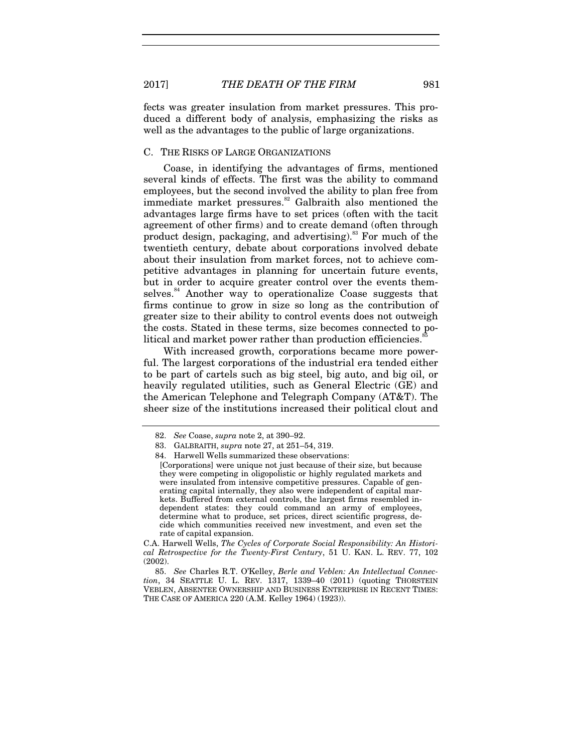fects was greater insulation from market pressures. This produced a different body of analysis, emphasizing the risks as well as the advantages to the public of large organizations.

#### C. THE RISKS OF LARGE ORGANIZATIONS

Coase, in identifying the advantages of firms, mentioned several kinds of effects. The first was the ability to command employees, but the second involved the ability to plan free from immediate market pressures. $82$  Galbraith also mentioned the advantages large firms have to set prices (often with the tacit agreement of other firms) and to create demand (often through product design, packaging, and advertising). $83$  For much of the twentieth century, debate about corporations involved debate about their insulation from market forces, not to achieve competitive advantages in planning for uncertain future events, but in order to acquire greater control over the events themselves.<sup>84</sup> Another way to operationalize Coase suggests that firms continue to grow in size so long as the contribution of greater size to their ability to control events does not outweigh the costs. Stated in these terms, size becomes connected to political and market power rather than production efficiencies.<sup>8</sup>

With increased growth, corporations became more powerful. The largest corporations of the industrial era tended either to be part of cartels such as big steel, big auto, and big oil, or heavily regulated utilities, such as General Electric (GE) and the American Telephone and Telegraph Company (AT&T). The sheer size of the institutions increased their political clout and

<sup>82.</sup> *See* Coase, *supra* note 2, at 390–92.

 <sup>83.</sup> GALBRAITH, *supra* note 27, at 251–54, 319.

 <sup>84.</sup> Harwell Wells summarized these observations:

<sup>[</sup>Corporations] were unique not just because of their size, but because they were competing in oligopolistic or highly regulated markets and were insulated from intensive competitive pressures. Capable of generating capital internally, they also were independent of capital markets. Buffered from external controls, the largest firms resembled independent states: they could command an army of employees, determine what to produce, set prices, direct scientific progress, decide which communities received new investment, and even set the rate of capital expansion.

C.A. Harwell Wells, *The Cycles of Corporate Social Responsibility: An Historical Retrospective for the Twenty-First Century*, 51 U. KAN. L. REV. 77, 102 (2002).

<sup>85.</sup> *See* Charles R.T. O'Kelley, *Berle and Veblen: An Intellectual Connection*, 34 SEATTLE U. L. REV. 1317, 1339–40 (2011) (quoting THORSTEIN VEBLEN, ABSENTEE OWNERSHIP AND BUSINESS ENTERPRISE IN RECENT TIMES: THE CASE OF AMERICA 220 (A.M. Kelley 1964) (1923)).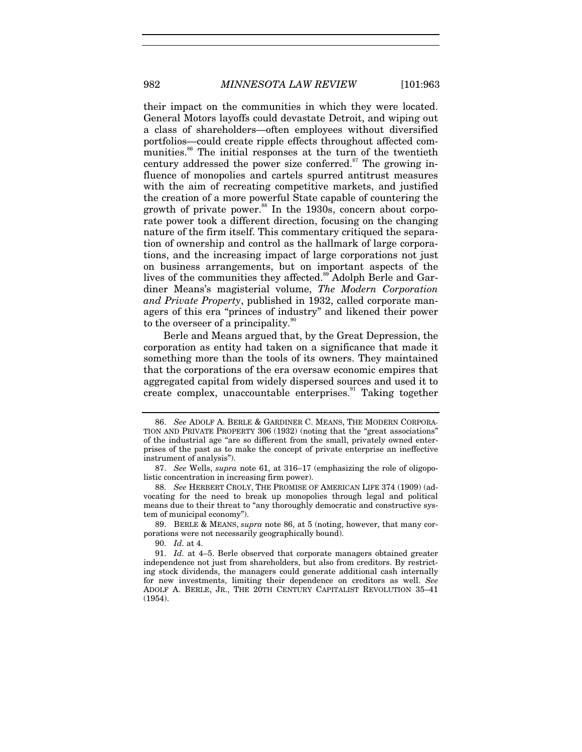their impact on the communities in which they were located. General Motors layoffs could devastate Detroit, and wiping out a class of shareholders—often employees without diversified portfolios—could create ripple effects throughout affected communities.<sup>86</sup> The initial responses at the turn of the twentieth century addressed the power size conferred.<sup>87</sup> The growing influence of monopolies and cartels spurred antitrust measures with the aim of recreating competitive markets, and justified the creation of a more powerful State capable of countering the growth of private power.<sup>88</sup> In the 1930s, concern about corporate power took a different direction, focusing on the changing nature of the firm itself. This commentary critiqued the separation of ownership and control as the hallmark of large corporations, and the increasing impact of large corporations not just on business arrangements, but on important aspects of the lives of the communities they affected.<sup>89</sup> Adolph Berle and Gardiner Means's magisterial volume, *The Modern Corporation and Private Property*, published in 1932, called corporate managers of this era "princes of industry" and likened their power

Berle and Means argued that, by the Great Depression, the corporation as entity had taken on a significance that made it something more than the tools of its owners. They maintained that the corporations of the era oversaw economic empires that aggregated capital from widely dispersed sources and used it to create complex, unaccountable enterprises.<sup>91</sup> Taking together

to the overseer of a principality.

 89. BERLE & MEANS, *supra* note 86, at 5 (noting, however, that many corporations were not necessarily geographically bound).

90. *Id.* at 4.

<sup>86.</sup> *See* ADOLF A. BERLE & GARDINER C. MEANS, THE MODERN CORPORA-TION AND PRIVATE PROPERTY 306 (1932) (noting that the "great associations" of the industrial age "are so different from the small, privately owned enterprises of the past as to make the concept of private enterprise an ineffective instrument of analysis").

<sup>87.</sup> *See* Wells, *supra* note 61, at 316–17 (emphasizing the role of oligopolistic concentration in increasing firm power).

<sup>88.</sup> *See* HERBERT CROLY, THE PROMISE OF AMERICAN LIFE 374 (1909) (advocating for the need to break up monopolies through legal and political means due to their threat to "any thoroughly democratic and constructive system of municipal economy").

<sup>91.</sup> *Id.* at 4–5. Berle observed that corporate managers obtained greater independence not just from shareholders, but also from creditors. By restricting stock dividends, the managers could generate additional cash internally for new investments, limiting their dependence on creditors as well. *See* ADOLF A. BERLE, JR., THE 20TH CENTURY CAPITALIST REVOLUTION 35–41 (1954).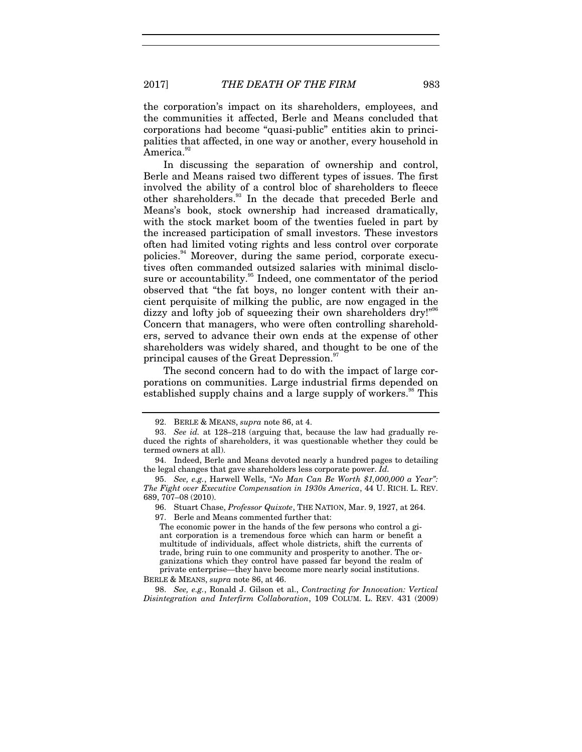the corporation's impact on its shareholders, employees, and the communities it affected, Berle and Means concluded that corporations had become "quasi-public" entities akin to principalities that affected, in one way or another, every household in America.<sup>92</sup>

In discussing the separation of ownership and control, Berle and Means raised two different types of issues. The first involved the ability of a control bloc of shareholders to fleece other shareholders.<sup>93</sup> In the decade that preceded Berle and Means's book, stock ownership had increased dramatically, with the stock market boom of the twenties fueled in part by the increased participation of small investors. These investors often had limited voting rights and less control over corporate policies.94 Moreover, during the same period, corporate executives often commanded outsized salaries with minimal disclosure or accountability.<sup>95</sup> Indeed, one commentator of the period observed that "the fat boys, no longer content with their ancient perquisite of milking the public, are now engaged in the dizzy and lofty job of squeezing their own shareholders dry!"<sup>96</sup> Concern that managers, who were often controlling shareholders, served to advance their own ends at the expense of other shareholders was widely shared, and thought to be one of the principal causes of the Great Depression.<sup>97</sup>

The second concern had to do with the impact of large corporations on communities. Large industrial firms depended on established supply chains and a large supply of workers.<sup>38</sup> This

 <sup>92.</sup> BERLE & MEANS, *supra* note 86, at 4.

<sup>93.</sup> *See id.* at 128–218 (arguing that, because the law had gradually reduced the rights of shareholders, it was questionable whether they could be termed owners at all).

 <sup>94.</sup> Indeed, Berle and Means devoted nearly a hundred pages to detailing the legal changes that gave shareholders less corporate power. *Id.*

<sup>95.</sup> *See, e.g.*, Harwell Wells, *"No Man Can Be Worth \$1,000,000 a Year": The Fight over Executive Compensation in 1930s America*, 44 U. RICH. L. REV. 689, 707–08 (2010).

 <sup>96.</sup> Stuart Chase, *Professor Quixote*, THE NATION, Mar. 9, 1927, at 264. 97. Berle and Means commented further that:

The economic power in the hands of the few persons who control a giant corporation is a tremendous force which can harm or benefit a multitude of individuals, affect whole districts, shift the currents of trade, bring ruin to one community and prosperity to another. The organizations which they control have passed far beyond the realm of private enterprise—they have become more nearly social institutions. BERLE & MEANS, *supra* note 86, at 46.

<sup>98.</sup> *See, e.g.*, Ronald J. Gilson et al., *Contracting for Innovation: Vertical Disintegration and Interfirm Collaboration*, 109 COLUM. L. REV. 431 (2009)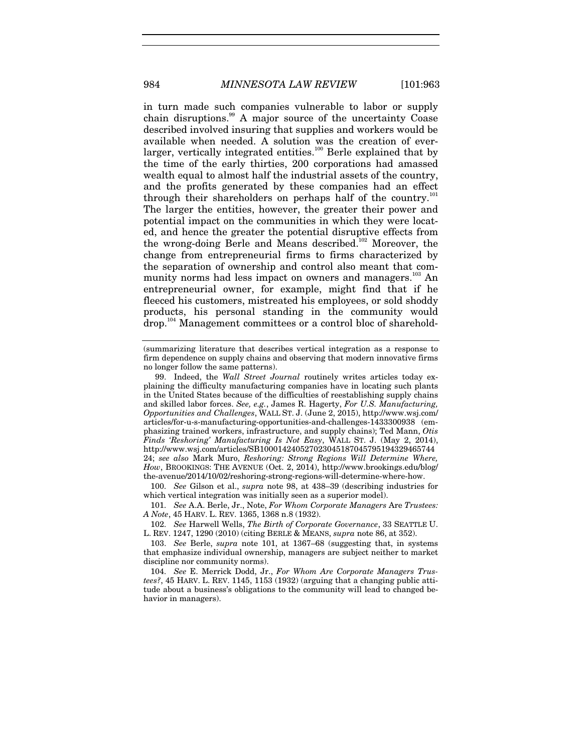in turn made such companies vulnerable to labor or supply chain disruptions.<sup>99</sup> A major source of the uncertainty Coase described involved insuring that supplies and workers would be available when needed. A solution was the creation of everlarger, vertically integrated entities.<sup>100</sup> Berle explained that by the time of the early thirties, 200 corporations had amassed wealth equal to almost half the industrial assets of the country, and the profits generated by these companies had an effect through their shareholders on perhaps half of the country.<sup>1</sup> The larger the entities, however, the greater their power and potential impact on the communities in which they were located, and hence the greater the potential disruptive effects from the wrong-doing Berle and Means described.<sup>102</sup> Moreover, the change from entrepreneurial firms to firms characterized by the separation of ownership and control also meant that community norms had less impact on owners and managers.<sup>103</sup> An entrepreneurial owner, for example, might find that if he fleeced his customers, mistreated his employees, or sold shoddy products, his personal standing in the community would drop.<sup>104</sup> Management committees or a control bloc of sharehold-

100. *See* Gilson et al., *supra* note 98, at 438–39 (describing industries for which vertical integration was initially seen as a superior model).

101. *See* A.A. Berle, Jr., Note, *For Whom Corporate Managers* Are *Trustees: A Note*, 45 HARV. L. REV. 1365, 1368 n.8 (1932).

102. *See* Harwell Wells, *The Birth of Corporate Governance*, 33 SEATTLE U. L. REV. 1247, 1290 (2010) (citing BERLE & MEANS, *supra* note 86, at 352).

103. *See* Berle, *supra* note 101, at 1367–68 (suggesting that, in systems that emphasize individual ownership, managers are subject neither to market discipline nor community norms).

104. *See* E. Merrick Dodd, Jr., *For Whom Are Corporate Managers Trustees?*, 45 HARV. L. REV. 1145, 1153 (1932) (arguing that a changing public attitude about a business's obligations to the community will lead to changed behavior in managers).

<sup>(</sup>summarizing literature that describes vertical integration as a response to firm dependence on supply chains and observing that modern innovative firms no longer follow the same patterns).

 <sup>99.</sup> Indeed, the *Wall Street Journal* routinely writes articles today explaining the difficulty manufacturing companies have in locating such plants in the United States because of the difficulties of reestablishing supply chains and skilled labor forces. *See, e.g.*, James R. Hagerty, *For U.S. Manufacturing, Opportunities and Challenges*, WALL ST. J. (June 2, 2015), http://www.wsj.com/ articles/for-u-s-manufacturing-opportunities-and-challenges-1433300938 (emphasizing trained workers, infrastructure, and supply chains); Ted Mann, *Otis Finds 'Reshoring' Manufacturing Is Not Easy*, WALL ST. J. (May 2, 2014), http://www.wsj.com/articles/SB100014240527023045187045795194329465744 24; *see also* Mark Muro, *Reshoring: Strong Regions Will Determine Where, How*, BROOKINGS: THE AVENUE (Oct. 2, 2014), http://www.brookings.edu/blog/ the-avenue/2014/10/02/reshoring-strong-regions-will-determine-where-how.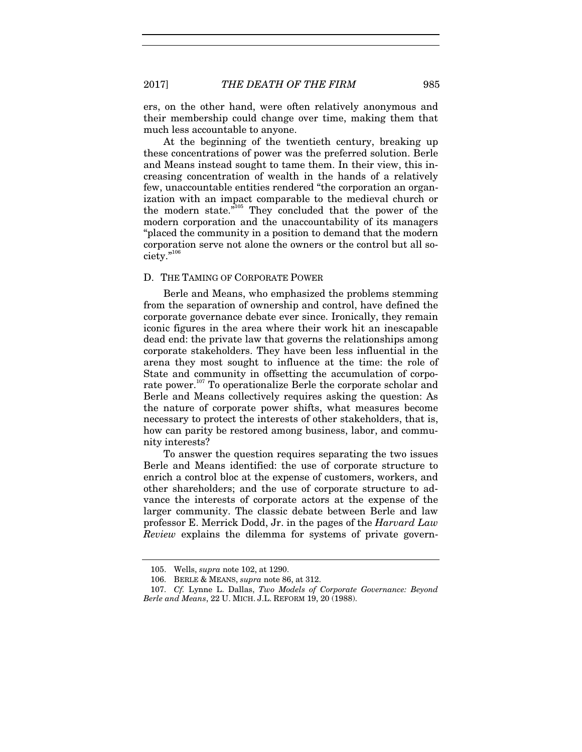ers, on the other hand, were often relatively anonymous and their membership could change over time, making them that much less accountable to anyone.

At the beginning of the twentieth century, breaking up these concentrations of power was the preferred solution. Berle and Means instead sought to tame them. In their view, this increasing concentration of wealth in the hands of a relatively few, unaccountable entities rendered "the corporation an organization with an impact comparable to the medieval church or the modern state."105 They concluded that the power of the modern corporation and the unaccountability of its managers "placed the community in a position to demand that the modern corporation serve not alone the owners or the control but all society."106

#### D. THE TAMING OF CORPORATE POWER

Berle and Means, who emphasized the problems stemming from the separation of ownership and control, have defined the corporate governance debate ever since. Ironically, they remain iconic figures in the area where their work hit an inescapable dead end: the private law that governs the relationships among corporate stakeholders. They have been less influential in the arena they most sought to influence at the time: the role of State and community in offsetting the accumulation of corporate power.<sup>107</sup> To operationalize Berle the corporate scholar and Berle and Means collectively requires asking the question: As the nature of corporate power shifts, what measures become necessary to protect the interests of other stakeholders, that is, how can parity be restored among business, labor, and community interests?

To answer the question requires separating the two issues Berle and Means identified: the use of corporate structure to enrich a control bloc at the expense of customers, workers, and other shareholders; and the use of corporate structure to advance the interests of corporate actors at the expense of the larger community. The classic debate between Berle and law professor E. Merrick Dodd, Jr. in the pages of the *Harvard Law Review* explains the dilemma for systems of private govern-

 <sup>105.</sup> Wells, *supra* note 102, at 1290.

 <sup>106.</sup> BERLE & MEANS, *supra* note 86, at 312.

<sup>107.</sup> *Cf.* Lynne L. Dallas, *Two Models of Corporate Governance: Beyond Berle and Means*, 22 U. MICH. J.L. REFORM 19, 20 (1988).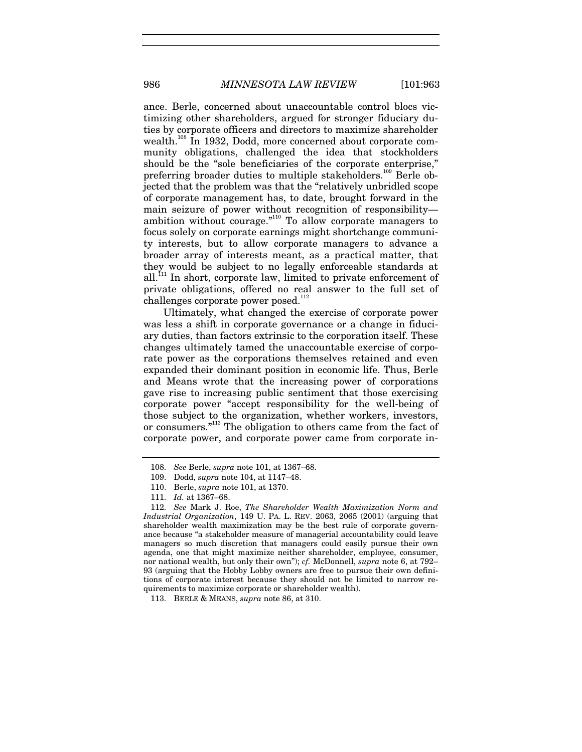ance. Berle, concerned about unaccountable control blocs victimizing other shareholders, argued for stronger fiduciary duties by corporate officers and directors to maximize shareholder wealth.<sup>108</sup> In 1932, Dodd, more concerned about corporate community obligations, challenged the idea that stockholders should be the "sole beneficiaries of the corporate enterprise," preferring broader duties to multiple stakeholders.<sup>109</sup> Berle objected that the problem was that the "relatively unbridled scope of corporate management has, to date, brought forward in the main seizure of power without recognition of responsibility ambition without courage."110 To allow corporate managers to focus solely on corporate earnings might shortchange community interests, but to allow corporate managers to advance a broader array of interests meant, as a practical matter, that they would be subject to no legally enforceable standards at all.<sup>111</sup> In short, corporate law, limited to private enforcement of private obligations, offered no real answer to the full set of challenges corporate power posed.<sup>112</sup>

Ultimately, what changed the exercise of corporate power was less a shift in corporate governance or a change in fiduciary duties, than factors extrinsic to the corporation itself. These changes ultimately tamed the unaccountable exercise of corporate power as the corporations themselves retained and even expanded their dominant position in economic life. Thus, Berle and Means wrote that the increasing power of corporations gave rise to increasing public sentiment that those exercising corporate power "accept responsibility for the well-being of those subject to the organization, whether workers, investors, or consumers."<sup>113</sup> The obligation to others came from the fact of corporate power, and corporate power came from corporate in-

<sup>108.</sup> *See* Berle, *supra* note 101, at 1367–68.

 <sup>109.</sup> Dodd, *supra* note 104, at 1147–48.

 <sup>110.</sup> Berle, *supra* note 101, at 1370.

<sup>111.</sup> *Id.* at 1367–68.

<sup>112.</sup> *See* Mark J. Roe, *The Shareholder Wealth Maximization Norm and Industrial Organization*, 149 U. PA. L. REV. 2063, 2065 (2001) (arguing that shareholder wealth maximization may be the best rule of corporate governance because "a stakeholder measure of managerial accountability could leave managers so much discretion that managers could easily pursue their own agenda, one that might maximize neither shareholder, employee, consumer, nor national wealth, but only their own"); *cf.* McDonnell, *supra* note 6, at 792– 93 (arguing that the Hobby Lobby owners are free to pursue their own definitions of corporate interest because they should not be limited to narrow requirements to maximize corporate or shareholder wealth).

 <sup>113.</sup> BERLE & MEANS, *supra* note 86, at 310.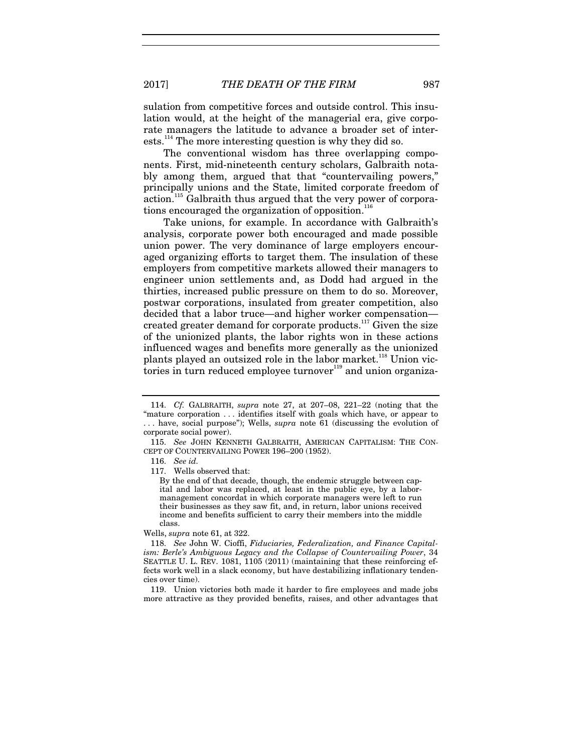sulation from competitive forces and outside control. This insulation would, at the height of the managerial era, give corporate managers the latitude to advance a broader set of interests.<sup>114</sup> The more interesting question is why they did so.

The conventional wisdom has three overlapping components. First, mid-nineteenth century scholars, Galbraith notably among them, argued that that "countervailing powers," principally unions and the State, limited corporate freedom of action.<sup>115</sup> Galbraith thus argued that the very power of corporations encouraged the organization of opposition. $116$ 

Take unions, for example. In accordance with Galbraith's analysis, corporate power both encouraged and made possible union power. The very dominance of large employers encouraged organizing efforts to target them. The insulation of these employers from competitive markets allowed their managers to engineer union settlements and, as Dodd had argued in the thirties, increased public pressure on them to do so. Moreover, postwar corporations, insulated from greater competition, also decided that a labor truce—and higher worker compensation created greater demand for corporate products.<sup>117</sup> Given the size of the unionized plants, the labor rights won in these actions influenced wages and benefits more generally as the unionized plants played an outsized role in the labor market.<sup>118</sup> Union victories in turn reduced employee turnover $119}$  and union organiza-

By the end of that decade, though, the endemic struggle between capital and labor was replaced, at least in the public eye, by a labormanagement concordat in which corporate managers were left to run their businesses as they saw fit, and, in return, labor unions received income and benefits sufficient to carry their members into the middle class.

Wells, *supra* note 61, at 322.

118. *See* John W. Cioffi, *Fiduciaries, Federalization, and Finance Capitalism: Berle's Ambiguous Legacy and the Collapse of Countervailing Power*, 34 SEATTLE U. L. REV. 1081, 1105 (2011) (maintaining that these reinforcing effects work well in a slack economy, but have destabilizing inflationary tendencies over time).

 119. Union victories both made it harder to fire employees and made jobs more attractive as they provided benefits, raises, and other advantages that

<sup>114.</sup> *Cf.* GALBRAITH, *supra* note 27, at 207–08, 221–22 (noting that the "mature corporation . . . identifies itself with goals which have, or appear to . . . have, social purpose"); Wells, *supra* note 61 (discussing the evolution of corporate social power).

<sup>115.</sup> *See* JOHN KENNETH GALBRAITH, AMERICAN CAPITALISM: THE CON-CEPT OF COUNTERVAILING POWER 196–200 (1952).

<sup>116.</sup> *See id.*

 <sup>117.</sup> Wells observed that: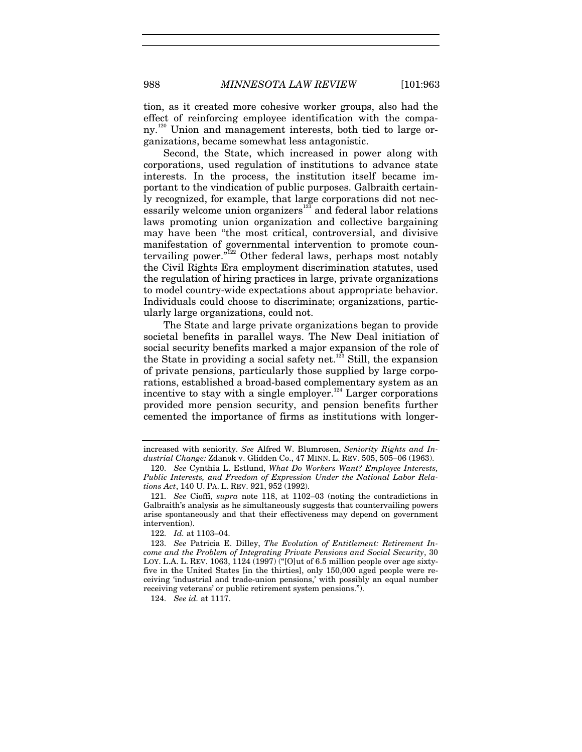tion, as it created more cohesive worker groups, also had the effect of reinforcing employee identification with the company.120 Union and management interests, both tied to large organizations, became somewhat less antagonistic.

Second, the State, which increased in power along with corporations, used regulation of institutions to advance state interests. In the process, the institution itself became important to the vindication of public purposes. Galbraith certainly recognized, for example, that large corporations did not necessarily welcome union organizers<sup>121</sup> and federal labor relations laws promoting union organization and collective bargaining may have been "the most critical, controversial, and divisive manifestation of governmental intervention to promote countervailing power."122 Other federal laws, perhaps most notably the Civil Rights Era employment discrimination statutes, used the regulation of hiring practices in large, private organizations to model country-wide expectations about appropriate behavior. Individuals could choose to discriminate; organizations, particularly large organizations, could not.

The State and large private organizations began to provide societal benefits in parallel ways. The New Deal initiation of social security benefits marked a major expansion of the role of the State in providing a social safety net.<sup>123</sup> Still, the expansion of private pensions, particularly those supplied by large corporations, established a broad-based complementary system as an incentive to stay with a single employer.<sup>124</sup> Larger corporations provided more pension security, and pension benefits further cemented the importance of firms as institutions with longer-

124. *See id.* at 1117.

increased with seniority. *See* Alfred W. Blumrosen, *Seniority Rights and Industrial Change:* Zdanok v. Glidden Co., 47 MINN. L. REV. 505, 505–06 (1963).

<sup>120.</sup> *See* Cynthia L. Estlund, *What Do Workers Want? Employee Interests, Public Interests, and Freedom of Expression Under the National Labor Relations Act*, 140 U. PA. L. REV. 921, 952 (1992).

<sup>121.</sup> *See* Cioffi, *supra* note 118, at 1102–03 (noting the contradictions in Galbraith's analysis as he simultaneously suggests that countervailing powers arise spontaneously and that their effectiveness may depend on government intervention).

<sup>122.</sup> *Id.* at 1103–04.

<sup>123.</sup> *See* Patricia E. Dilley, *The Evolution of Entitlement: Retirement Income and the Problem of Integrating Private Pensions and Social Security*, 30 LOY. L.A. L. REV. 1063, 1124 (1997) ("[O]ut of 6.5 million people over age sixtyfive in the United States [in the thirties], only 150,000 aged people were receiving 'industrial and trade-union pensions,' with possibly an equal number receiving veterans' or public retirement system pensions.").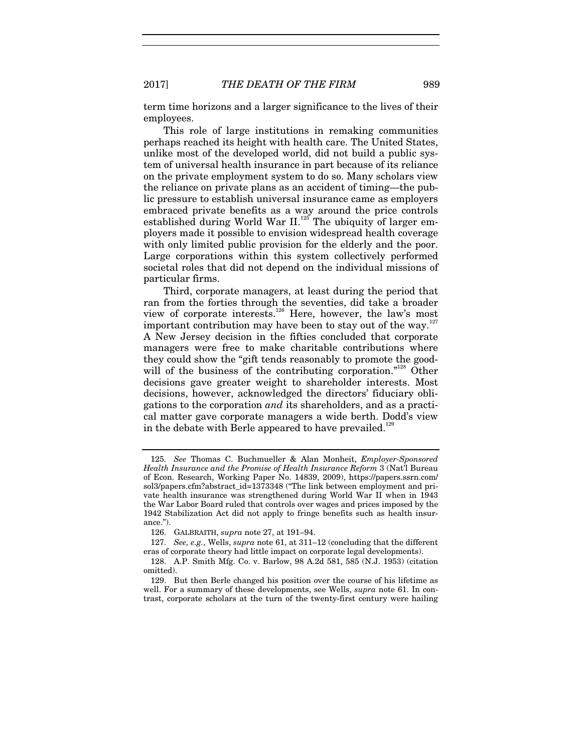term time horizons and a larger significance to the lives of their employees.

This role of large institutions in remaking communities perhaps reached its height with health care. The United States, unlike most of the developed world, did not build a public system of universal health insurance in part because of its reliance on the private employment system to do so. Many scholars view the reliance on private plans as an accident of timing—the public pressure to establish universal insurance came as employers embraced private benefits as a way around the price controls established during World War II.<sup>125</sup> The ubiquity of larger employers made it possible to envision widespread health coverage with only limited public provision for the elderly and the poor. Large corporations within this system collectively performed societal roles that did not depend on the individual missions of particular firms.

Third, corporate managers, at least during the period that ran from the forties through the seventies, did take a broader view of corporate interests.<sup>126</sup> Here, however, the law's most important contribution may have been to stay out of the way.<sup>127</sup> A New Jersey decision in the fifties concluded that corporate managers were free to make charitable contributions where they could show the "gift tends reasonably to promote the goodwill of the business of the contributing corporation."<sup>128</sup> Other decisions gave greater weight to shareholder interests. Most decisions, however, acknowledged the directors' fiduciary obligations to the corporation *and* its shareholders, and as a practical matter gave corporate managers a wide berth. Dodd's view in the debate with Berle appeared to have prevailed.<sup>129</sup>

<sup>125.</sup> *See* Thomas C. Buchmueller & Alan Monheit, *Employer-Sponsored Health Insurance and the Promise of Health Insurance Reform* 3 (Nat'l Bureau of Econ. Research, Working Paper No. 14839, 2009), https://papers.ssrn.com/ sol3/papers.cfm?abstract\_id=1373348 ("The link between employment and private health insurance was strengthened during World War II when in 1943 the War Labor Board ruled that controls over wages and prices imposed by the 1942 Stabilization Act did not apply to fringe benefits such as health insurance.").

 <sup>126.</sup> GALBRAITH, *supra* note 27, at 191–94.

<sup>127.</sup> *See, e.g.*, Wells, *supra* note 61, at 311–12 (concluding that the different eras of corporate theory had little impact on corporate legal developments).

 <sup>128.</sup> A.P. Smith Mfg. Co. v. Barlow, 98 A.2d 581, 585 (N.J. 1953) (citation omitted).

 <sup>129.</sup> But then Berle changed his position over the course of his lifetime as well. For a summary of these developments, see Wells, *supra* note 61. In contrast, corporate scholars at the turn of the twenty-first century were hailing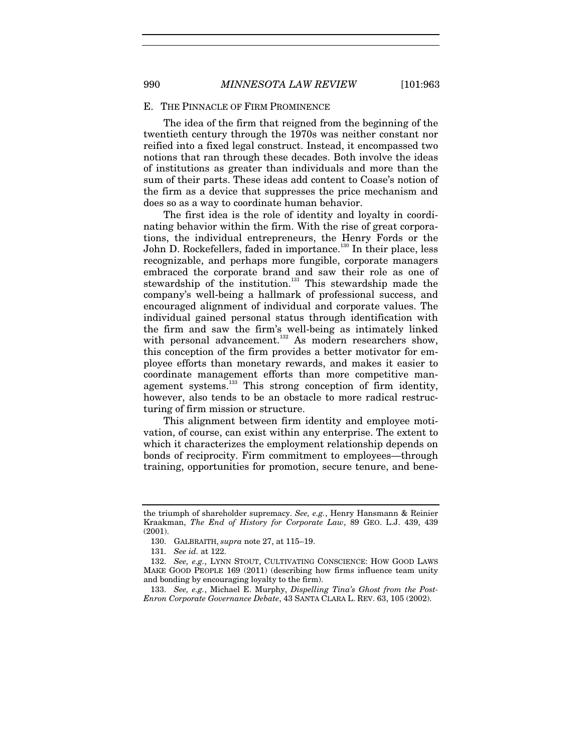#### E. THE PINNACLE OF FIRM PROMINENCE

The idea of the firm that reigned from the beginning of the twentieth century through the 1970s was neither constant nor reified into a fixed legal construct. Instead, it encompassed two notions that ran through these decades. Both involve the ideas of institutions as greater than individuals and more than the sum of their parts. These ideas add content to Coase's notion of the firm as a device that suppresses the price mechanism and does so as a way to coordinate human behavior.

The first idea is the role of identity and loyalty in coordinating behavior within the firm. With the rise of great corporations, the individual entrepreneurs, the Henry Fords or the John D. Rockefellers, faded in importance.<sup>130</sup> In their place, less recognizable, and perhaps more fungible, corporate managers embraced the corporate brand and saw their role as one of stewardship of the institution.<sup>131</sup> This stewardship made the company's well-being a hallmark of professional success, and encouraged alignment of individual and corporate values. The individual gained personal status through identification with the firm and saw the firm's well-being as intimately linked with personal advancement.<sup>132</sup> As modern researchers show, this conception of the firm provides a better motivator for employee efforts than monetary rewards, and makes it easier to coordinate management efforts than more competitive management systems.133 This strong conception of firm identity, however, also tends to be an obstacle to more radical restructuring of firm mission or structure.

This alignment between firm identity and employee motivation, of course, can exist within any enterprise. The extent to which it characterizes the employment relationship depends on bonds of reciprocity. Firm commitment to employees—through training, opportunities for promotion, secure tenure, and bene-

the triumph of shareholder supremacy. *See, e.g.*, Henry Hansmann & Reinier Kraakman, *The End of History for Corporate Law*, 89 GEO. L.J. 439, 439 (2001).

 <sup>130.</sup> GALBRAITH, *supra* note 27, at 115–19.

<sup>131.</sup> *See id.* at 122.

<sup>132.</sup> *See, e.g.*, LYNN STOUT, CULTIVATING CONSCIENCE: HOW GOOD LAWS MAKE GOOD PEOPLE 169 (2011) (describing how firms influence team unity and bonding by encouraging loyalty to the firm).

<sup>133.</sup> *See, e.g.*, Michael E. Murphy, *Dispelling Tina's Ghost from the Post-Enron Corporate Governance Debate*, 43 SANTA CLARA L. REV. 63, 105 (2002).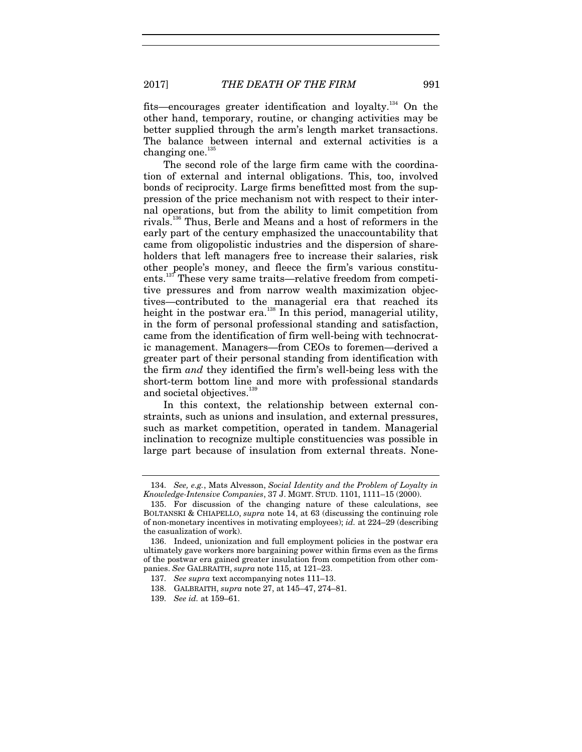fits—encourages greater identification and loyalty.134 On the other hand, temporary, routine, or changing activities may be better supplied through the arm's length market transactions. The balance between internal and external activities is a changing one.<sup>135</sup>

The second role of the large firm came with the coordination of external and internal obligations. This, too, involved bonds of reciprocity. Large firms benefitted most from the suppression of the price mechanism not with respect to their internal operations, but from the ability to limit competition from rivals.<sup>136</sup> Thus, Berle and Means and a host of reformers in the early part of the century emphasized the unaccountability that came from oligopolistic industries and the dispersion of shareholders that left managers free to increase their salaries, risk other people's money, and fleece the firm's various constituents.<sup>137</sup> These very same traits—relative freedom from competitive pressures and from narrow wealth maximization objectives—contributed to the managerial era that reached its height in the postwar era.<sup>138</sup> In this period, managerial utility, in the form of personal professional standing and satisfaction, came from the identification of firm well-being with technocratic management. Managers—from CEOs to foremen—derived a greater part of their personal standing from identification with the firm *and* they identified the firm's well-being less with the short-term bottom line and more with professional standards and societal objectives.<sup>139</sup>

In this context, the relationship between external constraints, such as unions and insulation, and external pressures, such as market competition, operated in tandem. Managerial inclination to recognize multiple constituencies was possible in large part because of insulation from external threats. None-

<sup>134.</sup> *See, e.g.*, Mats Alvesson, *Social Identity and the Problem of Loyalty in Knowledge-Intensive Companies*, 37 J. MGMT. STUD. 1101, 1111–15 (2000).

 <sup>135.</sup> For discussion of the changing nature of these calculations, see BOLTANSKI & CHIAPELLO, *supra* note 14, at 63 (discussing the continuing role of non-monetary incentives in motivating employees); *id.* at 224–29 (describing the casualization of work).

 <sup>136.</sup> Indeed, unionization and full employment policies in the postwar era ultimately gave workers more bargaining power within firms even as the firms of the postwar era gained greater insulation from competition from other companies. *See* GALBRAITH, *supra* note 115, at 121–23.

<sup>137.</sup> *See supra* text accompanying notes 111–13.

 <sup>138.</sup> GALBRAITH, *supra* note 27, at 145–47, 274–81.

<sup>139.</sup> *See id.* at 159–61.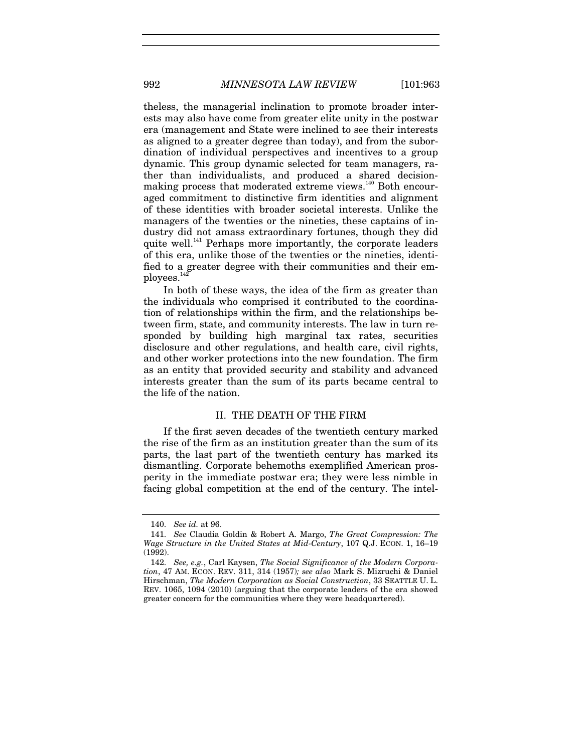theless, the managerial inclination to promote broader interests may also have come from greater elite unity in the postwar era (management and State were inclined to see their interests as aligned to a greater degree than today), and from the subordination of individual perspectives and incentives to a group dynamic. This group dynamic selected for team managers, rather than individualists, and produced a shared decisionmaking process that moderated extreme views.<sup>140</sup> Both encouraged commitment to distinctive firm identities and alignment of these identities with broader societal interests. Unlike the managers of the twenties or the nineties, these captains of industry did not amass extraordinary fortunes, though they did quite well.<sup>141</sup> Perhaps more importantly, the corporate leaders of this era, unlike those of the twenties or the nineties, identified to a greater degree with their communities and their employees.

In both of these ways, the idea of the firm as greater than the individuals who comprised it contributed to the coordination of relationships within the firm, and the relationships between firm, state, and community interests. The law in turn responded by building high marginal tax rates, securities disclosure and other regulations, and health care, civil rights, and other worker protections into the new foundation. The firm as an entity that provided security and stability and advanced interests greater than the sum of its parts became central to the life of the nation.

#### II. THE DEATH OF THE FIRM

If the first seven decades of the twentieth century marked the rise of the firm as an institution greater than the sum of its parts, the last part of the twentieth century has marked its dismantling. Corporate behemoths exemplified American prosperity in the immediate postwar era; they were less nimble in facing global competition at the end of the century. The intel-

<sup>140.</sup> *See id.* at 96.

<sup>141.</sup> *See* Claudia Goldin & Robert A. Margo, *The Great Compression: The Wage Structure in the United States at Mid-Century*, 107 Q.J. ECON. 1, 16–19 (1992).

<sup>142.</sup> *See, e.g.*, Carl Kaysen, *The Social Significance of the Modern Corporation*, 47 AM. ECON. REV. 311, 314 (1957)*; see also* Mark S. Mizruchi & Daniel Hirschman, *The Modern Corporation as Social Construction*, 33 SEATTLE U. L. REV. 1065, 1094 (2010) (arguing that the corporate leaders of the era showed greater concern for the communities where they were headquartered).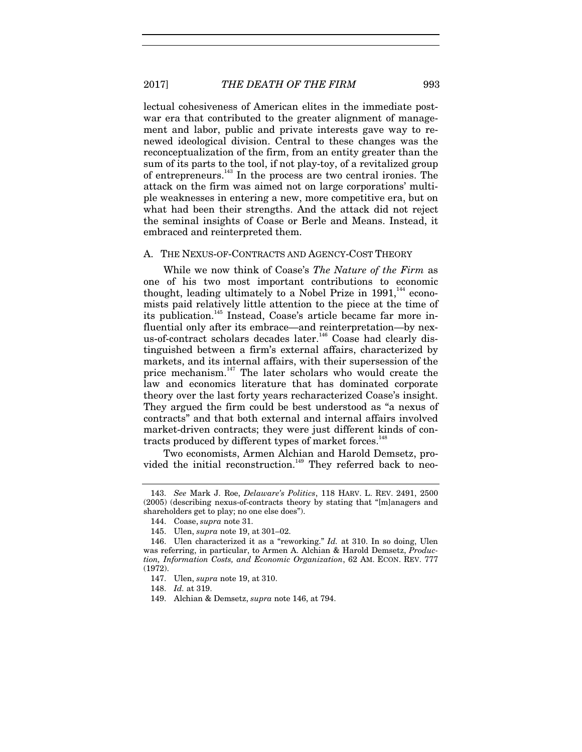lectual cohesiveness of American elites in the immediate postwar era that contributed to the greater alignment of management and labor, public and private interests gave way to renewed ideological division. Central to these changes was the reconceptualization of the firm, from an entity greater than the sum of its parts to the tool, if not play-toy, of a revitalized group of entrepreneurs.143 In the process are two central ironies. The attack on the firm was aimed not on large corporations' multiple weaknesses in entering a new, more competitive era, but on what had been their strengths. And the attack did not reject the seminal insights of Coase or Berle and Means. Instead, it embraced and reinterpreted them.

#### A. THE NEXUS-OF-CONTRACTS AND AGENCY-COST THEORY

While we now think of Coase's *The Nature of the Firm* as one of his two most important contributions to economic thought, leading ultimately to a Nobel Prize in  $1991$ ,<sup>144</sup> economists paid relatively little attention to the piece at the time of its publication.<sup>145</sup> Instead, Coase's article became far more influential only after its embrace—and reinterpretation—by nexus-of-contract scholars decades later.<sup>146</sup> Coase had clearly distinguished between a firm's external affairs, characterized by markets, and its internal affairs, with their supersession of the price mechanism. $147$  The later scholars who would create the law and economics literature that has dominated corporate theory over the last forty years recharacterized Coase's insight. They argued the firm could be best understood as "a nexus of contracts" and that both external and internal affairs involved market-driven contracts; they were just different kinds of contracts produced by different types of market forces.<sup>148</sup>

Two economists, Armen Alchian and Harold Demsetz, provided the initial reconstruction.<sup>149</sup> They referred back to neo-

<sup>143.</sup> *See* Mark J. Roe, *Delaware's Politics*, 118 HARV. L. REV. 2491, 2500 (2005) (describing nexus-of-contracts theory by stating that "[m]anagers and shareholders get to play; no one else does").

 <sup>144.</sup> Coase, *supra* note 31.

 <sup>145.</sup> Ulen, *supra* note 19, at 301–02.

 <sup>146.</sup> Ulen characterized it as a "reworking." *Id.* at 310. In so doing, Ulen was referring, in particular, to Armen A. Alchian & Harold Demsetz, *Production, Information Costs, and Economic Organization*, 62 AM. ECON. REV. 777 (1972).

 <sup>147.</sup> Ulen, *supra* note 19, at 310.

<sup>148.</sup> *Id.* at 319.

 <sup>149.</sup> Alchian & Demsetz, *supra* note 146, at 794.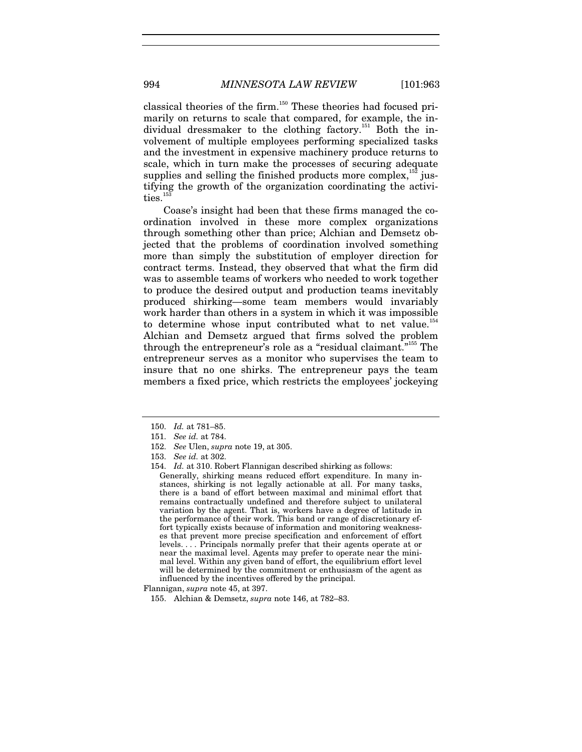classical theories of the firm.<sup>150</sup> These theories had focused primarily on returns to scale that compared, for example, the individual dressmaker to the clothing factory.<sup>151</sup> Both the involvement of multiple employees performing specialized tasks and the investment in expensive machinery produce returns to scale, which in turn make the processes of securing adequate supplies and selling the finished products more complex, $152$  justifying the growth of the organization coordinating the activities.<sup>1</sup>

Coase's insight had been that these firms managed the coordination involved in these more complex organizations through something other than price; Alchian and Demsetz objected that the problems of coordination involved something more than simply the substitution of employer direction for contract terms. Instead, they observed that what the firm did was to assemble teams of workers who needed to work together to produce the desired output and production teams inevitably produced shirking—some team members would invariably work harder than others in a system in which it was impossible to determine whose input contributed what to net value.<sup>154</sup> Alchian and Demsetz argued that firms solved the problem through the entrepreneur's role as a "residual claimant."155 The entrepreneur serves as a monitor who supervises the team to insure that no one shirks. The entrepreneur pays the team members a fixed price, which restricts the employees' jockeying

<sup>150.</sup> *Id.* at 781–85.

<sup>151.</sup> *See id.* at 784.

<sup>152.</sup> *See* Ulen, *supra* note 19, at 305.

<sup>153.</sup> *See id.* at 302.

<sup>154.</sup> *Id.* at 310. Robert Flannigan described shirking as follows: Generally, shirking means reduced effort expenditure. In many instances, shirking is not legally actionable at all. For many tasks, there is a band of effort between maximal and minimal effort that remains contractually undefined and therefore subject to unilateral variation by the agent. That is, workers have a degree of latitude in the performance of their work. This band or range of discretionary effort typically exists because of information and monitoring weaknesses that prevent more precise specification and enforcement of effort levels. . . . Principals normally prefer that their agents operate at or near the maximal level. Agents may prefer to operate near the minimal level. Within any given band of effort, the equilibrium effort level will be determined by the commitment or enthusiasm of the agent as influenced by the incentives offered by the principal.

Flannigan, *supra* note 45, at 397.

 <sup>155.</sup> Alchian & Demsetz, *supra* note 146, at 782–83.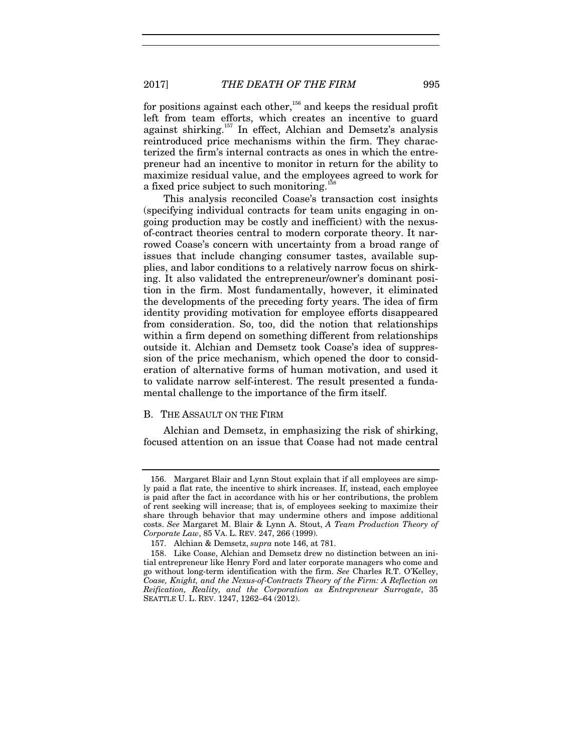2017] *THE DEATH OF THE FIRM* 995

for positions against each other,<sup>156</sup> and keeps the residual profit left from team efforts, which creates an incentive to guard against shirking.<sup>157</sup> In effect, Alchian and Demsetz's analysis reintroduced price mechanisms within the firm. They characterized the firm's internal contracts as ones in which the entrepreneur had an incentive to monitor in return for the ability to maximize residual value, and the employees agreed to work for a fixed price subject to such monitoring.<sup>1</sup>

This analysis reconciled Coase's transaction cost insights (specifying individual contracts for team units engaging in ongoing production may be costly and inefficient) with the nexusof-contract theories central to modern corporate theory. It narrowed Coase's concern with uncertainty from a broad range of issues that include changing consumer tastes, available supplies, and labor conditions to a relatively narrow focus on shirking. It also validated the entrepreneur/owner's dominant position in the firm. Most fundamentally, however, it eliminated the developments of the preceding forty years. The idea of firm identity providing motivation for employee efforts disappeared from consideration. So, too, did the notion that relationships within a firm depend on something different from relationships outside it. Alchian and Demsetz took Coase's idea of suppression of the price mechanism, which opened the door to consideration of alternative forms of human motivation, and used it to validate narrow self-interest. The result presented a fundamental challenge to the importance of the firm itself.

#### B. THE ASSAULT ON THE FIRM

Alchian and Demsetz, in emphasizing the risk of shirking, focused attention on an issue that Coase had not made central

 <sup>156.</sup> Margaret Blair and Lynn Stout explain that if all employees are simply paid a flat rate, the incentive to shirk increases. If, instead, each employee is paid after the fact in accordance with his or her contributions, the problem of rent seeking will increase; that is, of employees seeking to maximize their share through behavior that may undermine others and impose additional costs. *See* Margaret M. Blair & Lynn A. Stout, *A Team Production Theory of Corporate Law*, 85 VA. L. REV. 247, 266 (1999).

 <sup>157.</sup> Alchian & Demsetz, *supra* note 146, at 781.

 <sup>158.</sup> Like Coase, Alchian and Demsetz drew no distinction between an initial entrepreneur like Henry Ford and later corporate managers who come and go without long-term identification with the firm. *See* Charles R.T. O'Kelley, *Coase, Knight, and the Nexus-of-Contracts Theory of the Firm: A Reflection on Reification, Reality, and the Corporation as Entrepreneur Surrogate*, 35 SEATTLE U. L. REV. 1247, 1262–64 (2012).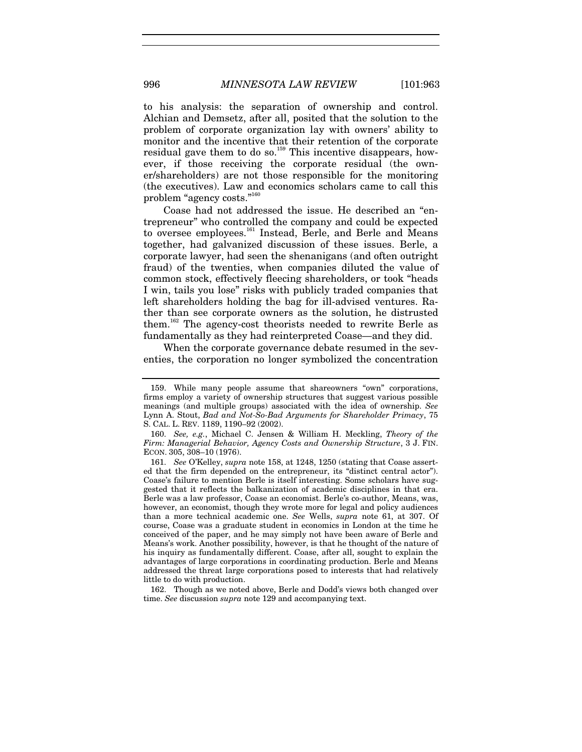to his analysis: the separation of ownership and control. Alchian and Demsetz, after all, posited that the solution to the problem of corporate organization lay with owners' ability to monitor and the incentive that their retention of the corporate residual gave them to do so.<sup>159</sup> This incentive disappears, however, if those receiving the corporate residual (the owner/shareholders) are not those responsible for the monitoring (the executives). Law and economics scholars came to call this problem "agency costs."<sup>16</sup>

Coase had not addressed the issue. He described an "entrepreneur" who controlled the company and could be expected to oversee employees.<sup>161</sup> Instead, Berle, and Berle and Means together, had galvanized discussion of these issues. Berle, a corporate lawyer, had seen the shenanigans (and often outright fraud) of the twenties, when companies diluted the value of common stock, effectively fleecing shareholders, or took "heads I win, tails you lose" risks with publicly traded companies that left shareholders holding the bag for ill-advised ventures. Rather than see corporate owners as the solution, he distrusted them.162 The agency-cost theorists needed to rewrite Berle as fundamentally as they had reinterpreted Coase—and they did.

When the corporate governance debate resumed in the seventies, the corporation no longer symbolized the concentration

 162. Though as we noted above, Berle and Dodd's views both changed over time. *See* discussion *supra* note 129 and accompanying text.

 <sup>159.</sup> While many people assume that shareowners "own" corporations, firms employ a variety of ownership structures that suggest various possible meanings (and multiple groups) associated with the idea of ownership. *See*  Lynn A. Stout, *Bad and Not-So-Bad Arguments for Shareholder Primacy*, 75 S. CAL. L. REV. 1189, 1190–92 (2002).

<sup>160.</sup> *See, e.g.*, Michael C. Jensen & William H. Meckling, *Theory of the Firm: Managerial Behavior, Agency Costs and Ownership Structure*, 3 J. FIN. ECON. 305, 308–10 (1976).

<sup>161.</sup> *See* O'Kelley, *supra* note 158, at 1248, 1250 (stating that Coase asserted that the firm depended on the entrepreneur, its "distinct central actor"). Coase's failure to mention Berle is itself interesting. Some scholars have suggested that it reflects the balkanization of academic disciplines in that era. Berle was a law professor, Coase an economist. Berle's co-author, Means, was, however, an economist, though they wrote more for legal and policy audiences than a more technical academic one. *See* Wells, *supra* note 61, at 307. Of course, Coase was a graduate student in economics in London at the time he conceived of the paper, and he may simply not have been aware of Berle and Means's work. Another possibility, however, is that he thought of the nature of his inquiry as fundamentally different. Coase, after all, sought to explain the advantages of large corporations in coordinating production. Berle and Means addressed the threat large corporations posed to interests that had relatively little to do with production.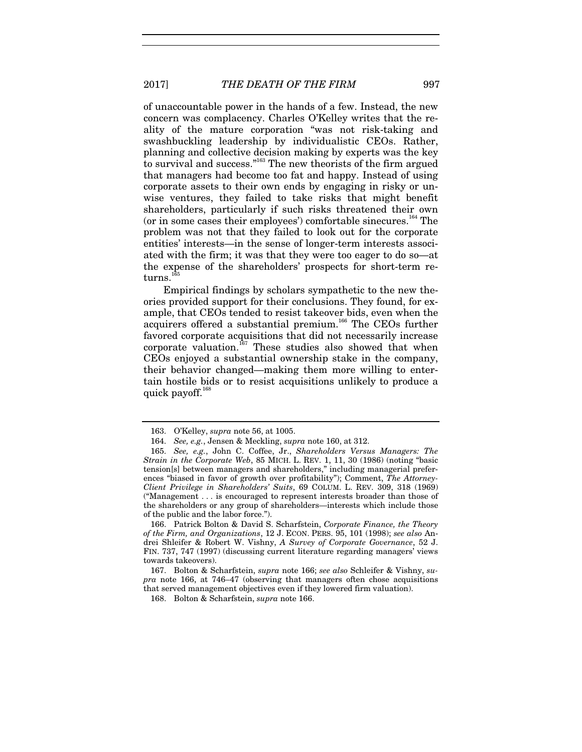of unaccountable power in the hands of a few. Instead, the new concern was complacency. Charles O'Kelley writes that the reality of the mature corporation "was not risk-taking and swashbuckling leadership by individualistic CEOs. Rather, planning and collective decision making by experts was the key to survival and success."<sup>163</sup> The new theorists of the firm argued that managers had become too fat and happy. Instead of using corporate assets to their own ends by engaging in risky or unwise ventures, they failed to take risks that might benefit shareholders, particularly if such risks threatened their own (or in some cases their employees') comfortable sinecures.<sup>164</sup> The problem was not that they failed to look out for the corporate entities' interests—in the sense of longer-term interests associated with the firm; it was that they were too eager to do so—at the expense of the shareholders' prospects for short-term returns.

Empirical findings by scholars sympathetic to the new theories provided support for their conclusions. They found, for example, that CEOs tended to resist takeover bids, even when the acquirers offered a substantial premium.<sup>166</sup> The CEOs further favored corporate acquisitions that did not necessarily increase corporate valuation.<sup>167</sup> These studies also showed that when CEOs enjoyed a substantial ownership stake in the company, their behavior changed—making them more willing to entertain hostile bids or to resist acquisitions unlikely to produce a quick payoff.<sup>168</sup>

 166. Patrick Bolton & David S. Scharfstein, *Corporate Finance, the Theory of the Firm, and Organizations*, 12 J. ECON. PERS. 95, 101 (1998); *see also* Andrei Shleifer & Robert W. Vishny, *A Survey of Corporate Governance*, 52 J. FIN. 737, 747 (1997) (discussing current literature regarding managers' views towards takeovers).

 167. Bolton & Scharfstein, *supra* note 166; *see also* Schleifer & Vishny, *supra* note 166, at 746–47 (observing that managers often chose acquisitions that served management objectives even if they lowered firm valuation).

168. Bolton & Scharfstein, *supra* note 166.

 <sup>163.</sup> O'Kelley, *supra* note 56, at 1005.

<sup>164.</sup> *See, e.g.*, Jensen & Meckling, *supra* note 160, at 312.

<sup>165.</sup> *See, e.g.*, John C. Coffee, Jr., *Shareholders Versus Managers: The Strain in the Corporate Web*, 85 MICH. L. REV. 1, 11, 30 (1986) (noting "basic tension[s] between managers and shareholders," including managerial preferences "biased in favor of growth over profitability"); Comment, *The Attorney-Client Privilege in Shareholders' Suits*, 69 COLUM. L. REV. 309, 318 (1969) ("Management . . . is encouraged to represent interests broader than those of the shareholders or any group of shareholders—interests which include those of the public and the labor force.").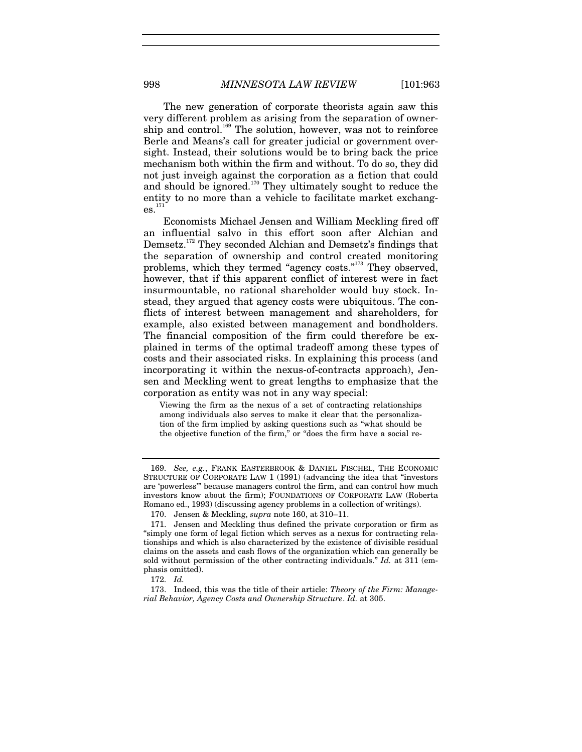The new generation of corporate theorists again saw this very different problem as arising from the separation of ownership and control.<sup>169</sup> The solution, however, was not to reinforce Berle and Means's call for greater judicial or government oversight. Instead, their solutions would be to bring back the price mechanism both within the firm and without. To do so, they did not just inveigh against the corporation as a fiction that could and should be ignored. $170$  They ultimately sought to reduce the entity to no more than a vehicle to facilitate market exchang $es.<sup>171</sup>$ 

Economists Michael Jensen and William Meckling fired off an influential salvo in this effort soon after Alchian and Demsetz.<sup>172</sup> They seconded Alchian and Demsetz's findings that the separation of ownership and control created monitoring problems, which they termed "agency costs."173 They observed, however, that if this apparent conflict of interest were in fact insurmountable, no rational shareholder would buy stock. Instead, they argued that agency costs were ubiquitous. The conflicts of interest between management and shareholders, for example, also existed between management and bondholders. The financial composition of the firm could therefore be explained in terms of the optimal tradeoff among these types of costs and their associated risks. In explaining this process (and incorporating it within the nexus-of-contracts approach), Jensen and Meckling went to great lengths to emphasize that the corporation as entity was not in any way special:

Viewing the firm as the nexus of a set of contracting relationships among individuals also serves to make it clear that the personalization of the firm implied by asking questions such as "what should be the objective function of the firm," or "does the firm have a social re-

<sup>169.</sup> *See, e.g.*, FRANK EASTERBROOK & DANIEL FISCHEL, THE ECONOMIC STRUCTURE OF CORPORATE LAW 1 (1991) (advancing the idea that "investors are 'powerless'" because managers control the firm, and can control how much investors know about the firm); FOUNDATIONS OF CORPORATE LAW (Roberta Romano ed., 1993) (discussing agency problems in a collection of writings).

 <sup>170.</sup> Jensen & Meckling, *supra* note 160, at 310–11.

 <sup>171.</sup> Jensen and Meckling thus defined the private corporation or firm as "simply one form of legal fiction which serves as a nexus for contracting relationships and which is also characterized by the existence of divisible residual claims on the assets and cash flows of the organization which can generally be sold without permission of the other contracting individuals." *Id.* at 311 (emphasis omitted).

<sup>172.</sup> *Id.*

 <sup>173.</sup> Indeed, this was the title of their article: *Theory of the Firm: Managerial Behavior, Agency Costs and Ownership Structure*. *Id.* at 305.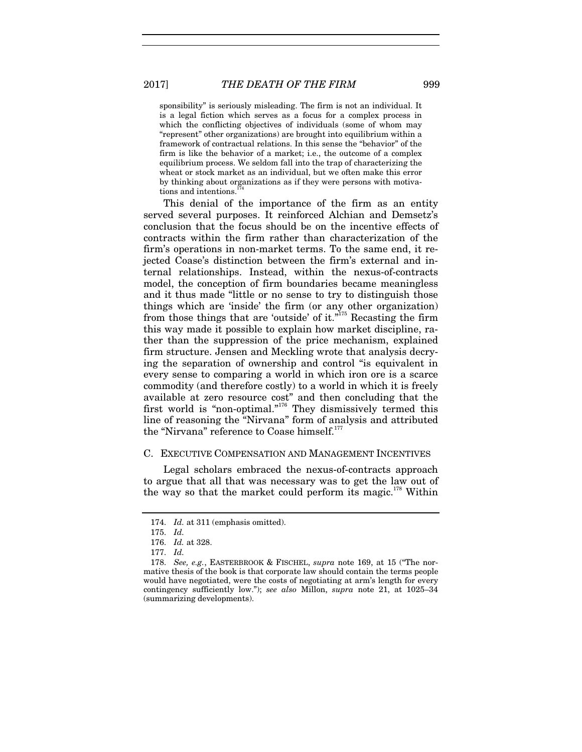sponsibility" is seriously misleading. The firm is not an individual. It is a legal fiction which serves as a focus for a complex process in which the conflicting objectives of individuals (some of whom may "represent" other organizations) are brought into equilibrium within a framework of contractual relations. In this sense the "behavior" of the firm is like the behavior of a market; i.e., the outcome of a complex equilibrium process. We seldom fall into the trap of characterizing the wheat or stock market as an individual, but we often make this error by thinking about organizations as if they were persons with motivations and intentions.<sup>1</sup>

This denial of the importance of the firm as an entity served several purposes. It reinforced Alchian and Demsetz's conclusion that the focus should be on the incentive effects of contracts within the firm rather than characterization of the firm's operations in non-market terms. To the same end, it rejected Coase's distinction between the firm's external and internal relationships. Instead, within the nexus-of-contracts model, the conception of firm boundaries became meaningless and it thus made "little or no sense to try to distinguish those things which are 'inside' the firm (or any other organization) from those things that are 'outside' of it."<sup>175</sup> Recasting the firm this way made it possible to explain how market discipline, rather than the suppression of the price mechanism, explained firm structure. Jensen and Meckling wrote that analysis decrying the separation of ownership and control "is equivalent in every sense to comparing a world in which iron ore is a scarce commodity (and therefore costly) to a world in which it is freely available at zero resource cost" and then concluding that the first world is "non-optimal."<sup>176</sup> They dismissively termed this line of reasoning the "Nirvana" form of analysis and attributed the "Nirvana" reference to Coase himself.<sup>17</sup>

#### C. EXECUTIVE COMPENSATION AND MANAGEMENT INCENTIVES

Legal scholars embraced the nexus-of-contracts approach to argue that all that was necessary was to get the law out of the way so that the market could perform its magic.<sup>178</sup> Within

<sup>174.</sup> *Id.* at 311 (emphasis omitted).

<sup>175.</sup> *Id.*

<sup>176.</sup> *Id.* at 328.

<sup>177.</sup> *Id.*

<sup>178.</sup> *See, e.g.*, EASTERBROOK & FISCHEL, *supra* note 169, at 15 ("The normative thesis of the book is that corporate law should contain the terms people would have negotiated, were the costs of negotiating at arm's length for every contingency sufficiently low."); *see also* Millon, *supra* note 21, at 1025–34 (summarizing developments).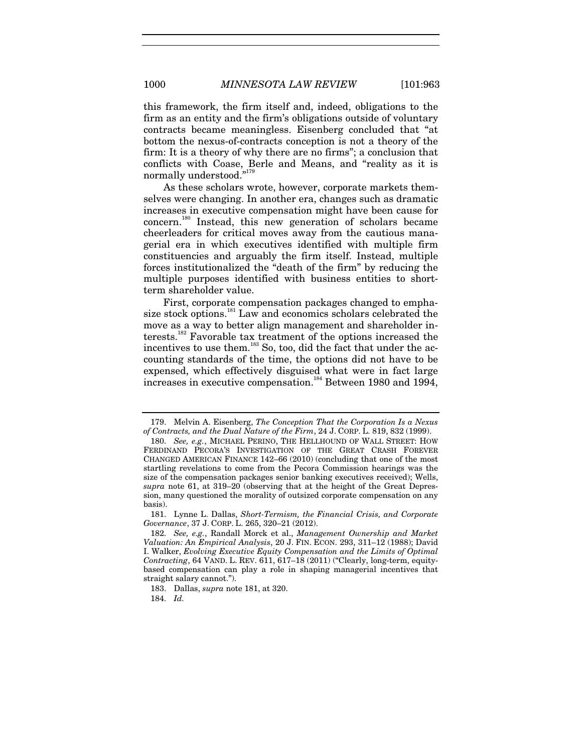this framework, the firm itself and, indeed, obligations to the firm as an entity and the firm's obligations outside of voluntary contracts became meaningless. Eisenberg concluded that "at bottom the nexus-of-contracts conception is not a theory of the firm: It is a theory of why there are no firms"; a conclusion that conflicts with Coase, Berle and Means, and "reality as it is normally understood."<sup>179</sup>

As these scholars wrote, however, corporate markets themselves were changing. In another era, changes such as dramatic increases in executive compensation might have been cause for concern.180 Instead, this new generation of scholars became cheerleaders for critical moves away from the cautious managerial era in which executives identified with multiple firm constituencies and arguably the firm itself. Instead, multiple forces institutionalized the "death of the firm" by reducing the multiple purposes identified with business entities to shortterm shareholder value.

First, corporate compensation packages changed to emphasize stock options.<sup>181</sup> Law and economics scholars celebrated the move as a way to better align management and shareholder interests.182 Favorable tax treatment of the options increased the incentives to use them.<sup>183</sup> So, too, did the fact that under the accounting standards of the time, the options did not have to be expensed, which effectively disguised what were in fact large increases in executive compensation.<sup>184</sup> Between 1980 and 1994,

 181. Lynne L. Dallas, *Short-Termism, the Financial Crisis, and Corporate Governance*, 37 J. CORP. L. 265, 320–21 (2012).

184. *Id.*

 <sup>179.</sup> Melvin A. Eisenberg, *The Conception That the Corporation Is a Nexus of Contracts, and the Dual Nature of the Firm*, 24 J. CORP. L. 819, 832 (1999).

<sup>180.</sup> *See, e.g.*, MICHAEL PERINO, THE HELLHOUND OF WALL STREET: HOW FERDINAND PECORA'S INVESTIGATION OF THE GREAT CRASH FOREVER CHANGED AMERICAN FINANCE 142–66 (2010) (concluding that one of the most startling revelations to come from the Pecora Commission hearings was the size of the compensation packages senior banking executives received); Wells, *supra* note 61, at 319–20 (observing that at the height of the Great Depression, many questioned the morality of outsized corporate compensation on any basis).

 <sup>182.</sup> *See, e.g.*, Randall Morck et al., *Management Ownership and Market Valuation: An Empirical Analysis*, 20 J. FIN. ECON. 293, 311–12 (1988); David I. Walker, *Evolving Executive Equity Compensation and the Limits of Optimal Contracting*, 64 VAND. L. REV. 611, 617–18 (2011) ("Clearly, long-term, equitybased compensation can play a role in shaping managerial incentives that straight salary cannot.").

 <sup>183.</sup> Dallas, *supra* note 181, at 320.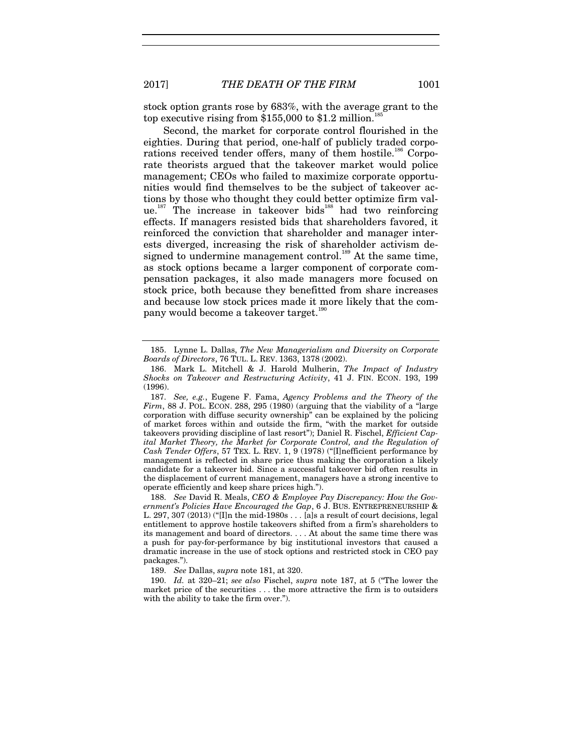stock option grants rose by 683%, with the average grant to the top executive rising from  $$155,000$  to  $$1.2$  million.<sup>1</sup>

Second, the market for corporate control flourished in the eighties. During that period, one-half of publicly traded corporations received tender offers, many of them hostile.<sup>186</sup> Corporate theorists argued that the takeover market would police management; CEOs who failed to maximize corporate opportunities would find themselves to be the subject of takeover actions by those who thought they could better optimize firm value.<sup>187</sup> The increase in takeover bids<sup>188</sup> had two reinforcing effects. If managers resisted bids that shareholders favored, it reinforced the conviction that shareholder and manager interests diverged, increasing the risk of shareholder activism designed to undermine management control.<sup>189</sup> At the same time, as stock options became a larger component of corporate compensation packages, it also made managers more focused on stock price, both because they benefitted from share increases and because low stock prices made it more likely that the company would become a takeover target.<sup>190</sup>

189. *See* Dallas, *supra* note 181, at 320.

190. *Id.* at 320–21; *see also* Fischel, *supra* note 187, at 5 ("The lower the market price of the securities . . . the more attractive the firm is to outsiders with the ability to take the firm over.").

 <sup>185.</sup> Lynne L. Dallas, *The New Managerialism and Diversity on Corporate Boards of Directors*, 76 TUL. L. REV. 1363, 1378 (2002).

 <sup>186.</sup> Mark L. Mitchell & J. Harold Mulherin, *The Impact of Industry Shocks on Takeover and Restructuring Activity*, 41 J. FIN. ECON. 193, 199 (1996).

<sup>187.</sup> *See, e.g.*, Eugene F. Fama, *Agency Problems and the Theory of the*   $Firm$ , 88 J. POL. ECON. 288, 295 (1980) (arguing that the viability of a "large corporation with diffuse security ownership" can be explained by the policing of market forces within and outside the firm, "with the market for outside takeovers providing discipline of last resort"); Daniel R. Fischel, *Efficient Capital Market Theory, the Market for Corporate Control, and the Regulation of Cash Tender Offers*, 57 TEX. L. REV. 1, 9 (1978) ("[I]nefficient performance by management is reflected in share price thus making the corporation a likely candidate for a takeover bid. Since a successful takeover bid often results in the displacement of current management, managers have a strong incentive to operate efficiently and keep share prices high.").

<sup>188.</sup> *See* David R. Meals, *CEO & Employee Pay Discrepancy: How the Government's Policies Have Encouraged the Gap*, 6 J. BUS. ENTREPRENEURSHIP & L. 297, 307 (2013) ("[I]n the mid-1980s . . . [a]s a result of court decisions, legal entitlement to approve hostile takeovers shifted from a firm's shareholders to its management and board of directors. . . . At about the same time there was a push for pay-for-performance by big institutional investors that caused a dramatic increase in the use of stock options and restricted stock in CEO pay packages.").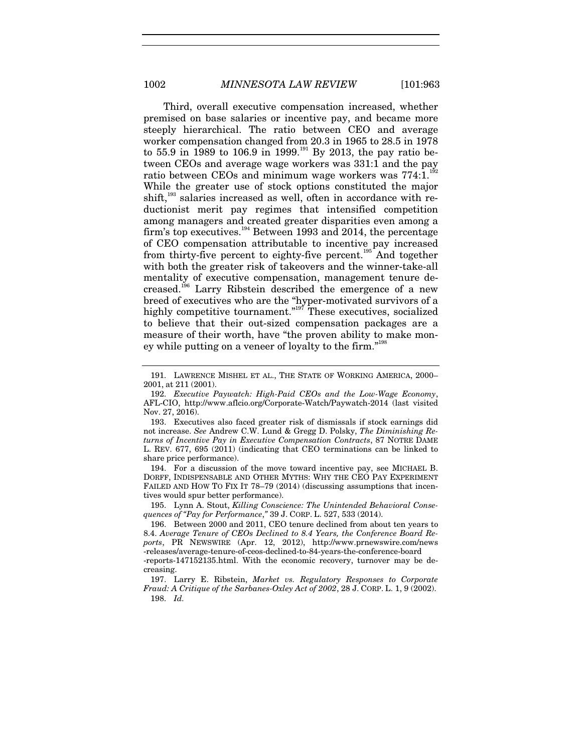Third, overall executive compensation increased, whether premised on base salaries or incentive pay, and became more steeply hierarchical. The ratio between CEO and average worker compensation changed from 20.3 in 1965 to 28.5 in 1978 to 55.9 in 1989 to 106.9 in 1999.<sup>191</sup> By 2013, the pay ratio between CEOs and average wage workers was 331:1 and the pay ratio between CEOs and minimum wage workers was 774:1.<sup>1</sup> While the greater use of stock options constituted the major shift,<sup>193</sup> salaries increased as well, often in accordance with reductionist merit pay regimes that intensified competition among managers and created greater disparities even among a firm's top executives.<sup>194</sup> Between 1993 and 2014, the percentage of CEO compensation attributable to incentive pay increased from thirty-five percent to eighty-five percent.<sup>195</sup> And together with both the greater risk of takeovers and the winner-take-all mentality of executive compensation, management tenure decreased.196 Larry Ribstein described the emergence of a new breed of executives who are the "hyper-motivated survivors of a highly competitive tournament."<sup>197</sup> These executives, socialized to believe that their out-sized compensation packages are a measure of their worth, have "the proven ability to make money while putting on a veneer of loyalty to the firm."<sup>198</sup>

 192. *Executive Paywatch: High-Paid CEOs and the Low-Wage Economy*, AFL-CIO, http://www.aflcio.org/Corporate-Watch/Paywatch-2014 (last visited Nov. 27, 2016).

 193. Executives also faced greater risk of dismissals if stock earnings did not increase. *See* Andrew C.W. Lund & Gregg D. Polsky, *The Diminishing Returns of Incentive Pay in Executive Compensation Contracts*, 87 NOTRE DAME L. REV. 677, 695 (2011) (indicating that CEO terminations can be linked to share price performance).

 194. For a discussion of the move toward incentive pay, see MICHAEL B. DORFF, INDISPENSABLE AND OTHER MYTHS: WHY THE CEO PAY EXPERIMENT FAILED AND HOW TO FIX IT 78-79 (2014) (discussing assumptions that incentives would spur better performance).

 195. Lynn A. Stout, *Killing Conscience: The Unintended Behavioral Consequences of "Pay for Performance*,*"* 39 J. CORP. L. 527, 533 (2014).

196. Between 2000 and 2011, CEO tenure declined from about ten years to 8.4. *Average Tenure of CEOs Declined to 8.4 Years, the Conference Board Reports*, PR NEWSWIRE (Apr. 12, 2012), http://www.prnewswire.com/news -releases/average-tenure-of-ceos-declined-to-84-years-the-conference-board -reports-147152135.html. With the economic recovery, turnover may be de-

creasing.

 197. Larry E. Ribstein, *Market vs. Regulatory Responses to Corporate Fraud: A Critique of the Sarbanes-Oxley Act of 2002*, 28 J. CORP. L. 1, 9 (2002). 198. *Id.*

 <sup>191.</sup> LAWRENCE MISHEL ET AL., THE STATE OF WORKING AMERICA, 2000– 2001, at 211 (2001).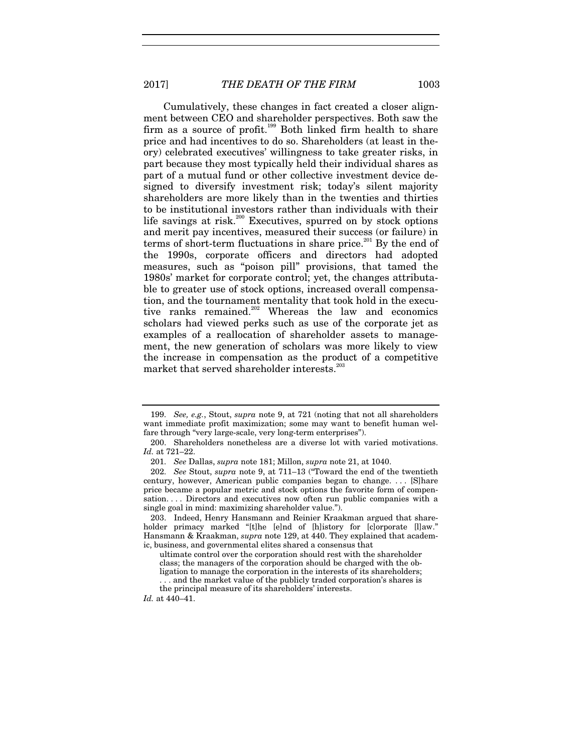Cumulatively, these changes in fact created a closer alignment between CEO and shareholder perspectives. Both saw the firm as a source of profit.<sup>199</sup> Both linked firm health to share price and had incentives to do so. Shareholders (at least in theory) celebrated executives' willingness to take greater risks, in part because they most typically held their individual shares as part of a mutual fund or other collective investment device designed to diversify investment risk; today's silent majority shareholders are more likely than in the twenties and thirties to be institutional investors rather than individuals with their life savings at risk.<sup>200</sup> Executives, spurred on by stock options and merit pay incentives, measured their success (or failure) in terms of short-term fluctuations in share price.<sup>201</sup> By the end of the 1990s, corporate officers and directors had adopted measures, such as "poison pill" provisions, that tamed the 1980s' market for corporate control; yet, the changes attributable to greater use of stock options, increased overall compensation, and the tournament mentality that took hold in the executive ranks remained.<sup>202</sup> Whereas the law and economics scholars had viewed perks such as use of the corporate jet as examples of a reallocation of shareholder assets to management, the new generation of scholars was more likely to view the increase in compensation as the product of a competitive market that served shareholder interests.<sup>20</sup>

<sup>199.</sup> *See, e.g.*, Stout, *supra* note 9, at 721 (noting that not all shareholders want immediate profit maximization; some may want to benefit human welfare through "very large-scale, very long-term enterprises").

 <sup>200.</sup> Shareholders nonetheless are a diverse lot with varied motivations. *Id.* at 721–22.

<sup>201.</sup> *See* Dallas, *supra* note 181; Millon, *supra* note 21, at 1040.

<sup>202.</sup> *See* Stout, *supra* note 9, at 711–13 ("Toward the end of the twentieth century, however, American public companies began to change. . . . [S]hare price became a popular metric and stock options the favorite form of compensation. . . . Directors and executives now often run public companies with a single goal in mind: maximizing shareholder value.").

 <sup>203.</sup> Indeed, Henry Hansmann and Reinier Kraakman argued that shareholder primacy marked "[t]he [e]nd of [h]istory for [c]orporate [l]aw." Hansmann & Kraakman, *supra* note 129, at 440. They explained that academic, business, and governmental elites shared a consensus that

ultimate control over the corporation should rest with the shareholder class; the managers of the corporation should be charged with the obligation to manage the corporation in the interests of its shareholders; . . . and the market value of the publicly traded corporation's shares is the principal measure of its shareholders' interests.

*Id.* at 440–41.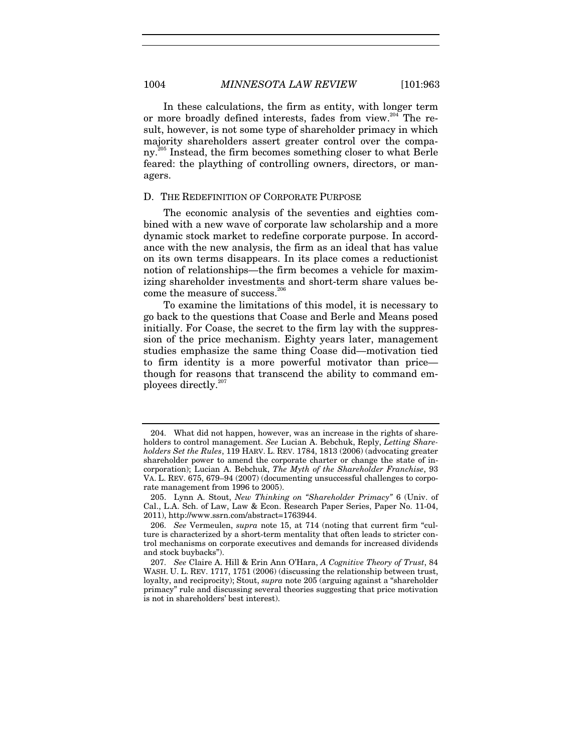In these calculations, the firm as entity, with longer term or more broadly defined interests, fades from view.<sup>204</sup> The result, however, is not some type of shareholder primacy in which majority shareholders assert greater control over the company.<sup>205</sup> Instead, the firm becomes something closer to what Berle feared: the plaything of controlling owners, directors, or managers.

### D. THE REDEFINITION OF CORPORATE PURPOSE

The economic analysis of the seventies and eighties combined with a new wave of corporate law scholarship and a more dynamic stock market to redefine corporate purpose. In accordance with the new analysis, the firm as an ideal that has value on its own terms disappears. In its place comes a reductionist notion of relationships—the firm becomes a vehicle for maximizing shareholder investments and short-term share values become the measure of success.<sup>206</sup>

To examine the limitations of this model, it is necessary to go back to the questions that Coase and Berle and Means posed initially. For Coase, the secret to the firm lay with the suppression of the price mechanism. Eighty years later, management studies emphasize the same thing Coase did—motivation tied to firm identity is a more powerful motivator than price though for reasons that transcend the ability to command employees directly.<sup>207</sup>

 <sup>204.</sup> What did not happen, however, was an increase in the rights of shareholders to control management. *See* Lucian A. Bebchuk, Reply, *Letting Shareholders Set the Rules*, 119 HARV. L. REV. 1784, 1813 (2006) (advocating greater shareholder power to amend the corporate charter or change the state of incorporation); Lucian A. Bebchuk, *The Myth of the Shareholder Franchise*, 93 VA. L. REV. 675, 679–94 (2007) (documenting unsuccessful challenges to corporate management from 1996 to 2005).

 <sup>205.</sup> Lynn A. Stout, *New Thinking on "Shareholder Primacy"* 6 (Univ. of Cal., L.A. Sch. of Law, Law & Econ. Research Paper Series, Paper No. 11-04, 2011), http://www.ssrn.com/abstract=1763944.

<sup>206.</sup> *See* Vermeulen, *supra* note 15, at 714 (noting that current firm "culture is characterized by a short-term mentality that often leads to stricter control mechanisms on corporate executives and demands for increased dividends and stock buybacks").

<sup>207.</sup> *See* Claire A. Hill & Erin Ann O'Hara, *A Cognitive Theory of Trust*, 84 WASH. U. L. REV. 1717, 1751 (2006) (discussing the relationship between trust, loyalty, and reciprocity); Stout, *supra* note 205 (arguing against a "shareholder primacy" rule and discussing several theories suggesting that price motivation is not in shareholders' best interest).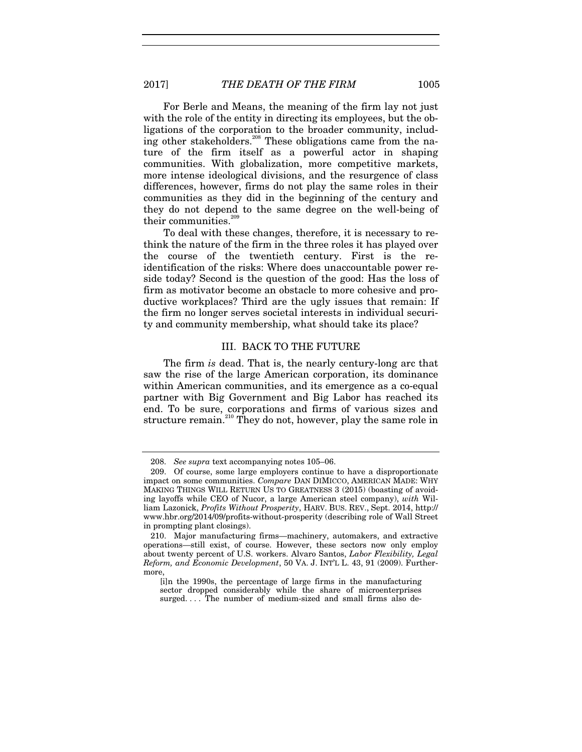For Berle and Means, the meaning of the firm lay not just with the role of the entity in directing its employees, but the obligations of the corporation to the broader community, including other stakeholders.<sup>208</sup> These obligations came from the nature of the firm itself as a powerful actor in shaping communities. With globalization, more competitive markets, more intense ideological divisions, and the resurgence of class differences, however, firms do not play the same roles in their communities as they did in the beginning of the century and they do not depend to the same degree on the well-being of their communities.<sup>2</sup>

To deal with these changes, therefore, it is necessary to rethink the nature of the firm in the three roles it has played over the course of the twentieth century. First is the reidentification of the risks: Where does unaccountable power reside today? Second is the question of the good: Has the loss of firm as motivator become an obstacle to more cohesive and productive workplaces? Third are the ugly issues that remain: If the firm no longer serves societal interests in individual security and community membership, what should take its place?

#### III. BACK TO THE FUTURE

The firm *is* dead. That is, the nearly century-long arc that saw the rise of the large American corporation, its dominance within American communities, and its emergence as a co-equal partner with Big Government and Big Labor has reached its end. To be sure, corporations and firms of various sizes and structure remain.<sup>210</sup> They do not, however, play the same role in

<sup>208.</sup> *See supra* text accompanying notes 105–06.

 <sup>209.</sup> Of course, some large employers continue to have a disproportionate impact on some communities. *Compare* DAN DIMICCO, AMERICAN MADE: WHY MAKING THINGS WILL RETURN US TO GREATNESS 3 (2015) (boasting of avoiding layoffs while CEO of Nucor, a large American steel company), *with* William Lazonick, *Profits Without Prosperity*, HARV. BUS. REV., Sept. 2014, http:// www.hbr.org/2014/09/profits-without-prosperity (describing role of Wall Street in prompting plant closings).

 <sup>210.</sup> Major manufacturing firms—machinery, automakers, and extractive operations—still exist, of course. However, these sectors now only employ about twenty percent of U.S. workers. Alvaro Santos, *Labor Flexibility, Legal Reform, and Economic Development*, 50 VA. J. INT'L L. 43, 91 (2009). Furthermore,

<sup>[</sup>i]n the 1990s, the percentage of large firms in the manufacturing sector dropped considerably while the share of microenterprises surged. . . . The number of medium-sized and small firms also de-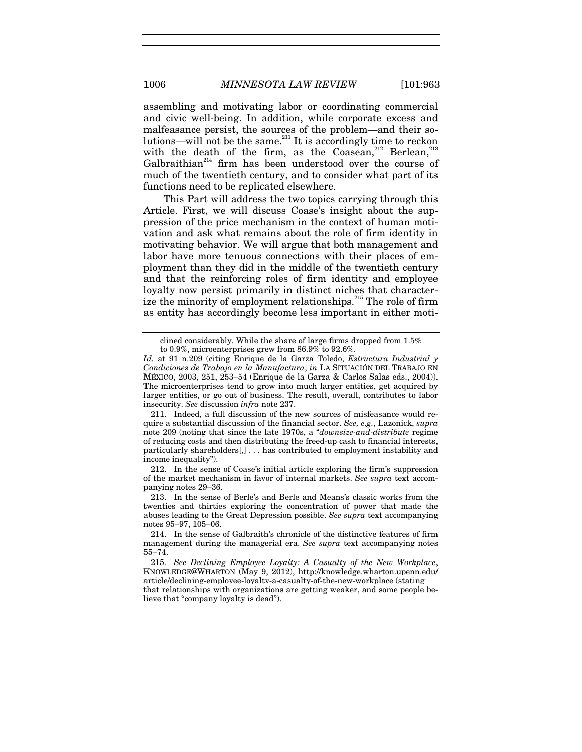assembling and motivating labor or coordinating commercial and civic well-being. In addition, while corporate excess and malfeasance persist, the sources of the problem—and their solutions—will not be the same.<sup>211</sup> It is accordingly time to reckon with the death of the firm, as the Coasean,<sup>212</sup> Berlean,<sup>213</sup> Galbraithian<sup>214</sup> firm has been understood over the course of much of the twentieth century, and to consider what part of its functions need to be replicated elsewhere.

This Part will address the two topics carrying through this Article. First, we will discuss Coase's insight about the suppression of the price mechanism in the context of human motivation and ask what remains about the role of firm identity in motivating behavior. We will argue that both management and labor have more tenuous connections with their places of employment than they did in the middle of the twentieth century and that the reinforcing roles of firm identity and employee loyalty now persist primarily in distinct niches that characterize the minority of employment relationships.<sup>215</sup> The role of firm as entity has accordingly become less important in either moti-

 211. Indeed, a full discussion of the new sources of misfeasance would require a substantial discussion of the financial sector. *See, e.g.*, Lazonick, *supra* note 209 (noting that since the late 1970s, a "*downsize-and-distribute* regime of reducing costs and then distributing the freed-up cash to financial interests, particularly shareholders[,] . . . has contributed to employment instability and income inequality").

 212. In the sense of Coase's initial article exploring the firm's suppression of the market mechanism in favor of internal markets. *See supra* text accompanying notes 29–36.

lieve that "company loyalty is dead").

clined considerably. While the share of large firms dropped from 1.5% to 0.9%, microenterprises grew from 86.9% to 92.6%.

*Id.* at 91 n.209 (citing Enrique de la Garza Toledo, *Estructura Industrial y Condiciones de Trabajo en la Manufactura*, *in* LA SITUACIÓN DEL TRABAJO EN MÉXICO, 2003, 251, 253–54 (Enrique de la Garza & Carlos Salas eds., 2004)). The microenterprises tend to grow into much larger entities, get acquired by larger entities, or go out of business. The result, overall, contributes to labor insecurity. *See* discussion *infra* note 237.

 <sup>213.</sup> In the sense of Berle's and Berle and Means's classic works from the twenties and thirties exploring the concentration of power that made the abuses leading to the Great Depression possible. *See supra* text accompanying notes 95–97, 105–06.

 <sup>214.</sup> In the sense of Galbraith's chronicle of the distinctive features of firm management during the managerial era. *See supra* text accompanying notes 55–74.

<sup>215.</sup> *See Declining Employee Loyalty: A Casualty of the New Workplace*, KNOWLEDGE@WHARTON (May 9, 2012), http://knowledge.wharton.upenn.edu/ article/declining-employee-loyalty-a-casualty-of-the-new-workplace (stating that relationships with organizations are getting weaker, and some people be-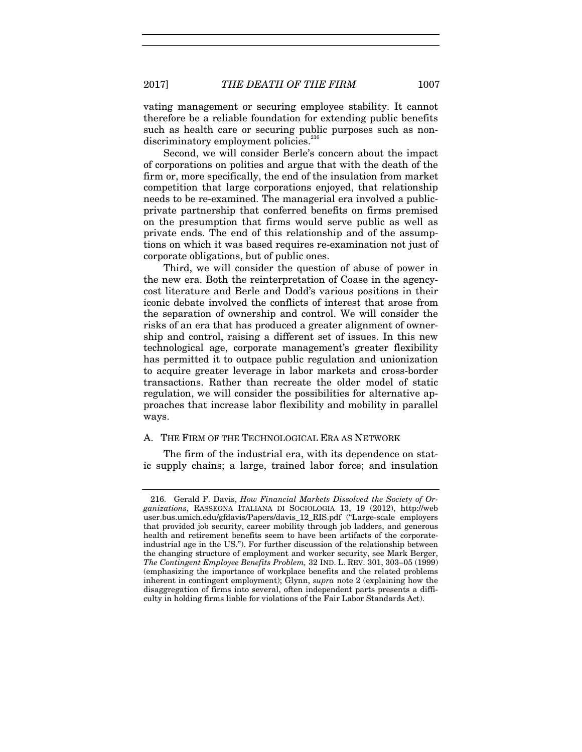2017] *THE DEATH OF THE FIRM* 1007

vating management or securing employee stability. It cannot therefore be a reliable foundation for extending public benefits such as health care or securing public purposes such as nondiscriminatory employment policies.<sup>216</sup>

Second, we will consider Berle's concern about the impact of corporations on polities and argue that with the death of the firm or, more specifically, the end of the insulation from market competition that large corporations enjoyed, that relationship needs to be re-examined. The managerial era involved a publicprivate partnership that conferred benefits on firms premised on the presumption that firms would serve public as well as private ends. The end of this relationship and of the assumptions on which it was based requires re-examination not just of corporate obligations, but of public ones.

Third, we will consider the question of abuse of power in the new era. Both the reinterpretation of Coase in the agencycost literature and Berle and Dodd's various positions in their iconic debate involved the conflicts of interest that arose from the separation of ownership and control. We will consider the risks of an era that has produced a greater alignment of ownership and control, raising a different set of issues. In this new technological age, corporate management's greater flexibility has permitted it to outpace public regulation and unionization to acquire greater leverage in labor markets and cross-border transactions. Rather than recreate the older model of static regulation, we will consider the possibilities for alternative approaches that increase labor flexibility and mobility in parallel ways.

#### A. THE FIRM OF THE TECHNOLOGICAL ERA AS NETWORK

The firm of the industrial era, with its dependence on static supply chains; a large, trained labor force; and insulation

 <sup>216.</sup> Gerald F. Davis, *How Financial Markets Dissolved the Society of Organizations*, RASSEGNA ITALIANA DI SOCIOLOGIA 13, 19 (2012), http://web user.bus.umich.edu/gfdavis/Papers/davis\_12\_RIS.pdf ("Large-scale employers that provided job security, career mobility through job ladders, and generous health and retirement benefits seem to have been artifacts of the corporateindustrial age in the US."). For further discussion of the relationship between the changing structure of employment and worker security, see Mark Berger, *The Contingent Employee Benefits Problem,* 32 IND. L. REV. 301, 303–05 (1999) (emphasizing the importance of workplace benefits and the related problems inherent in contingent employment); Glynn, *supra* note 2 (explaining how the disaggregation of firms into several, often independent parts presents a difficulty in holding firms liable for violations of the Fair Labor Standards Act).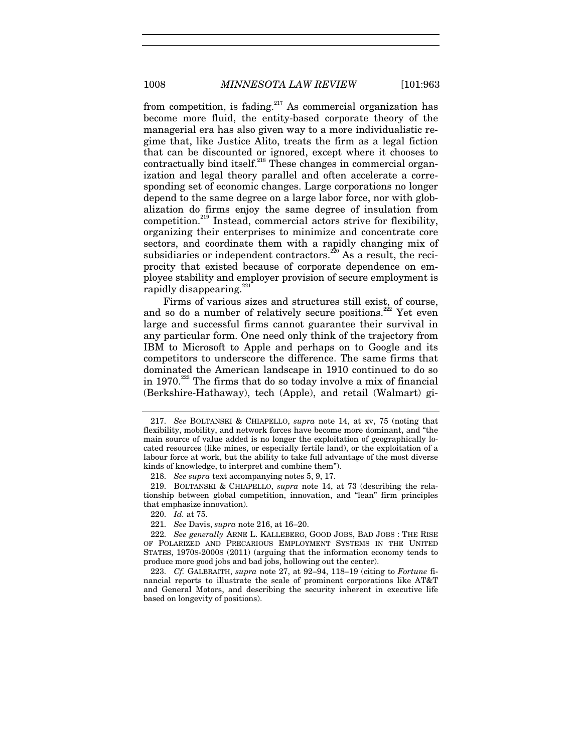from competition, is fading.<sup>217</sup> As commercial organization has become more fluid, the entity-based corporate theory of the managerial era has also given way to a more individualistic regime that, like Justice Alito, treats the firm as a legal fiction that can be discounted or ignored, except where it chooses to contractually bind itself.<sup>218</sup> These changes in commercial organization and legal theory parallel and often accelerate a corresponding set of economic changes. Large corporations no longer depend to the same degree on a large labor force, nor with globalization do firms enjoy the same degree of insulation from competition.219 Instead, commercial actors strive for flexibility, organizing their enterprises to minimize and concentrate core sectors, and coordinate them with a rapidly changing mix of subsidiaries or independent contractors.<sup>220</sup> As a result, the reciprocity that existed because of corporate dependence on employee stability and employer provision of secure employment is rapidly disappearing.<sup>22</sup>

Firms of various sizes and structures still exist, of course, and so do a number of relatively secure positions.<sup>222</sup> Yet even large and successful firms cannot guarantee their survival in any particular form. One need only think of the trajectory from IBM to Microsoft to Apple and perhaps on to Google and its competitors to underscore the difference. The same firms that dominated the American landscape in 1910 continued to do so in 1970.<sup>223</sup> The firms that do so today involve a mix of financial (Berkshire-Hathaway), tech (Apple), and retail (Walmart) gi-

<sup>217.</sup> *See* BOLTANSKI & CHIAPELLO, *supra* note 14, at xv, 75 (noting that flexibility, mobility, and network forces have become more dominant, and "the main source of value added is no longer the exploitation of geographically located resources (like mines, or especially fertile land), or the exploitation of a labour force at work, but the ability to take full advantage of the most diverse kinds of knowledge, to interpret and combine them").

<sup>218.</sup> *See supra* text accompanying notes 5, 9, 17.

 <sup>219.</sup> BOLTANSKI & CHIAPELLO, *supra* note 14, at 73 (describing the relationship between global competition, innovation, and "lean" firm principles that emphasize innovation).

<sup>220.</sup> *Id.* at 75.

<sup>221.</sup> *See* Davis, *supra* note 216, at 16–20.

<sup>222.</sup> *See generally* ARNE L. KALLEBERG, GOOD JOBS, BAD JOBS : THE RISE OF POLARIZED AND PRECARIOUS EMPLOYMENT SYSTEMS IN THE UNITED STATES, 1970S-2000S (2011) (arguing that the information economy tends to produce more good jobs and bad jobs, hollowing out the center).

<sup>223.</sup> *Cf.* GALBRAITH, *supra* note 27, at 92–94, 118–19 (citing to *Fortune* financial reports to illustrate the scale of prominent corporations like AT&T and General Motors, and describing the security inherent in executive life based on longevity of positions).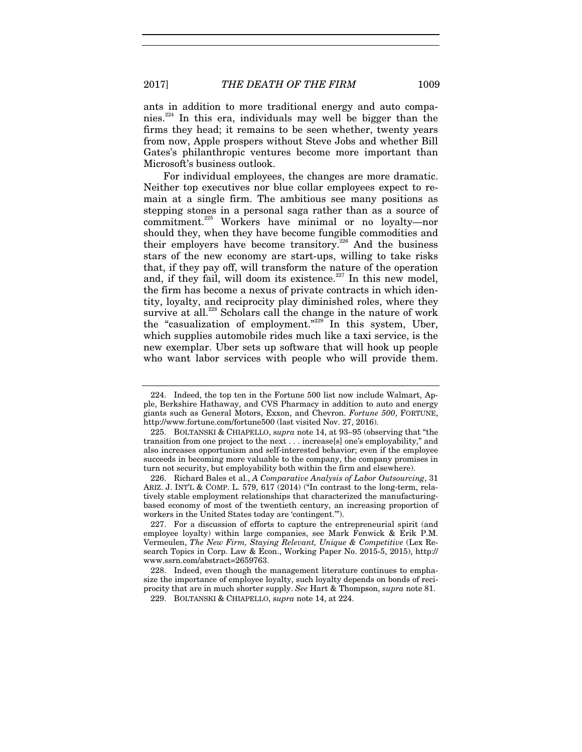ants in addition to more traditional energy and auto companies.<sup>224</sup> In this era, individuals may well be bigger than the firms they head; it remains to be seen whether, twenty years from now, Apple prospers without Steve Jobs and whether Bill Gates's philanthropic ventures become more important than Microsoft's business outlook.

For individual employees, the changes are more dramatic. Neither top executives nor blue collar employees expect to remain at a single firm. The ambitious see many positions as stepping stones in a personal saga rather than as a source of commitment.225 Workers have minimal or no loyalty—nor should they, when they have become fungible commodities and their employers have become transitory.<sup>226</sup> And the business stars of the new economy are start-ups, willing to take risks that, if they pay off, will transform the nature of the operation and, if they fail, will doom its existence. $227$  In this new model, the firm has become a nexus of private contracts in which identity, loyalty, and reciprocity play diminished roles, where they survive at all.<sup>228</sup> Scholars call the change in the nature of work the "casualization of employment."<sup>229</sup> In this system, Uber, which supplies automobile rides much like a taxi service, is the new exemplar. Uber sets up software that will hook up people who want labor services with people who will provide them.

 <sup>224.</sup> Indeed, the top ten in the Fortune 500 list now include Walmart, Apple, Berkshire Hathaway, and CVS Pharmacy in addition to auto and energy giants such as General Motors, Exxon, and Chevron. *Fortune 500*, FORTUNE, http://www.fortune.com/fortune500 (last visited Nov. 27, 2016).

 <sup>225.</sup> BOLTANSKI & CHIAPELLO, s*upra* note 14, at 93–95 (observing that "the transition from one project to the next . . . increase[s] one's employability," and also increases opportunism and self-interested behavior; even if the employee succeeds in becoming more valuable to the company, the company promises in turn not security, but employability both within the firm and elsewhere).

 <sup>226.</sup> Richard Bales et al., *A Comparative Analysis of Labor Outsourcing*, 31 ARIZ. J. INT'L & COMP. L. 579, 617 (2014) ("In contrast to the long-term, relatively stable employment relationships that characterized the manufacturingbased economy of most of the twentieth century, an increasing proportion of workers in the United States today are 'contingent.'").

 <sup>227.</sup> For a discussion of efforts to capture the entrepreneurial spirit (and employee loyalty) within large companies, see Mark Fenwick & Erik P.M. Vermeulen, *The New Firm, Staying Relevant, Unique & Competitive* (Lex Research Topics in Corp. Law & Econ., Working Paper No. 2015-5, 2015), http:// www.ssrn.com/abstract=2659763.

 <sup>228.</sup> Indeed, even though the management literature continues to emphasize the importance of employee loyalty, such loyalty depends on bonds of reciprocity that are in much shorter supply. *See* Hart & Thompson, *supra* note 81.

 <sup>229.</sup> BOLTANSKI & CHIAPELLO, s*upra* note 14, at 224.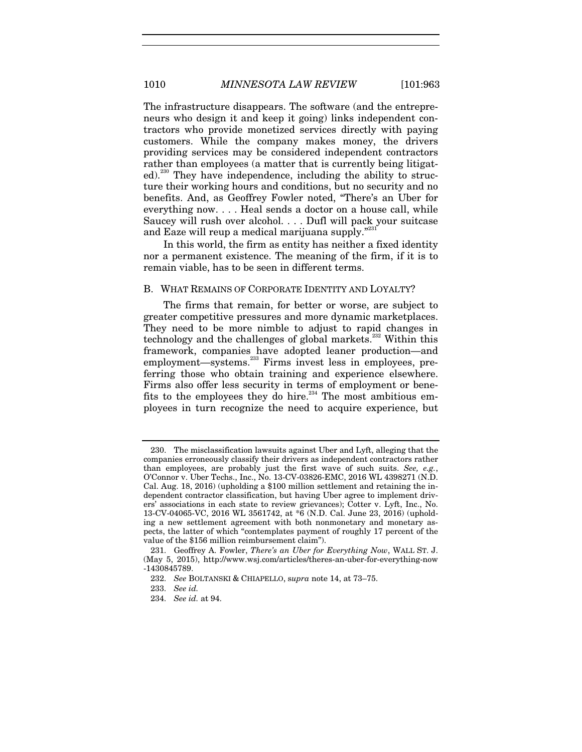The infrastructure disappears. The software (and the entrepreneurs who design it and keep it going) links independent contractors who provide monetized services directly with paying customers. While the company makes money, the drivers providing services may be considered independent contractors rather than employees (a matter that is currently being litigated).<sup>230</sup> They have independence, including the ability to structure their working hours and conditions, but no security and no benefits. And, as Geoffrey Fowler noted, "There's an Uber for everything now. . . . Heal sends a doctor on a house call, while Saucey will rush over alcohol. . . . Dufl will pack your suitcase and Eaze will reup a medical marijuana supply."<sup>231</sup>

In this world, the firm as entity has neither a fixed identity nor a permanent existence. The meaning of the firm, if it is to remain viable, has to be seen in different terms.

#### B. WHAT REMAINS OF CORPORATE IDENTITY AND LOYALTY?

The firms that remain, for better or worse, are subject to greater competitive pressures and more dynamic marketplaces. They need to be more nimble to adjust to rapid changes in technology and the challenges of global markets.<sup>232</sup> Within this framework, companies have adopted leaner production—and employment—systems.<sup>233</sup> Firms invest less in employees, preferring those who obtain training and experience elsewhere. Firms also offer less security in terms of employment or benefits to the employees they do hire.<sup>234</sup> The most ambitious employees in turn recognize the need to acquire experience, but

 <sup>230.</sup> The misclassification lawsuits against Uber and Lyft, alleging that the companies erroneously classify their drivers as independent contractors rather than employees, are probably just the first wave of such suits. *See, e.g.*, O'Connor v. Uber Techs., Inc., No. 13-CV-03826-EMC, 2016 WL 4398271 (N.D. Cal. Aug. 18, 2016) (upholding a \$100 million settlement and retaining the independent contractor classification, but having Uber agree to implement drivers' associations in each state to review grievances); Cotter v. Lyft, Inc., No. 13-CV-04065-VC, 2016 WL 3561742, at \*6 (N.D. Cal. June 23, 2016) (upholding a new settlement agreement with both nonmonetary and monetary aspects, the latter of which "contemplates payment of roughly 17 percent of the value of the \$156 million reimbursement claim").

 <sup>231.</sup> Geoffrey A. Fowler, *There's an Uber for Everything Now*, WALL ST. J. (May 5, 2015), http://www.wsj.com/articles/theres-an-uber-for-everything-now -1430845789.

<sup>232.</sup> *See* BOLTANSKI & CHIAPELLO, s*upra* note 14, at 73–75.

<sup>233.</sup> *See id.*

<sup>234.</sup> *See id.* at 94.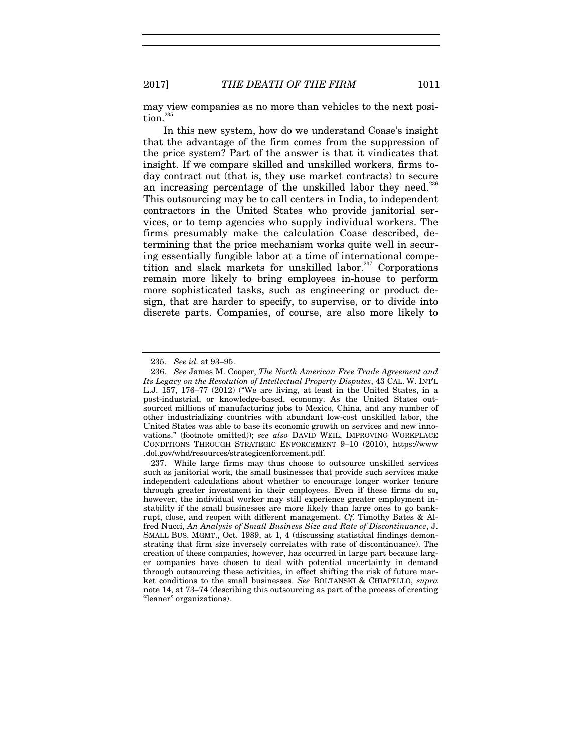may view companies as no more than vehicles to the next position.<sup>23</sup>

In this new system, how do we understand Coase's insight that the advantage of the firm comes from the suppression of the price system? Part of the answer is that it vindicates that insight. If we compare skilled and unskilled workers, firms today contract out (that is, they use market contracts) to secure an increasing percentage of the unskilled labor they need.<sup>236</sup> This outsourcing may be to call centers in India, to independent contractors in the United States who provide janitorial services, or to temp agencies who supply individual workers. The firms presumably make the calculation Coase described, determining that the price mechanism works quite well in securing essentially fungible labor at a time of international competition and slack markets for unskilled labor.<sup>237</sup> Corporations remain more likely to bring employees in-house to perform more sophisticated tasks, such as engineering or product design, that are harder to specify, to supervise, or to divide into discrete parts. Companies, of course, are also more likely to

<sup>235.</sup> *See id.* at 93–95.

<sup>236.</sup> *See* James M. Cooper, *The North American Free Trade Agreement and Its Legacy on the Resolution of Intellectual Property Disputes*, 43 CAL. W. INT'L L.J. 157, 176–77 (2012) ("We are living, at least in the United States, in a post-industrial, or knowledge-based, economy. As the United States outsourced millions of manufacturing jobs to Mexico, China, and any number of other industrializing countries with abundant low-cost unskilled labor, the United States was able to base its economic growth on services and new innovations." (footnote omitted)); *see also* DAVID WEIL, IMPROVING WORKPLACE CONDITIONS THROUGH STRATEGIC ENFORCEMENT 9–10 (2010), https://www .dol.gov/whd/resources/strategicenforcement.pdf.

 <sup>237.</sup> While large firms may thus choose to outsource unskilled services such as janitorial work, the small businesses that provide such services make independent calculations about whether to encourage longer worker tenure through greater investment in their employees. Even if these firms do so, however, the individual worker may still experience greater employment instability if the small businesses are more likely than large ones to go bankrupt, close, and reopen with different management. *Cf.* Timothy Bates & Alfred Nucci, *An Analysis of Small Business Size and Rate of Discontinuance*, J. SMALL BUS. MGMT., Oct. 1989, at 1, 4 (discussing statistical findings demonstrating that firm size inversely correlates with rate of discontinuance). The creation of these companies, however, has occurred in large part because larger companies have chosen to deal with potential uncertainty in demand through outsourcing these activities, in effect shifting the risk of future market conditions to the small businesses. *See* BOLTANSKI & CHIAPELLO, *supra*  note 14, at 73–74 (describing this outsourcing as part of the process of creating "leaner" organizations).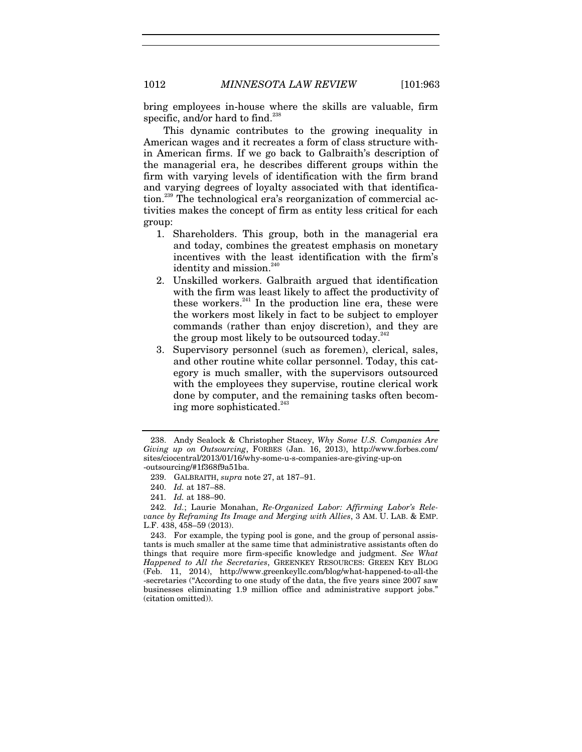bring employees in-house where the skills are valuable, firm specific, and/or hard to find.<sup>23</sup>

This dynamic contributes to the growing inequality in American wages and it recreates a form of class structure within American firms. If we go back to Galbraith's description of the managerial era, he describes different groups within the firm with varying levels of identification with the firm brand and varying degrees of loyalty associated with that identification.<sup>239</sup> The technological era's reorganization of commercial activities makes the concept of firm as entity less critical for each group:

- 1. Shareholders. This group, both in the managerial era and today, combines the greatest emphasis on monetary incentives with the least identification with the firm's identity and mission. $240$
- 2. Unskilled workers. Galbraith argued that identification with the firm was least likely to affect the productivity of these workers. $^{241}$  In the production line era, these were the workers most likely in fact to be subject to employer commands (rather than enjoy discretion), and they are the group most likely to be outsourced today. $2^2$
- 3. Supervisory personnel (such as foremen), clerical, sales, and other routine white collar personnel. Today, this category is much smaller, with the supervisors outsourced with the employees they supervise, routine clerical work done by computer, and the remaining tasks often becoming more sophisticated.<sup>243</sup>

 <sup>238.</sup> Andy Sealock & Christopher Stacey, *Why Some U.S. Companies Are Giving up on Outsourcing*, FORBES (Jan. 16, 2013), http://www.forbes.com/ sites/ciocentral/2013/01/16/why-some-u-s-companies-are-giving-up-on -outsourcing/#1f368f9a51ba.

 <sup>239.</sup> GALBRAITH, *supra* note 27, at 187–91.

<sup>240.</sup> *Id.* at 187–88.

<sup>241.</sup> *Id.* at 188–90.

<sup>242.</sup> *Id.*; Laurie Monahan, *Re-Organized Labor: Affirming Labor's Relevance by Reframing Its Image and Merging with Allies*, 3 AM. U. LAB. & EMP. L.F. 438, 458–59 (2013).

 <sup>243.</sup> For example, the typing pool is gone, and the group of personal assistants is much smaller at the same time that administrative assistants often do things that require more firm-specific knowledge and judgment. *See What Happened to All the Secretaries*, GREENKEY RESOURCES: GREEN KEY BLOG (Feb. 11, 2014), http://www.greenkeyllc.com/blog/what-happened-to-all-the -secretaries ("According to one study of the data, the five years since 2007 saw businesses eliminating 1.9 million office and administrative support jobs." (citation omitted)).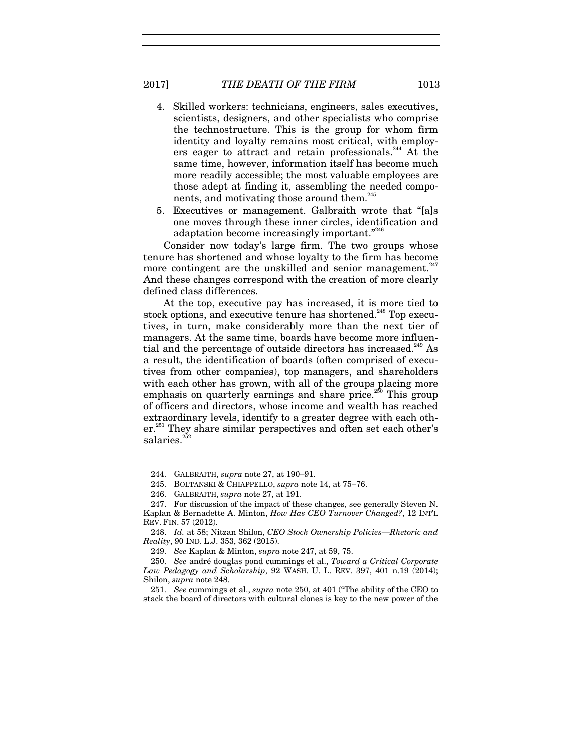- 4. Skilled workers: technicians, engineers, sales executives, scientists, designers, and other specialists who comprise the technostructure. This is the group for whom firm identity and loyalty remains most critical, with employers eager to attract and retain professionals.<sup>244</sup> At the same time, however, information itself has become much more readily accessible; the most valuable employees are those adept at finding it, assembling the needed components, and motivating those around them.<sup>245</sup>
- 5. Executives or management. Galbraith wrote that "[a]s one moves through these inner circles, identification and adaptation become increasingly important."246

Consider now today's large firm. The two groups whose tenure has shortened and whose loyalty to the firm has become more contingent are the unskilled and senior management.<sup>247</sup> And these changes correspond with the creation of more clearly defined class differences.

At the top, executive pay has increased, it is more tied to stock options, and executive tenure has shortened.<sup>248</sup> Top executives, in turn, make considerably more than the next tier of managers. At the same time, boards have become more influential and the percentage of outside directors has increased.<sup>249</sup> As a result, the identification of boards (often comprised of executives from other companies), top managers, and shareholders with each other has grown, with all of the groups placing more emphasis on quarterly earnings and share price.<sup>250</sup> This group of officers and directors, whose income and wealth has reached extraordinary levels, identify to a greater degree with each other.<sup>251</sup> They share similar perspectives and often set each other's salaries.<sup>2</sup>

251. *See* cummings et al., *supra* note 250, at 401 ("The ability of the CEO to stack the board of directors with cultural clones is key to the new power of the

 <sup>244.</sup> GALBRAITH, *supra* note 27, at 190–91.

 <sup>245.</sup> BOLTANSKI & CHIAPPELLO, *supra* note 14, at 75–76.

 <sup>246.</sup> GALBRAITH, *supra* note 27, at 191.

 <sup>247.</sup> For discussion of the impact of these changes, see generally Steven N. Kaplan & Bernadette A. Minton, *How Has CEO Turnover Changed?*, 12 INT'L REV. FIN. 57 (2012).

<sup>248.</sup> *Id.* at 58; Nitzan Shilon, *CEO Stock Ownership Policies—Rhetoric and Reality*, 90 IND. L.J. 353, 362 (2015).

<sup>249.</sup> *See* Kaplan & Minton, *supra* note 247, at 59, 75.

<sup>250.</sup> *See* andré douglas pond cummings et al., *Toward a Critical Corporate Law Pedagogy and Scholarship*, 92 WASH. U. L. REV. 397, 401 n.19 (2014); Shilon, *supra* note 248.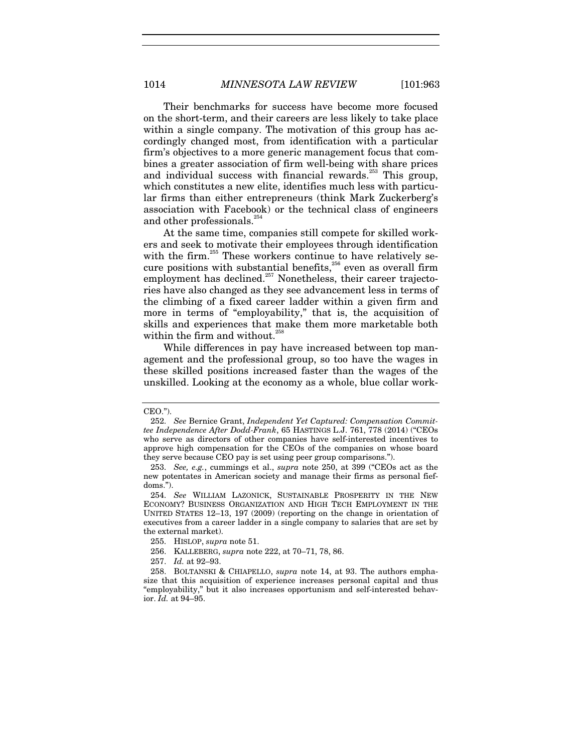Their benchmarks for success have become more focused on the short-term, and their careers are less likely to take place within a single company. The motivation of this group has accordingly changed most, from identification with a particular firm's objectives to a more generic management focus that combines a greater association of firm well-being with share prices and individual success with financial rewards.<sup>253</sup> This group, which constitutes a new elite, identifies much less with particular firms than either entrepreneurs (think Mark Zuckerberg's association with Facebook) or the technical class of engineers and other professionals.<sup>24</sup>

At the same time, companies still compete for skilled workers and seek to motivate their employees through identification with the firm.<sup>255</sup> These workers continue to have relatively secure positions with substantial benefits, $256$  even as overall firm employment has declined.<sup>257</sup> Nonetheless, their career trajectories have also changed as they see advancement less in terms of the climbing of a fixed career ladder within a given firm and more in terms of "employability," that is, the acquisition of skills and experiences that make them more marketable both within the firm and without. $258$ 

While differences in pay have increased between top management and the professional group, so too have the wages in these skilled positions increased faster than the wages of the unskilled. Looking at the economy as a whole, blue collar work-

CEO.").

<sup>252.</sup> *See* Bernice Grant, *Independent Yet Captured: Compensation Committee Independence After Dodd-Frank*, 65 HASTINGS L.J. 761, 778 (2014) ("CEOs who serve as directors of other companies have self-interested incentives to approve high compensation for the CEOs of the companies on whose board they serve because CEO pay is set using peer group comparisons.").

<sup>253.</sup> *See, e.g.*, cummings et al., *supra* note 250, at 399 ("CEOs act as the new potentates in American society and manage their firms as personal fiefdoms.").

<sup>254.</sup> *See* WILLIAM LAZONICK, SUSTAINABLE PROSPERITY IN THE NEW ECONOMY? BUSINESS ORGANIZATION AND HIGH TECH EMPLOYMENT IN THE UNITED STATES 12–13, 197 (2009) (reporting on the change in orientation of executives from a career ladder in a single company to salaries that are set by the external market).

 <sup>255.</sup> HISLOP, *supra* note 51.

 <sup>256.</sup> KALLEBERG, *supra* note 222, at 70–71, 78, 86.

<sup>257.</sup> *Id.* at 92–93.

 <sup>258.</sup> BOLTANSKI & CHIAPELLO, *supra* note 14, at 93. The authors emphasize that this acquisition of experience increases personal capital and thus "employability," but it also increases opportunism and self-interested behavior. *Id.* at 94–95.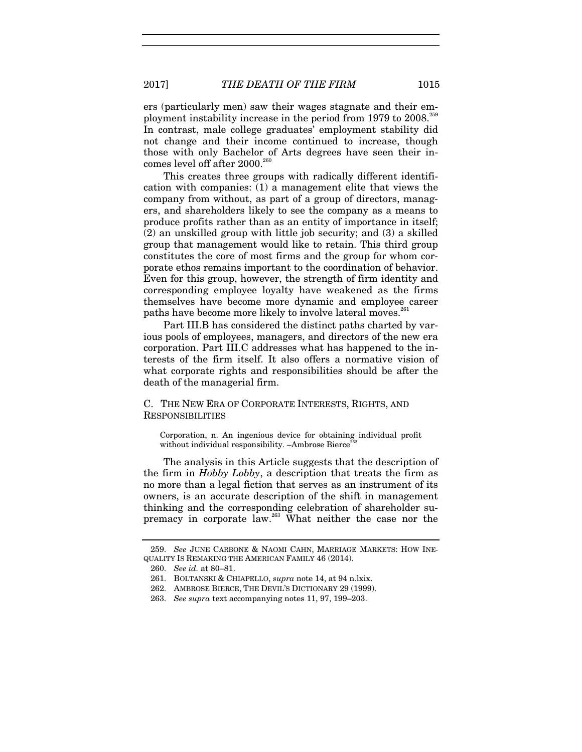ers (particularly men) saw their wages stagnate and their employment instability increase in the period from 1979 to 2008.<sup>259</sup> In contrast, male college graduates' employment stability did not change and their income continued to increase, though those with only Bachelor of Arts degrees have seen their incomes level off after 2000.<sup>260</sup>

This creates three groups with radically different identification with companies: (1) a management elite that views the company from without, as part of a group of directors, managers, and shareholders likely to see the company as a means to produce profits rather than as an entity of importance in itself; (2) an unskilled group with little job security; and (3) a skilled group that management would like to retain. This third group constitutes the core of most firms and the group for whom corporate ethos remains important to the coordination of behavior. Even for this group, however, the strength of firm identity and corresponding employee loyalty have weakened as the firms themselves have become more dynamic and employee career paths have become more likely to involve lateral moves.<sup>261</sup>

Part III.B has considered the distinct paths charted by various pools of employees, managers, and directors of the new era corporation. Part III.C addresses what has happened to the interests of the firm itself. It also offers a normative vision of what corporate rights and responsibilities should be after the death of the managerial firm.

#### C. THE NEW ERA OF CORPORATE INTERESTS, RIGHTS, AND RESPONSIBILITIES

Corporation, n. An ingenious device for obtaining individual profit without individual responsibility. –Ambrose Bierce<sup>2</sup>

The analysis in this Article suggests that the description of the firm in *Hobby Lobby*, a description that treats the firm as no more than a legal fiction that serves as an instrument of its owners, is an accurate description of the shift in management thinking and the corresponding celebration of shareholder supremacy in corporate law.<sup>263</sup> What neither the case nor the

<sup>259.</sup> *See* JUNE CARBONE & NAOMI CAHN, MARRIAGE MARKETS: HOW INE-QUALITY IS REMAKING THE AMERICAN FAMILY 46 (2014).

<sup>260.</sup> *See id.* at 80–81.

 <sup>261.</sup> BOLTANSKI & CHIAPELLO, *supra* note 14, at 94 n.lxix.

 <sup>262.</sup> AMBROSE BIERCE, THE DEVIL'S DICTIONARY 29 (1999).

<sup>263.</sup> *See supra* text accompanying notes 11, 97, 199–203.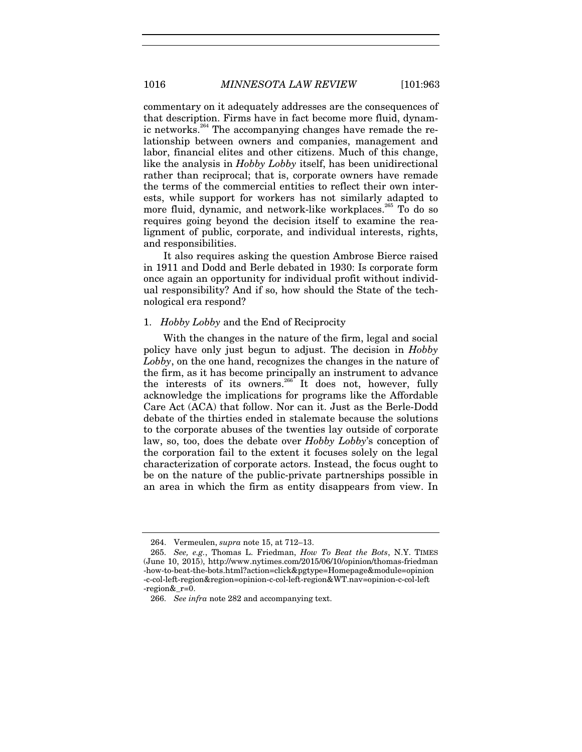commentary on it adequately addresses are the consequences of that description. Firms have in fact become more fluid, dynamic networks.<sup>264</sup> The accompanying changes have remade the relationship between owners and companies, management and labor, financial elites and other citizens. Much of this change, like the analysis in *Hobby Lobby* itself, has been unidirectional rather than reciprocal; that is, corporate owners have remade the terms of the commercial entities to reflect their own interests, while support for workers has not similarly adapted to more fluid, dynamic, and network-like workplaces.<sup>265</sup> To do so requires going beyond the decision itself to examine the realignment of public, corporate, and individual interests, rights, and responsibilities.

It also requires asking the question Ambrose Bierce raised in 1911 and Dodd and Berle debated in 1930: Is corporate form once again an opportunity for individual profit without individual responsibility? And if so, how should the State of the technological era respond?

#### 1. *Hobby Lobby* and the End of Reciprocity

With the changes in the nature of the firm, legal and social policy have only just begun to adjust. The decision in *Hobby Lobby*, on the one hand, recognizes the changes in the nature of the firm, as it has become principally an instrument to advance the interests of its owners.<sup>266</sup> It does not, however, fully acknowledge the implications for programs like the Affordable Care Act (ACA) that follow. Nor can it. Just as the Berle-Dodd debate of the thirties ended in stalemate because the solutions to the corporate abuses of the twenties lay outside of corporate law, so, too, does the debate over *Hobby Lobby*'s conception of the corporation fail to the extent it focuses solely on the legal characterization of corporate actors. Instead, the focus ought to be on the nature of the public-private partnerships possible in an area in which the firm as entity disappears from view. In

 <sup>264.</sup> Vermeulen, *supra* note 15, at 712–13.

<sup>265.</sup> *See, e.g.*, Thomas L. Friedman, *How To Beat the Bots*, N.Y. TIMES (June 10, 2015), http://www.nytimes.com/2015/06/10/opinion/thomas-friedman -how-to-beat-the-bots.html?action=click&pgtype=Homepage&module=opinion -c-col-left-region&region=opinion-c-col-left-region&WT.nav=opinion-c-col-left -region&\_r=0.

<sup>266.</sup> *See infra* note 282 and accompanying text.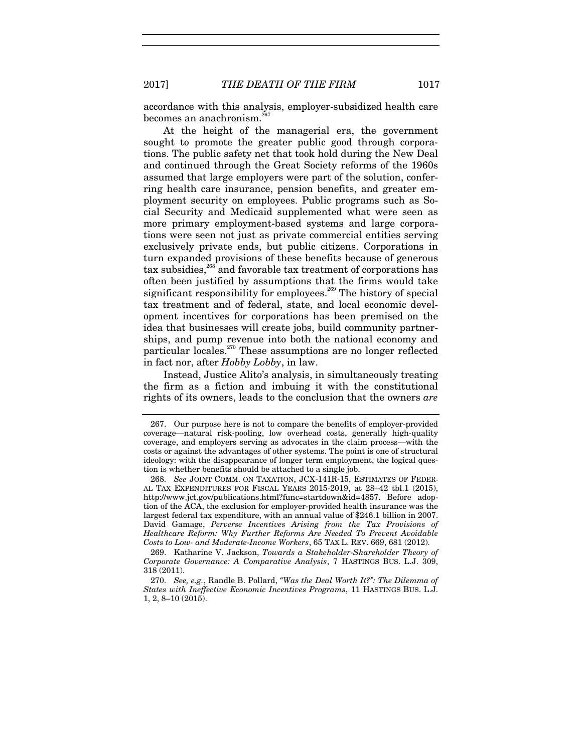2017] *THE DEATH OF THE FIRM* 1017

accordance with this analysis, employer-subsidized health care becomes an anachronism.<sup>2</sup>

At the height of the managerial era, the government sought to promote the greater public good through corporations. The public safety net that took hold during the New Deal and continued through the Great Society reforms of the 1960s assumed that large employers were part of the solution, conferring health care insurance, pension benefits, and greater employment security on employees. Public programs such as Social Security and Medicaid supplemented what were seen as more primary employment-based systems and large corporations were seen not just as private commercial entities serving exclusively private ends, but public citizens. Corporations in turn expanded provisions of these benefits because of generous  $\text{tax subsidies},^{268}$  and favorable tax treatment of corporations has often been justified by assumptions that the firms would take significant responsibility for employees.<sup> $^{269}$ </sup> The history of special tax treatment and of federal, state, and local economic development incentives for corporations has been premised on the idea that businesses will create jobs, build community partnerships, and pump revenue into both the national economy and particular locales.<sup>270</sup> These assumptions are no longer reflected in fact nor, after *Hobby Lobby*, in law.

Instead, Justice Alito's analysis, in simultaneously treating the firm as a fiction and imbuing it with the constitutional rights of its owners, leads to the conclusion that the owners *are*

 <sup>267.</sup> Our purpose here is not to compare the benefits of employer-provided coverage—natural risk-pooling, low overhead costs, generally high-quality coverage, and employers serving as advocates in the claim process—with the costs or against the advantages of other systems. The point is one of structural ideology: with the disappearance of longer term employment, the logical question is whether benefits should be attached to a single job.

<sup>268.</sup> *See* JOINT COMM. ON TAXATION, JCX-141R-15, ESTIMATES OF FEDER-AL TAX EXPENDITURES FOR FISCAL YEARS 2015-2019, at 28–42 tbl.1 (2015), http://www.jct.gov/publications.html?func=startdown&id=4857. Before adoption of the ACA, the exclusion for employer-provided health insurance was the largest federal tax expenditure, with an annual value of \$246.1 billion in 2007. David Gamage, *Perverse Incentives Arising from the Tax Provisions of Healthcare Reform: Why Further Reforms Are Needed To Prevent Avoidable Costs to Low- and Moderate-Income Workers*, 65 TAX L. REV. 669, 681 (2012).

 <sup>269.</sup> Katharine V. Jackson, *Towards a Stakeholder-Shareholder Theory of Corporate Governance: A Comparative Analysis*, 7 HASTINGS BUS. L.J. 309, 318 (2011).

<sup>270.</sup> *See, e.g.*, Randle B. Pollard, *"Was the Deal Worth It?": The Dilemma of States with Ineffective Economic Incentives Programs*, 11 HASTINGS BUS. L.J. 1, 2, 8–10 (2015).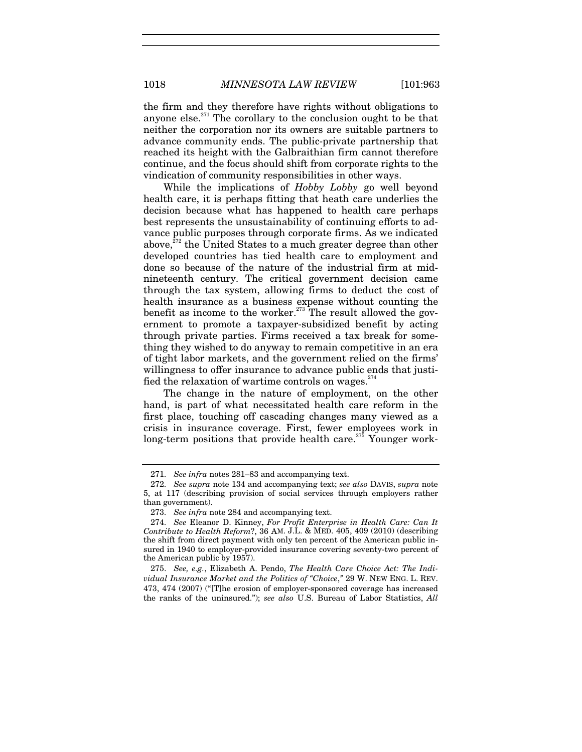1018 *MINNESOTA LAW REVIEW* [101:963

the firm and they therefore have rights without obligations to anyone else. $271$  The corollary to the conclusion ought to be that neither the corporation nor its owners are suitable partners to advance community ends. The public-private partnership that reached its height with the Galbraithian firm cannot therefore continue, and the focus should shift from corporate rights to the vindication of community responsibilities in other ways.

While the implications of *Hobby Lobby* go well beyond health care, it is perhaps fitting that heath care underlies the decision because what has happened to health care perhaps best represents the unsustainability of continuing efforts to advance public purposes through corporate firms. As we indicated above,<sup>272</sup> the United States to a much greater degree than other developed countries has tied health care to employment and done so because of the nature of the industrial firm at midnineteenth century. The critical government decision came through the tax system, allowing firms to deduct the cost of health insurance as a business expense without counting the benefit as income to the worker.<sup> $273$ </sup> The result allowed the government to promote a taxpayer-subsidized benefit by acting through private parties. Firms received a tax break for something they wished to do anyway to remain competitive in an era of tight labor markets, and the government relied on the firms' willingness to offer insurance to advance public ends that justified the relaxation of wartime controls on wages. $274$ 

The change in the nature of employment, on the other hand, is part of what necessitated health care reform in the first place, touching off cascading changes many viewed as a crisis in insurance coverage. First, fewer employees work in long-term positions that provide health care.<sup>275</sup> Younger work-

<sup>271.</sup> *See infra* notes 281–83 and accompanying text.

<sup>272.</sup> *See supra* note 134 and accompanying text; *see also* DAVIS, *supra* note 5, at 117 (describing provision of social services through employers rather than government).

<sup>273.</sup> *See infra* note 284 and accompanying text.

<sup>274.</sup> *See* Eleanor D. Kinney, *For Profit Enterprise in Health Care: Can It Contribute to Health Reform*?, 36 AM. J.L. & MED. 405, 409 (2010) (describing the shift from direct payment with only ten percent of the American public insured in 1940 to employer-provided insurance covering seventy-two percent of the American public by 1957).

<sup>275.</sup> *See, e.g.*, Elizabeth A. Pendo, *The Health Care Choice Act: The Individual Insurance Market and the Politics of "Choice*,*"* 29 W. NEW ENG. L. REV. 473, 474 (2007) ("[T]he erosion of employer-sponsored coverage has increased the ranks of the uninsured."); *see also* U.S. Bureau of Labor Statistics, *All*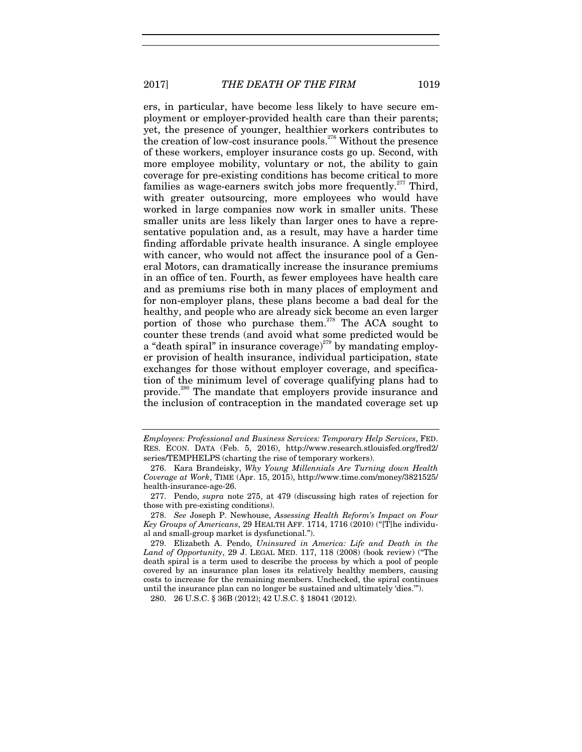2017] *THE DEATH OF THE FIRM* 1019

ers, in particular, have become less likely to have secure employment or employer-provided health care than their parents; yet, the presence of younger, healthier workers contributes to the creation of low-cost insurance pools.<sup>276</sup> Without the presence of these workers, employer insurance costs go up. Second, with more employee mobility, voluntary or not, the ability to gain coverage for pre-existing conditions has become critical to more families as wage-earners switch jobs more frequently.<sup>277</sup> Third, with greater outsourcing, more employees who would have worked in large companies now work in smaller units. These smaller units are less likely than larger ones to have a representative population and, as a result, may have a harder time finding affordable private health insurance. A single employee with cancer, who would not affect the insurance pool of a General Motors, can dramatically increase the insurance premiums in an office of ten. Fourth, as fewer employees have health care and as premiums rise both in many places of employment and for non-employer plans, these plans become a bad deal for the healthy, and people who are already sick become an even larger portion of those who purchase them.<sup>278</sup> The ACA sought to counter these trends (and avoid what some predicted would be a "death spiral" in insurance coverage) $^{279}$  by mandating employer provision of health insurance, individual participation, state exchanges for those without employer coverage, and specification of the minimum level of coverage qualifying plans had to provide.<sup>280</sup> The mandate that employers provide insurance and the inclusion of contraception in the mandated coverage set up

*Employees: Professional and Business Services: Temporary Help Services*, FED. RES. ECON. DATA (Feb. 5, 2016), http://www.research.stlouisfed.org/fred2/ series/TEMPHELPS (charting the rise of temporary workers).

 <sup>276.</sup> Kara Brandeisky, *Why Young Millennials Are Turning down Health Coverage at Work*, TIME (Apr. 15, 2015), http://www.time.com/money/3821525/ health-insurance-age-26.

 <sup>277.</sup> Pendo, *supra* note 275, at 479 (discussing high rates of rejection for those with pre-existing conditions).

<sup>278.</sup> *See* Joseph P. Newhouse, *Assessing Health Reform's Impact on Four Key Groups of Americans*, 29 HEALTH AFF. 1714, 1716 (2010) ("[T]he individual and small-group market is dysfunctional.").

 <sup>279.</sup> Elizabeth A. Pendo, *Uninsured in America: Life and Death in the Land of Opportunity*, 29 J. LEGAL MED. 117, 118 (2008) (book review) ("The death spiral is a term used to describe the process by which a pool of people covered by an insurance plan loses its relatively healthy members, causing costs to increase for the remaining members. Unchecked, the spiral continues until the insurance plan can no longer be sustained and ultimately 'dies.'").

 <sup>280. 26</sup> U.S.C. § 36B (2012); 42 U.S.C. § 18041 (2012).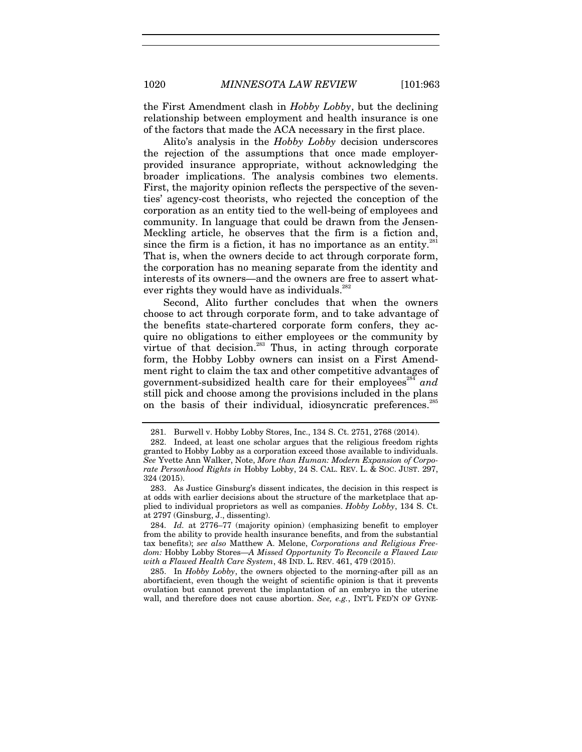the First Amendment clash in *Hobby Lobby*, but the declining relationship between employment and health insurance is one of the factors that made the ACA necessary in the first place.

Alito's analysis in the *Hobby Lobby* decision underscores the rejection of the assumptions that once made employerprovided insurance appropriate, without acknowledging the broader implications. The analysis combines two elements. First, the majority opinion reflects the perspective of the seventies' agency-cost theorists, who rejected the conception of the corporation as an entity tied to the well-being of employees and community. In language that could be drawn from the Jensen-Meckling article, he observes that the firm is a fiction and, since the firm is a fiction, it has no importance as an entity. $281$ That is, when the owners decide to act through corporate form, the corporation has no meaning separate from the identity and interests of its owners—and the owners are free to assert whatever rights they would have as individuals.<sup>282</sup>

Second, Alito further concludes that when the owners choose to act through corporate form, and to take advantage of the benefits state-chartered corporate form confers, they acquire no obligations to either employees or the community by virtue of that decision. $^{283}$  Thus, in acting through corporate form, the Hobby Lobby owners can insist on a First Amendment right to claim the tax and other competitive advantages of government-subsidized health care for their employees<sup>284</sup> and still pick and choose among the provisions included in the plans on the basis of their individual, idiosyncratic preferences.<sup>285</sup>

 285. In *Hobby Lobby*, the owners objected to the morning-after pill as an abortifacient, even though the weight of scientific opinion is that it prevents ovulation but cannot prevent the implantation of an embryo in the uterine wall, and therefore does not cause abortion. *See, e.g.*, INT'L FED'N OF GYNE-

 <sup>281.</sup> Burwell v. Hobby Lobby Stores, Inc., 134 S. Ct. 2751, 2768 (2014).

 <sup>282.</sup> Indeed, at least one scholar argues that the religious freedom rights granted to Hobby Lobby as a corporation exceed those available to individuals. *See* Yvette Ann Walker, Note, *More than Human: Modern Expansion of Corporate Personhood Rights in* Hobby Lobby, 24 S. CAL. REV. L. & SOC. JUST. 297, 324 (2015).

 <sup>283.</sup> As Justice Ginsburg's dissent indicates, the decision in this respect is at odds with earlier decisions about the structure of the marketplace that applied to individual proprietors as well as companies. *Hobby Lobby*, 134 S. Ct. at 2797 (Ginsburg, J., dissenting).

<sup>284.</sup> *Id.* at 2776–77 (majority opinion) (emphasizing benefit to employer from the ability to provide health insurance benefits, and from the substantial tax benefits); *see also* Matthew A. Melone, *Corporations and Religious Freedom:* Hobby Lobby Stores—*A Missed Opportunity To Reconcile a Flawed Law with a Flawed Health Care System*, 48 IND. L. REV. 461, 479 (2015).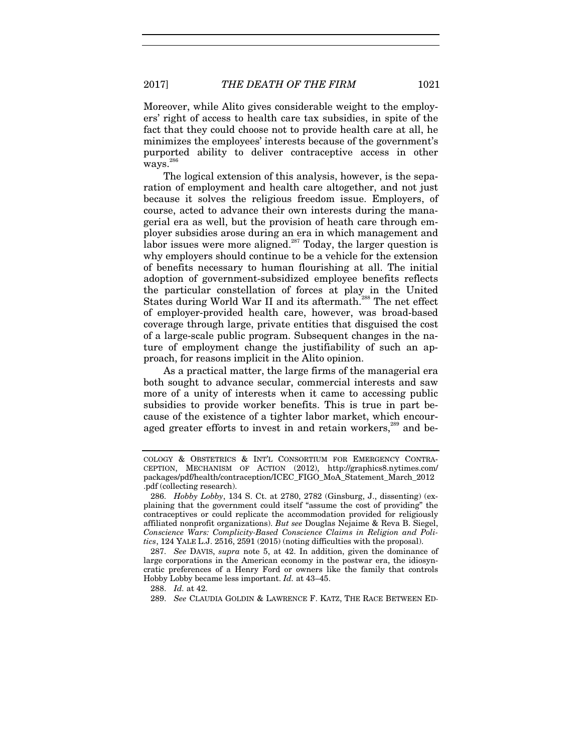Moreover, while Alito gives considerable weight to the employers' right of access to health care tax subsidies, in spite of the fact that they could choose not to provide health care at all, he minimizes the employees' interests because of the government's purported ability to deliver contraceptive access in other ways.<sup>286</sup>

The logical extension of this analysis, however, is the separation of employment and health care altogether, and not just because it solves the religious freedom issue. Employers, of course, acted to advance their own interests during the managerial era as well, but the provision of heath care through employer subsidies arose during an era in which management and labor issues were more aligned.<sup>287</sup> Today, the larger question is why employers should continue to be a vehicle for the extension of benefits necessary to human flourishing at all. The initial adoption of government-subsidized employee benefits reflects the particular constellation of forces at play in the United States during World War II and its aftermath.<sup>288</sup> The net effect of employer-provided health care, however, was broad-based coverage through large, private entities that disguised the cost of a large-scale public program. Subsequent changes in the nature of employment change the justifiability of such an approach, for reasons implicit in the Alito opinion.

As a practical matter, the large firms of the managerial era both sought to advance secular, commercial interests and saw more of a unity of interests when it came to accessing public subsidies to provide worker benefits. This is true in part because of the existence of a tighter labor market, which encouraged greater efforts to invest in and retain workers,<sup>289</sup> and be-

287. *See* DAVIS, *supra* note 5, at 42. In addition, given the dominance of large corporations in the American economy in the postwar era, the idiosyncratic preferences of a Henry Ford or owners like the family that controls Hobby Lobby became less important. *Id.* at 43–45.

288. *Id.* at 42.

289. *See* CLAUDIA GOLDIN & LAWRENCE F. KATZ, THE RACE BETWEEN ED-

COLOGY & OBSTETRICS & INT'L CONSORTIUM FOR EMERGENCY CONTRA-CEPTION, MECHANISM OF ACTION (2012), http://graphics8.nytimes.com/ packages/pdf/health/contraception/ICEC\_FIGO\_MoA\_Statement\_March\_2012 .pdf (collecting research).

<sup>286.</sup> *Hobby Lobby*, 134 S. Ct. at 2780, 2782 (Ginsburg, J., dissenting) (explaining that the government could itself "assume the cost of providing" the contraceptives or could replicate the accommodation provided for religiously affiliated nonprofit organizations). *But see* Douglas Nejaime & Reva B. Siegel, *Conscience Wars: Complicity-Based Conscience Claims in Religion and Politics*, 124 YALE L.J. 2516, 2591 (2015) (noting difficulties with the proposal).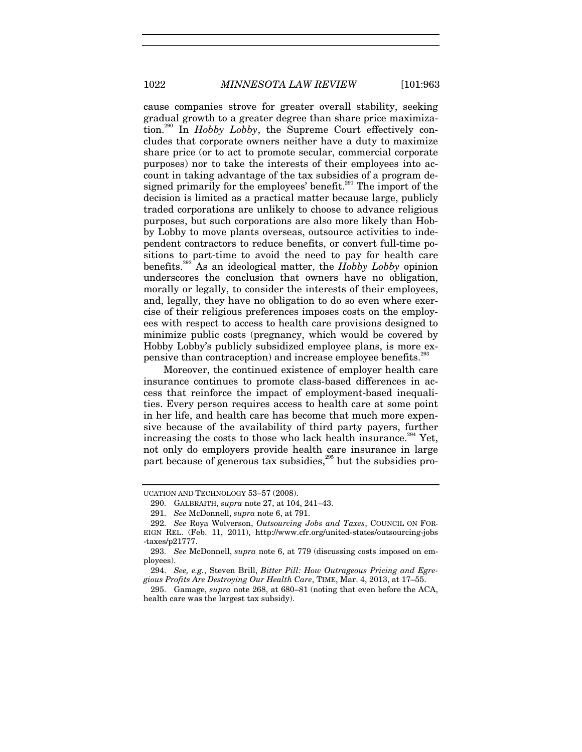1022 *MINNESOTA LAW REVIEW* [101:963

cause companies strove for greater overall stability, seeking gradual growth to a greater degree than share price maximization.290 In *Hobby Lobby*, the Supreme Court effectively concludes that corporate owners neither have a duty to maximize share price (or to act to promote secular, commercial corporate purposes) nor to take the interests of their employees into account in taking advantage of the tax subsidies of a program designed primarily for the employees' benefit. $291$  The import of the decision is limited as a practical matter because large, publicly traded corporations are unlikely to choose to advance religious purposes, but such corporations are also more likely than Hobby Lobby to move plants overseas, outsource activities to independent contractors to reduce benefits, or convert full-time positions to part-time to avoid the need to pay for health care benefits.292 As an ideological matter, the *Hobby Lobby* opinion underscores the conclusion that owners have no obligation, morally or legally, to consider the interests of their employees, and, legally, they have no obligation to do so even where exercise of their religious preferences imposes costs on the employees with respect to access to health care provisions designed to minimize public costs (pregnancy, which would be covered by Hobby Lobby's publicly subsidized employee plans, is more expensive than contraception) and increase employee benefits.<sup>29</sup>

Moreover, the continued existence of employer health care insurance continues to promote class-based differences in access that reinforce the impact of employment-based inequalities. Every person requires access to health care at some point in her life, and health care has become that much more expensive because of the availability of third party payers, further increasing the costs to those who lack health insurance.<sup>294</sup> Yet, not only do employers provide health care insurance in large part because of generous tax subsidies,<sup>295</sup> but the subsidies pro-

UCATION AND TECHNOLOGY 53–57 (2008).

 <sup>290.</sup> GALBRAITH, *supra* note 27, at 104, 241–43.

<sup>291.</sup> *See* McDonnell, *supra* note 6, at 791.

<sup>292.</sup> *See* Roya Wolverson, *Outsourcing Jobs and Taxes*, COUNCIL ON FOR-EIGN REL. (Feb. 11, 2011), http://www.cfr.org/united-states/outsourcing-jobs -taxes/p21777.

<sup>293.</sup> *See* McDonnell, *supra* note 6, at 779 (discussing costs imposed on employees).

<sup>294.</sup> *See, e.g.*, Steven Brill, *Bitter Pill: How Outrageous Pricing and Egregious Profits Are Destroying Our Health Care*, TIME, Mar. 4, 2013, at 17–55.

 <sup>295.</sup> Gamage, *supra* note 268, at 680–81 (noting that even before the ACA, health care was the largest tax subsidy).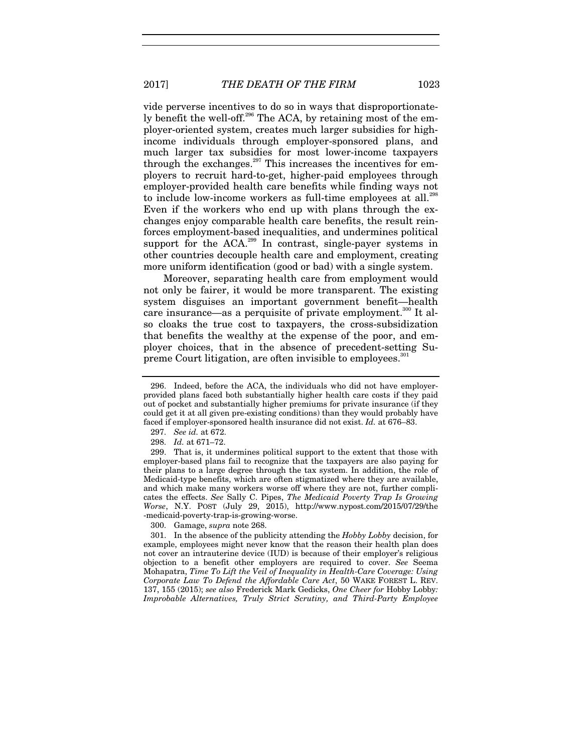vide perverse incentives to do so in ways that disproportionately benefit the well-off.<sup>296</sup> The ACA, by retaining most of the employer-oriented system, creates much larger subsidies for highincome individuals through employer-sponsored plans, and much larger tax subsidies for most lower-income taxpayers through the exchanges.<sup>297</sup> This increases the incentives for employers to recruit hard-to-get, higher-paid employees through employer-provided health care benefits while finding ways not to include low-income workers as full-time employees at all.<sup>298</sup> Even if the workers who end up with plans through the exchanges enjoy comparable health care benefits, the result reinforces employment-based inequalities, and undermines political support for the  $ACA^{299}$  In contrast, single-payer systems in other countries decouple health care and employment, creating more uniform identification (good or bad) with a single system.

Moreover, separating health care from employment would not only be fairer, it would be more transparent. The existing system disguises an important government benefit—health care insurance—as a perquisite of private employment.<sup>300</sup> It also cloaks the true cost to taxpayers, the cross-subsidization that benefits the wealthy at the expense of the poor, and employer choices, that in the absence of precedent-setting Supreme Court litigation, are often invisible to employees.<sup>301</sup>

 299. That is, it undermines political support to the extent that those with employer-based plans fail to recognize that the taxpayers are also paying for their plans to a large degree through the tax system. In addition, the role of Medicaid-type benefits, which are often stigmatized where they are available, and which make many workers worse off where they are not, further complicates the effects. *See* Sally C. Pipes, *The Medicaid Poverty Trap Is Growing Worse*, N.Y. POST (July 29, 2015), http://www.nypost.com/2015/07/29/the -medicaid-poverty-trap-is-growing-worse.

300. Gamage, *supra* note 268.

 301. In the absence of the publicity attending the *Hobby Lobby* decision, for example, employees might never know that the reason their health plan does not cover an intrauterine device (IUD) is because of their employer's religious objection to a benefit other employers are required to cover. *See* Seema Mohapatra, *Time To Lift the Veil of Inequality in Health-Care Coverage: Using Corporate Law To Defend the Affordable Care Act*, 50 WAKE FOREST L. REV. 137, 155 (2015); *see also* Frederick Mark Gedicks, *One Cheer for* Hobby Lobby*: Improbable Alternatives, Truly Strict Scrutiny, and Third-Party Employee* 

 <sup>296.</sup> Indeed, before the ACA, the individuals who did not have employerprovided plans faced both substantially higher health care costs if they paid out of pocket and substantially higher premiums for private insurance (if they could get it at all given pre-existing conditions) than they would probably have faced if employer-sponsored health insurance did not exist. *Id.* at 676–83.

<sup>297.</sup> *See id.* at 672.

<sup>298.</sup> *Id.* at 671–72.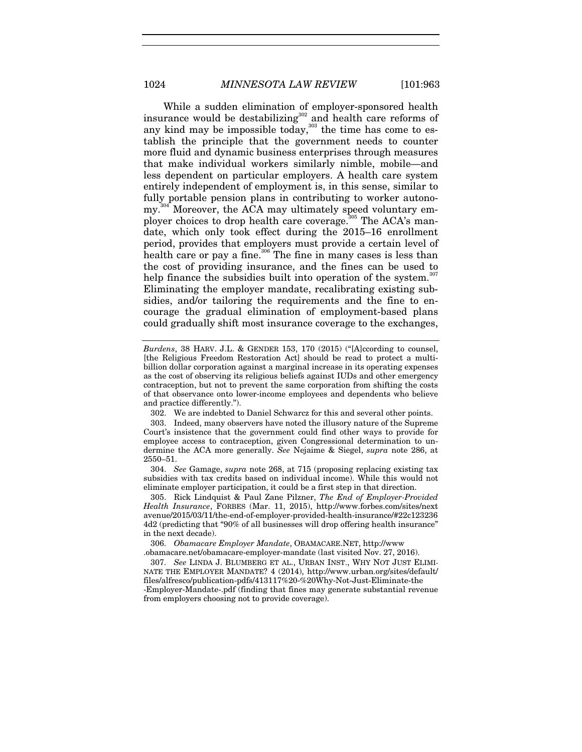While a sudden elimination of employer-sponsored health insurance would be destabilizing<sup>302</sup> and health care reforms of any kind may be impossible today,<sup>303</sup> the time has come to establish the principle that the government needs to counter more fluid and dynamic business enterprises through measures that make individual workers similarly nimble, mobile—and less dependent on particular employers. A health care system entirely independent of employment is, in this sense, similar to fully portable pension plans in contributing to worker autonomy.<sup>304</sup> Moreover, the ACA may ultimately speed voluntary employer choices to drop health care coverage.<sup>305</sup> The ACA's mandate, which only took effect during the 2015–16 enrollment period, provides that employers must provide a certain level of health care or pay a fine.<sup>306</sup> The fine in many cases is less than the cost of providing insurance, and the fines can be used to help finance the subsidies built into operation of the system.<sup>307</sup> Eliminating the employer mandate, recalibrating existing subsidies, and/or tailoring the requirements and the fine to encourage the gradual elimination of employment-based plans could gradually shift most insurance coverage to the exchanges,

304. *See* Gamage, *supra* note 268, at 715 (proposing replacing existing tax subsidies with tax credits based on individual income). While this would not eliminate employer participation, it could be a first step in that direction.

 305. Rick Lindquist & Paul Zane Pilzner, *The End of Employer-Provided Health Insurance*, FORBES (Mar. 11, 2015), http://www.forbes.com/sites/next avenue/2015/03/11/the-end-of-employer-provided-health-insurance/#22c123236 4d2 (predicting that "90% of all businesses will drop offering health insurance" in the next decade).

306. *Obamacare Employer Mandate*, OBAMACARE.NET, http://www .obamacare.net/obamacare-employer-mandate (last visited Nov. 27, 2016).

307. *See* LINDA J. BLUMBERG ET AL., URBAN INST., WHY NOT JUST ELIMI-NATE THE EMPLOYER MANDATE? 4 (2014), http://www.urban.org/sites/default/ files/alfresco/publication-pdfs/413117%20-%20Why-Not-Just-Eliminate-the -Employer-Mandate-.pdf (finding that fines may generate substantial revenue from employers choosing not to provide coverage).

*Burdens*, 38 HARV. J.L. & GENDER 153, 170 (2015) ("[A]ccording to counsel, [the Religious Freedom Restoration Act] should be read to protect a multibillion dollar corporation against a marginal increase in its operating expenses as the cost of observing its religious beliefs against IUDs and other emergency contraception, but not to prevent the same corporation from shifting the costs of that observance onto lower-income employees and dependents who believe and practice differently.").

 <sup>302.</sup> We are indebted to Daniel Schwarcz for this and several other points.

 <sup>303.</sup> Indeed, many observers have noted the illusory nature of the Supreme Court's insistence that the government could find other ways to provide for employee access to contraception, given Congressional determination to undermine the ACA more generally. *See* Nejaime & Siegel, *supra* note 286, at 2550–51.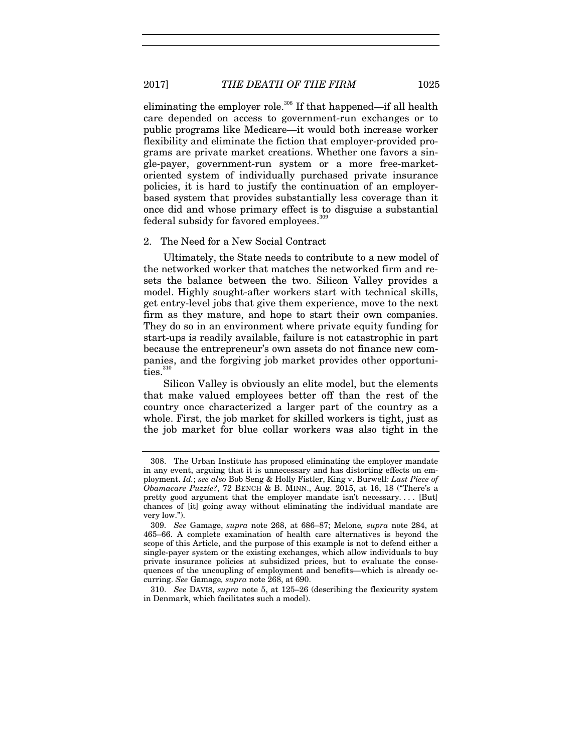eliminating the employer role.<sup>308</sup> If that happened—if all health care depended on access to government-run exchanges or to public programs like Medicare—it would both increase worker flexibility and eliminate the fiction that employer-provided programs are private market creations. Whether one favors a single-payer, government-run system or a more free-marketoriented system of individually purchased private insurance policies, it is hard to justify the continuation of an employerbased system that provides substantially less coverage than it once did and whose primary effect is to disguise a substantial federal subsidy for favored employees.<sup>309</sup>

#### 2. The Need for a New Social Contract

Ultimately, the State needs to contribute to a new model of the networked worker that matches the networked firm and resets the balance between the two. Silicon Valley provides a model. Highly sought-after workers start with technical skills, get entry-level jobs that give them experience, move to the next firm as they mature, and hope to start their own companies. They do so in an environment where private equity funding for start-ups is readily available, failure is not catastrophic in part because the entrepreneur's own assets do not finance new companies, and the forgiving job market provides other opportunities.<sup>310</sup>

Silicon Valley is obviously an elite model, but the elements that make valued employees better off than the rest of the country once characterized a larger part of the country as a whole. First, the job market for skilled workers is tight, just as the job market for blue collar workers was also tight in the

 <sup>308.</sup> The Urban Institute has proposed eliminating the employer mandate in any event, arguing that it is unnecessary and has distorting effects on employment. *Id.*; *see also* Bob Seng & Holly Fistler, King v. Burwell*: Last Piece of Obamacare Puzzle?*, 72 BENCH & B. MINN., Aug. 2015, at 16, 18 ("There's a pretty good argument that the employer mandate isn't necessary. . . . [But] chances of [it] going away without eliminating the individual mandate are very low.").

<sup>309.</sup> *See* Gamage, *supra* note 268, at 686–87; Melone*, supra* note 284, at 465–66. A complete examination of health care alternatives is beyond the scope of this Article, and the purpose of this example is not to defend either a single-payer system or the existing exchanges, which allow individuals to buy private insurance policies at subsidized prices, but to evaluate the consequences of the uncoupling of employment and benefits—which is already occurring. *See* Gamage*, supra* note 268, at 690.

<sup>310.</sup> *See* DAVIS, *supra* note 5, at 125–26 (describing the flexicurity system in Denmark, which facilitates such a model).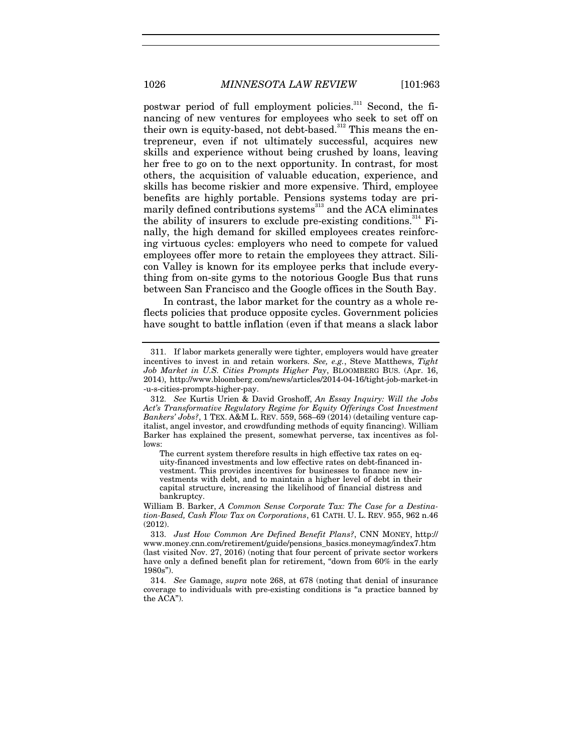postwar period of full employment policies.<sup>311</sup> Second, the financing of new ventures for employees who seek to set off on their own is equity-based, not debt-based.<sup>312</sup> This means the entrepreneur, even if not ultimately successful, acquires new skills and experience without being crushed by loans, leaving her free to go on to the next opportunity. In contrast, for most others, the acquisition of valuable education, experience, and skills has become riskier and more expensive. Third, employee benefits are highly portable. Pensions systems today are primarily defined contributions systems<sup>313</sup> and the ACA eliminates the ability of insurers to exclude pre-existing conditions.<sup>314</sup> Finally, the high demand for skilled employees creates reinforcing virtuous cycles: employers who need to compete for valued employees offer more to retain the employees they attract. Silicon Valley is known for its employee perks that include everything from on-site gyms to the notorious Google Bus that runs between San Francisco and the Google offices in the South Bay.

In contrast, the labor market for the country as a whole reflects policies that produce opposite cycles. Government policies have sought to battle inflation (even if that means a slack labor

The current system therefore results in high effective tax rates on equity-financed investments and low effective rates on debt-financed investment. This provides incentives for businesses to finance new investments with debt, and to maintain a higher level of debt in their capital structure, increasing the likelihood of financial distress and bankruptcy.

 <sup>311.</sup> If labor markets generally were tighter, employers would have greater incentives to invest in and retain workers. *See, e.g.*, Steve Matthews, *Tight Job Market in U.S. Cities Prompts Higher Pay*, BLOOMBERG BUS. (Apr. 16, 2014), http://www.bloomberg.com/news/articles/2014-04-16/tight-job-market-in -u-s-cities-prompts-higher-pay.

<sup>312.</sup> *See* Kurtis Urien & David Groshoff, *An Essay Inquiry: Will the Jobs Act's Transformative Regulatory Regime for Equity Offerings Cost Investment Bankers' Jobs?*, 1 TEX. A&M L. REV. 559, 568–69 (2014) (detailing venture capitalist, angel investor, and crowdfunding methods of equity financing). William Barker has explained the present, somewhat perverse, tax incentives as follows:

William B. Barker, *A Common Sense Corporate Tax: The Case for a Destination-Based, Cash Flow Tax on Corporations*, 61 CATH. U. L. REV. 955, 962 n.46 (2012).

 <sup>313.</sup> *Just How Common Are Defined Benefit Plans?*, CNN MONEY, http:// www.money.cnn.com/retirement/guide/pensions\_basics.moneymag/index7.htm (last visited Nov. 27, 2016) (noting that four percent of private sector workers have only a defined benefit plan for retirement, "down from 60% in the early 1980s").

<sup>314.</sup> *See* Gamage, *supra* note 268, at 678 (noting that denial of insurance coverage to individuals with pre-existing conditions is "a practice banned by the ACA").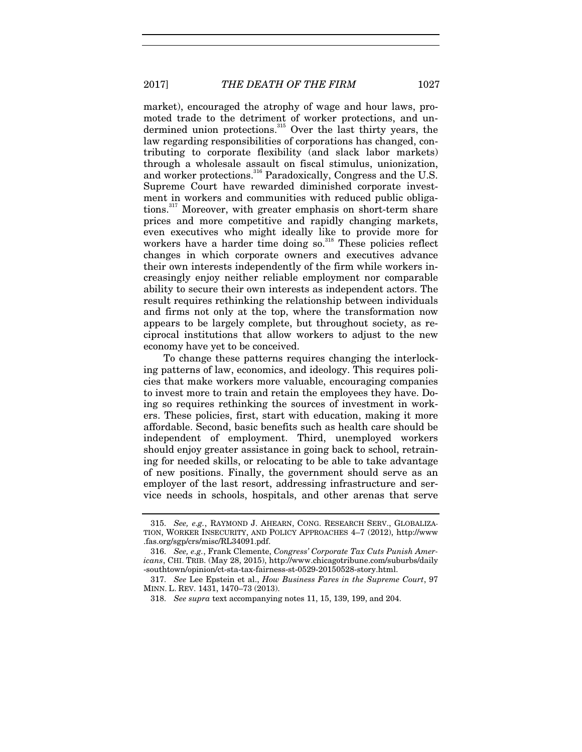2017] *THE DEATH OF THE FIRM* 1027

market), encouraged the atrophy of wage and hour laws, promoted trade to the detriment of worker protections, and undermined union protections.<sup>315</sup> Over the last thirty years, the law regarding responsibilities of corporations has changed, contributing to corporate flexibility (and slack labor markets) through a wholesale assault on fiscal stimulus, unionization, and worker protections.<sup>316</sup> Paradoxically, Congress and the U.S. Supreme Court have rewarded diminished corporate investment in workers and communities with reduced public obligations.317 Moreover, with greater emphasis on short-term share prices and more competitive and rapidly changing markets, even executives who might ideally like to provide more for workers have a harder time doing so. $318$  These policies reflect changes in which corporate owners and executives advance their own interests independently of the firm while workers increasingly enjoy neither reliable employment nor comparable ability to secure their own interests as independent actors. The result requires rethinking the relationship between individuals and firms not only at the top, where the transformation now appears to be largely complete, but throughout society, as reciprocal institutions that allow workers to adjust to the new economy have yet to be conceived.

To change these patterns requires changing the interlocking patterns of law, economics, and ideology. This requires policies that make workers more valuable, encouraging companies to invest more to train and retain the employees they have. Doing so requires rethinking the sources of investment in workers. These policies, first, start with education, making it more affordable. Second, basic benefits such as health care should be independent of employment. Third, unemployed workers should enjoy greater assistance in going back to school, retraining for needed skills, or relocating to be able to take advantage of new positions. Finally, the government should serve as an employer of the last resort, addressing infrastructure and service needs in schools, hospitals, and other arenas that serve

<sup>315.</sup> *See, e.g.*, RAYMOND J. AHEARN, CONG. RESEARCH SERV., GLOBALIZA-TION, WORKER INSECURITY, AND POLICY APPROACHES 4–7 (2012), http://www .fas.org/sgp/crs/misc/RL34091.pdf.

<sup>316.</sup> *See, e.g.*, Frank Clemente, *Congress' Corporate Tax Cuts Punish Americans*, CHI. TRIB. (May 28, 2015), http://www.chicagotribune.com/suburbs/daily -southtown/opinion/ct-sta-tax-fairness-st-0529-20150528-story.html.

<sup>317.</sup> *See* Lee Epstein et al., *How Business Fares in the Supreme Court*, 97 MINN. L. REV. 1431, 1470–73 (2013).

 <sup>318.</sup> *See supra* text accompanying notes 11, 15, 139, 199, and 204.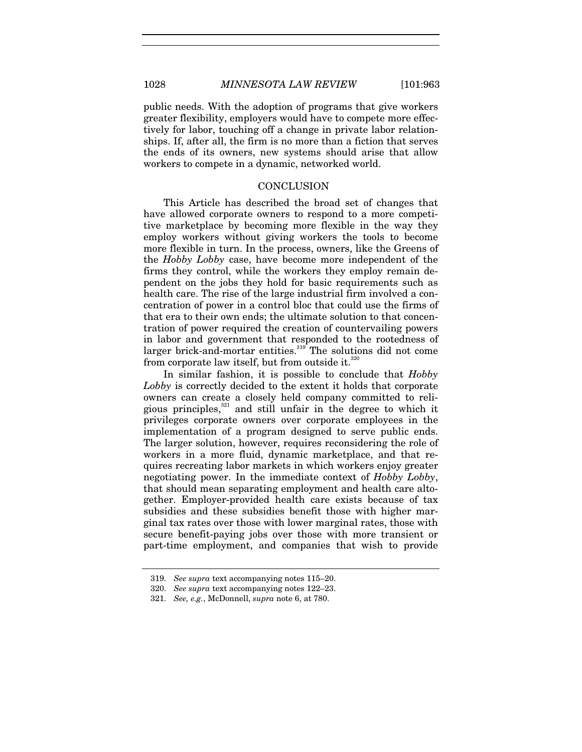public needs. With the adoption of programs that give workers greater flexibility, employers would have to compete more effectively for labor, touching off a change in private labor relationships. If, after all, the firm is no more than a fiction that serves the ends of its owners, new systems should arise that allow workers to compete in a dynamic, networked world.

#### **CONCLUSION**

This Article has described the broad set of changes that have allowed corporate owners to respond to a more competitive marketplace by becoming more flexible in the way they employ workers without giving workers the tools to become more flexible in turn. In the process, owners, like the Greens of the *Hobby Lobby* case, have become more independent of the firms they control, while the workers they employ remain dependent on the jobs they hold for basic requirements such as health care. The rise of the large industrial firm involved a concentration of power in a control bloc that could use the firms of that era to their own ends; the ultimate solution to that concentration of power required the creation of countervailing powers in labor and government that responded to the rootedness of larger brick-and-mortar entities.<sup>319</sup> The solutions did not come from corporate law itself, but from outside it. $320$ 

In similar fashion, it is possible to conclude that *Hobby Lobby* is correctly decided to the extent it holds that corporate owners can create a closely held company committed to religious principles,<sup>321</sup> and still unfair in the degree to which it privileges corporate owners over corporate employees in the implementation of a program designed to serve public ends. The larger solution, however, requires reconsidering the role of workers in a more fluid, dynamic marketplace, and that requires recreating labor markets in which workers enjoy greater negotiating power. In the immediate context of *Hobby Lobby*, that should mean separating employment and health care altogether. Employer-provided health care exists because of tax subsidies and these subsidies benefit those with higher marginal tax rates over those with lower marginal rates, those with secure benefit-paying jobs over those with more transient or part-time employment, and companies that wish to provide

<sup>319.</sup> *See supra* text accompanying notes 115–20.

<sup>320.</sup> *See supra* text accompanying notes 122–23.

<sup>321.</sup> *See, e.g.*, McDonnell, *supra* note 6, at 780.